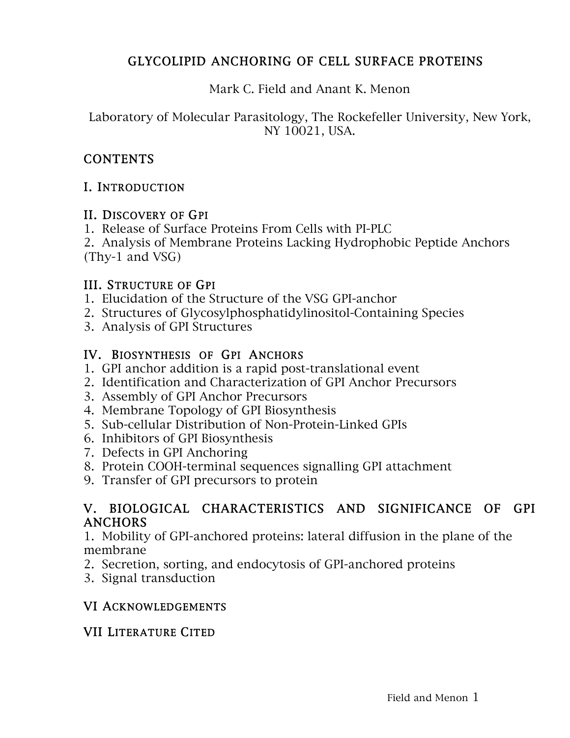## GLYCOLIPID ANCHORING OF CELL SURFACE PROTEINS

Mark C. Field and Anant K. Menon

Laboratory of Molecular Parasitology, The Rockefeller University, New York, NY 10021, USA.

## **CONTENTS**

## I. INTRODUCTION

#### II. DISCOVERY OF GPI

- 1. Release of Surface Proteins From Cells with PI-PLC
- 2. Analysis of Membrane Proteins Lacking Hydrophobic Peptide Anchors (Thy-1 and VSG)

## III. STRUCTURE OF GPI

- 1. Elucidation of the Structure of the VSG GPI-anchor
- 2. Structures of Glycosylphosphatidylinositol-Containing Species
- 3. Analysis of GPI Structures

## IV. BIOSYNTHESIS OF GPI ANCHORS

- 1. GPI anchor addition is a rapid post-translational event
- 2. Identification and Characterization of GPI Anchor Precursors
- 3. Assembly of GPI Anchor Precursors
- 4. Membrane Topology of GPI Biosynthesis
- 5. Sub-cellular Distribution of Non-Protein-Linked GPIs
- 6. Inhibitors of GPI Biosynthesis
- 7. Defects in GPI Anchoring
- 8. Protein COOH-terminal sequences signalling GPI attachment
- 9. Transfer of GPI precursors to protein

## V. BIOLOGICAL CHARACTERISTICS AND SIGNIFICANCE OF GPI ANCHORS

1. Mobility of GPI-anchored proteins: lateral diffusion in the plane of the membrane

- 2. Secretion, sorting, and endocytosis of GPI-anchored proteins
- 3. Signal transduction

## VI ACKNOWLEDGEMENTS

## VII LITERATURE CITED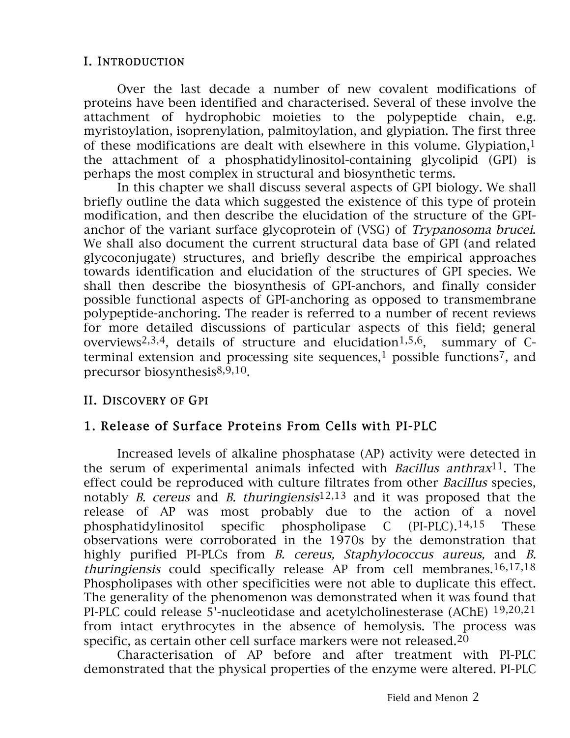### I. INTRODUCTION

 Over the last decade a number of new covalent modifications of proteins have been identified and characterised. Several of these involve the attachment of hydrophobic moieties to the polypeptide chain, e.g. myristoylation, isoprenylation, palmitoylation, and glypiation. The first three of these modifications are dealt with elsewhere in this volume. Glypiation,<sup>1</sup> the attachment of a phosphatidylinositol-containing glycolipid (GPI) is perhaps the most complex in structural and biosynthetic terms.

In this chapter we shall discuss several aspects of GPI biology. We shall briefly outline the data which suggested the existence of this type of protein modification, and then describe the elucidation of the structure of the GPIanchor of the variant surface glycoprotein of (VSG) of Trypanosoma brucei. We shall also document the current structural data base of GPI (and related glycoconjugate) structures, and briefly describe the empirical approaches towards identification and elucidation of the structures of GPI species. We shall then describe the biosynthesis of GPI-anchors, and finally consider possible functional aspects of GPI-anchoring as opposed to transmembrane polypeptide-anchoring. The reader is referred to a number of recent reviews for more detailed discussions of particular aspects of this field; general overviews<sup>2,3,4</sup>, details of structure and elucidation<sup>1,5,6</sup>, summary of Cterminal extension and processing site sequences, $1$  possible functions<sup>7</sup>, and precursor biosynthesis8,9,10.

#### II. DISCOVERY OF GPI

## 1. Release of Surface Proteins From Cells with PI-PLC

 Increased levels of alkaline phosphatase (AP) activity were detected in the serum of experimental animals infected with *Bacillus anthrax*<sup>11</sup>. The effect could be reproduced with culture filtrates from other Bacillus species, notably *B. cereus* and *B. thuringiensis*<sup>12,13</sup> and it was proposed that the release of AP was most probably due to the action of a novel phosphatidylinositol specific phospholipase C (PI-PLC).14,15 These observations were corroborated in the 1970s by the demonstration that highly purified PI-PLCs from *B. cereus, Staphylococcus aureus*, and *B.* thuringiensis could specifically release AP from cell membranes.16,17,18 Phospholipases with other specificities were not able to duplicate this effect. The generality of the phenomenon was demonstrated when it was found that PI-PLC could release 5'-nucleotidase and acetylcholinesterase (AChE) 19,20,21 from intact erythrocytes in the absence of hemolysis. The process was specific, as certain other cell surface markers were not released.<sup>20</sup>

Characterisation of AP before and after treatment with PI-PLC demonstrated that the physical properties of the enzyme were altered. PI-PLC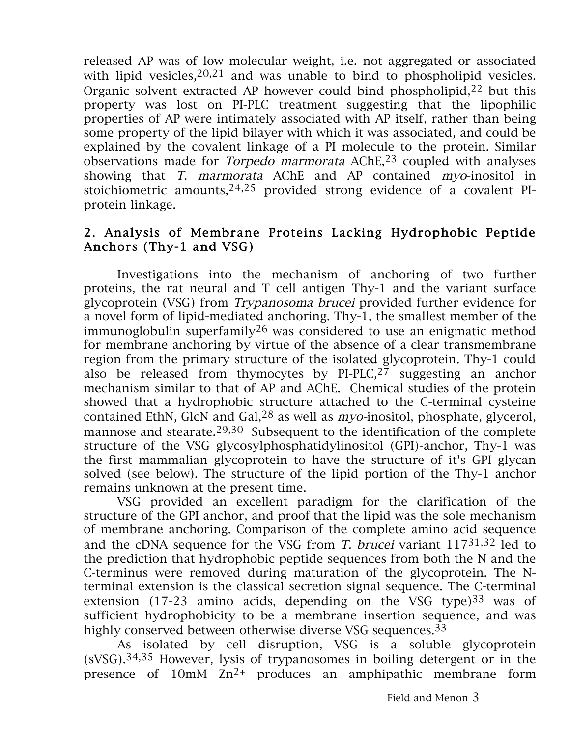released AP was of low molecular weight, i.e. not aggregated or associated with lipid vesicles,  $20,21$  and was unable to bind to phospholipid vesicles. Organic solvent extracted AP however could bind phospholipid, $22$  but this property was lost on PI-PLC treatment suggesting that the lipophilic properties of AP were intimately associated with AP itself, rather than being some property of the lipid bilayer with which it was associated, and could be explained by the covalent linkage of a PI molecule to the protein. Similar observations made for *Torpedo marmorata* AChE,<sup>23</sup> coupled with analyses showing that T. marmorata AChE and AP contained myo-inositol in stoichiometric amounts,  $24,25$  provided strong evidence of a covalent PIprotein linkage.

### 2. Analysis of Membrane Proteins Lacking Hydrophobic Peptide Anchors (Thy-1 and VSG)

Investigations into the mechanism of anchoring of two further proteins, the rat neural and T cell antigen Thy-1 and the variant surface glycoprotein (VSG) from Trypanosoma brucei provided further evidence for a novel form of lipid-mediated anchoring. Thy-1, the smallest member of the immunoglobulin superfamily<sup>26</sup> was considered to use an enigmatic method for membrane anchoring by virtue of the absence of a clear transmembrane region from the primary structure of the isolated glycoprotein. Thy-1 could also be released from thymocytes by PI-PLC,27 suggesting an anchor mechanism similar to that of AP and AChE. Chemical studies of the protein showed that a hydrophobic structure attached to the C-terminal cysteine contained EthN, GlcN and Gal,28 as well as myo-inositol, phosphate, glycerol, mannose and stearate.<sup>29,30</sup> Subsequent to the identification of the complete structure of the VSG glycosylphosphatidylinositol (GPI)-anchor, Thy-1 was the first mammalian glycoprotein to have the structure of it's GPI glycan solved (see below). The structure of the lipid portion of the Thy-1 anchor remains unknown at the present time.

VSG provided an excellent paradigm for the clarification of the structure of the GPI anchor, and proof that the lipid was the sole mechanism of membrane anchoring. Comparison of the complete amino acid sequence and the cDNA sequence for the VSG from T. brucei variant  $117^{31,32}$  led to the prediction that hydrophobic peptide sequences from both the N and the C-terminus were removed during maturation of the glycoprotein. The Nterminal extension is the classical secretion signal sequence. The C-terminal extension (17-23 amino acids, depending on the VSG type) $33$  was of sufficient hydrophobicity to be a membrane insertion sequence, and was highly conserved between otherwise diverse VSG sequences.<sup>33</sup>

As isolated by cell disruption, VSG is a soluble glycoprotein (sVSG).34,35 However, lysis of trypanosomes in boiling detergent or in the presence of  $10mM$   $Zn^{2+}$  produces an amphipathic membrane form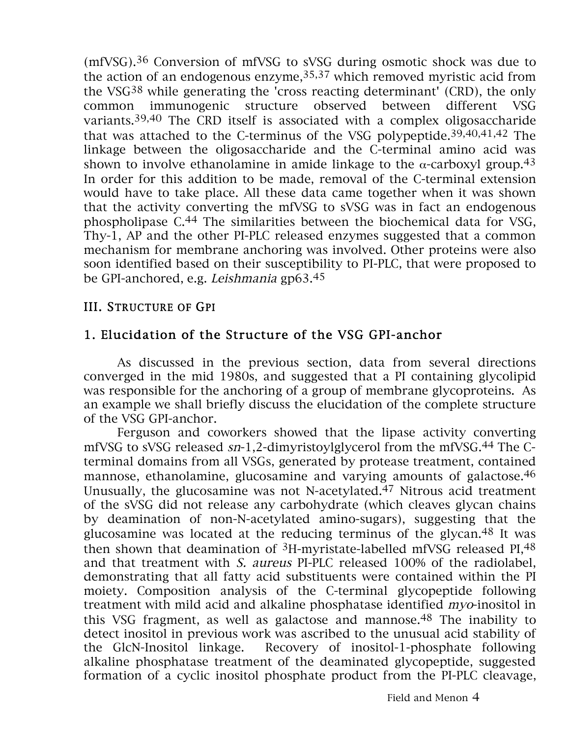(mfVSG).36 Conversion of mfVSG to sVSG during osmotic shock was due to the action of an endogenous enzyme,  $35,37$  which removed myristic acid from the VSG38 while generating the 'cross reacting determinant' (CRD), the only common immunogenic structure observed between different VSG variants.39,40 The CRD itself is associated with a complex oligosaccharide that was attached to the C-terminus of the VSG polypeptide.39,40,41,42 The linkage between the oligosaccharide and the C-terminal amino acid was shown to involve ethanolamine in amide linkage to the  $\alpha$ -carboxyl group.<sup>43</sup> In order for this addition to be made, removal of the C-terminal extension would have to take place. All these data came together when it was shown that the activity converting the mfVSG to sVSG was in fact an endogenous phospholipase C.44 The similarities between the biochemical data for VSG, Thy-1, AP and the other PI-PLC released enzymes suggested that a common mechanism for membrane anchoring was involved. Other proteins were also soon identified based on their susceptibility to PI-PLC, that were proposed to be GPI-anchored, e.g. Leishmania gp63.45

#### III. STRUCTURE OF GPI

## 1. Elucidation of the Structure of the VSG GPI-anchor

As discussed in the previous section, data from several directions converged in the mid 1980s, and suggested that a PI containing glycolipid was responsible for the anchoring of a group of membrane glycoproteins. As an example we shall briefly discuss the elucidation of the complete structure of the VSG GPI-anchor.

Ferguson and coworkers showed that the lipase activity converting mfVSG to sVSG released sn-1,2-dimyristoylglycerol from the mfVSG.44 The Cterminal domains from all VSGs, generated by protease treatment, contained mannose, ethanolamine, glucosamine and varying amounts of galactose.<sup>46</sup> Unusually, the glucosamine was not N-acetylated.47 Nitrous acid treatment of the sVSG did not release any carbohydrate (which cleaves glycan chains by deamination of non-N-acetylated amino-sugars), suggesting that the glucosamine was located at the reducing terminus of the glycan.48 It was then shown that deamination of  ${}^{3}$ H-myristate-labelled mfVSG released PI, 48 and that treatment with S. aureus PI-PLC released 100% of the radiolabel, demonstrating that all fatty acid substituents were contained within the PI moiety. Composition analysis of the C-terminal glycopeptide following treatment with mild acid and alkaline phosphatase identified myo-inositol in this VSG fragment, as well as galactose and mannose.<sup>48</sup> The inability to detect inositol in previous work was ascribed to the unusual acid stability of the GlcN-Inositol linkage. Recovery of inositol-1-phosphate following alkaline phosphatase treatment of the deaminated glycopeptide, suggested formation of a cyclic inositol phosphate product from the PI-PLC cleavage,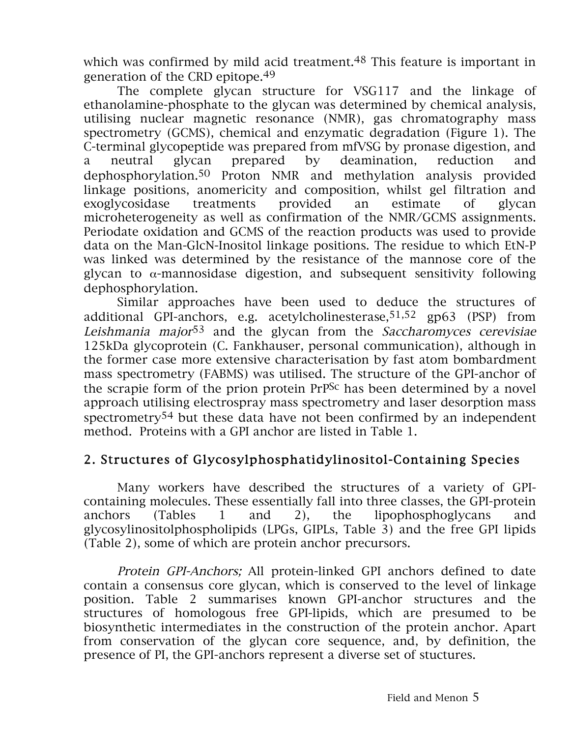which was confirmed by mild acid treatment.<sup>48</sup> This feature is important in generation of the CRD epitope.49

The complete glycan structure for VSG117 and the linkage of ethanolamine-phosphate to the glycan was determined by chemical analysis, utilising nuclear magnetic resonance (NMR), gas chromatography mass spectrometry (GCMS), chemical and enzymatic degradation (Figure 1). The C-terminal glycopeptide was prepared from mfVSG by pronase digestion, and a neutral glycan prepared by deamination, reduction and dephosphorylation.50 Proton NMR and methylation analysis provided linkage positions, anomericity and composition, whilst gel filtration and exoglycosidase treatments provided an estimate of glycan microheterogeneity as well as confirmation of the NMR/GCMS assignments. Periodate oxidation and GCMS of the reaction products was used to provide data on the Man-GlcN-Inositol linkage positions. The residue to which EtN-P was linked was determined by the resistance of the mannose core of the glycan to  $\alpha$ -mannosidase digestion, and subsequent sensitivity following dephosphorylation.

Similar approaches have been used to deduce the structures of additional GPI-anchors, e.g. acetylcholinesterase,51,52 gp63 (PSP) from Leishmania major<sup>53</sup> and the glycan from the Saccharomyces cerevisiae 125kDa glycoprotein (C. Fankhauser, personal communication), although in the former case more extensive characterisation by fast atom bombardment mass spectrometry (FABMS) was utilised. The structure of the GPI-anchor of the scrapie form of the prion protein PrPSc has been determined by a novel approach utilising electrospray mass spectrometry and laser desorption mass spectrometry54 but these data have not been confirmed by an independent method. Proteins with a GPI anchor are listed in Table 1.

## 2. Structures of Glycosylphosphatidylinositol-Containing Species

Many workers have described the structures of a variety of GPIcontaining molecules. These essentially fall into three classes, the GPI-protein anchors (Tables 1 and 2), the lipophosphoglycans and glycosylinositolphospholipids (LPGs, GIPLs, Table 3) and the free GPI lipids (Table 2), some of which are protein anchor precursors.

Protein GPI-Anchors; All protein-linked GPI anchors defined to date contain a consensus core glycan, which is conserved to the level of linkage position. Table 2 summarises known GPI-anchor structures and the structures of homologous free GPI-lipids, which are presumed to be biosynthetic intermediates in the construction of the protein anchor. Apart from conservation of the glycan core sequence, and, by definition, the presence of PI, the GPI-anchors represent a diverse set of stuctures.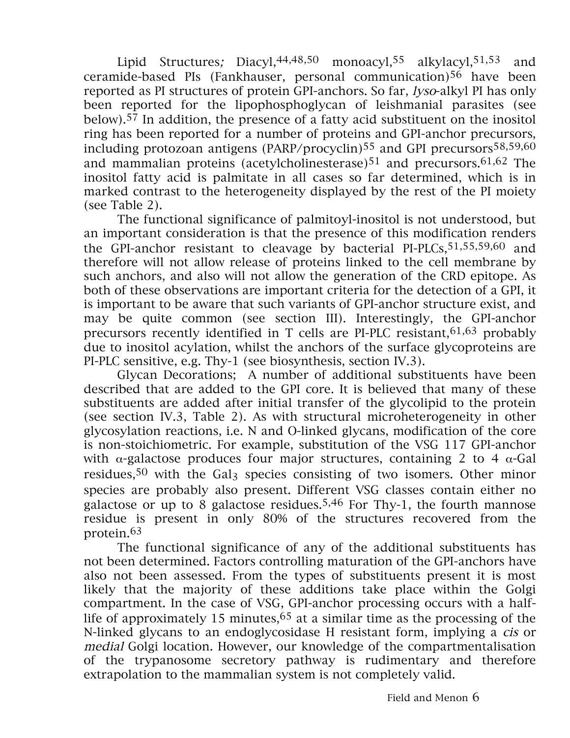Lipid Structures; Diacyl, 44, 48, 50 monoacyl, 55 alkylacyl, 51, 53 and ceramide-based PIs (Fankhauser, personal communication)56 have been reported as PI structures of protein GPI-anchors. So far, lyso-alkyl PI has only been reported for the lipophosphoglycan of leishmanial parasites (see below).57 In addition, the presence of a fatty acid substituent on the inositol ring has been reported for a number of proteins and GPI-anchor precursors, including protozoan antigens (PARP/procyclin)55 and GPI precursors58,59,60 and mammalian proteins (acetylcholinesterase) $51$  and precursors. $61,62$  The inositol fatty acid is palmitate in all cases so far determined, which is in marked contrast to the heterogeneity displayed by the rest of the PI moiety (see Table 2).

The functional significance of palmitoyl-inositol is not understood, but an important consideration is that the presence of this modification renders the GPI-anchor resistant to cleavage by bacterial PI-PLCs, 51, 55, 59, 60 and therefore will not allow release of proteins linked to the cell membrane by such anchors, and also will not allow the generation of the CRD epitope. As both of these observations are important criteria for the detection of a GPI, it is important to be aware that such variants of GPI-anchor structure exist, and may be quite common (see section III). Interestingly, the GPI-anchor precursors recently identified in T cells are PI-PLC resistant,  $61,63$  probably due to inositol acylation, whilst the anchors of the surface glycoproteins are PI-PLC sensitive, e.g. Thy-1 (see biosynthesis, section IV.3).

Glycan Decorations; A number of additional substituents have been described that are added to the GPI core. It is believed that many of these substituents are added after initial transfer of the glycolipid to the protein (see section IV.3, Table 2). As with structural microheterogeneity in other glycosylation reactions, i.e. N and O-linked glycans, modification of the core is non-stoichiometric. For example, substitution of the VSG 117 GPI-anchor with  $\alpha$ -galactose produces four major structures, containing 2 to 4  $\alpha$ -Gal residues,<sup>50</sup> with the Gal<sub>3</sub> species consisting of two isomers. Other minor species are probably also present. Different VSG classes contain either no galactose or up to 8 galactose residues.5,46 For Thy-1, the fourth mannose residue is present in only 80% of the structures recovered from the protein.63

The functional significance of any of the additional substituents has not been determined. Factors controlling maturation of the GPI-anchors have also not been assessed. From the types of substituents present it is most likely that the majority of these additions take place within the Golgi compartment. In the case of VSG, GPI-anchor processing occurs with a halflife of approximately 15 minutes,  $65$  at a similar time as the processing of the N-linked glycans to an endoglycosidase H resistant form, implying a cis or medial Golgi location. However, our knowledge of the compartmentalisation of the trypanosome secretory pathway is rudimentary and therefore extrapolation to the mammalian system is not completely valid.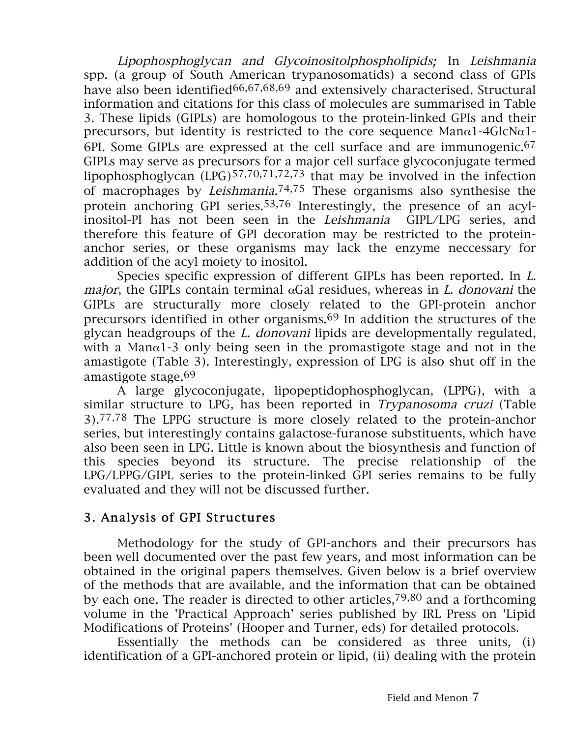Lipophosphoglycan and Glycoinositolphospholipids; In Leishmania spp. (a group of South American trypanosomatids) a second class of GPIs have also been identified<sup>66,67,68,69</sup> and extensively characterised. Structural information and citations for this class of molecules are summarised in Table 3. These lipids (GIPLs) are homologous to the protein-linked GPIs and their precursors, but identity is restricted to the core sequence Man $\alpha$ 1-4GlcN $\alpha$ 1-6PI. Some GIPLs are expressed at the cell surface and are immunogenic.<sup>67</sup> GIPLs may serve as precursors for a major cell surface glycoconjugate termed lipophosphoglycan (LPG)57,70,71,72,73 that may be involved in the infection of macrophages by Leishmania.74,75 These organisms also synthesise the protein anchoring GPI series.53,76 Interestingly, the presence of an acylinositol-PI has not been seen in the Leishmania GIPL/LPG series, and therefore this feature of GPI decoration may be restricted to the proteinanchor series, or these organisms may lack the enzyme neccessary for addition of the acyl moiety to inositol.

Species specific expression of different GIPLs has been reported. In L. major, the GIPLs contain terminal  $\alpha$ Gal residues, whereas in *L. donovani* the GIPLs are structurally more closely related to the GPI-protein anchor precursors identified in other organisms.69 In addition the structures of the glycan headgroups of the L. donovani lipids are developmentally regulated, with a Man $\alpha$ 1-3 only being seen in the promastigote stage and not in the amastigote (Table 3). Interestingly, expression of LPG is also shut off in the amastigote stage.69

A large glycoconjugate, lipopeptidophosphoglycan, (LPPG), with a similar structure to LPG, has been reported in Trypanosoma cruzi (Table 3).77,78 The LPPG structure is more closely related to the protein-anchor series, but interestingly contains galactose-furanose substituents, which have also been seen in LPG. Little is known about the biosynthesis and function of this species beyond its structure. The precise relationship of the LPG/LPPG/GIPL series to the protein-linked GPI series remains to be fully evaluated and they will not be discussed further.

## 3. Analysis of GPI Structures

 Methodology for the study of GPI-anchors and their precursors has been well documented over the past few years, and most information can be obtained in the original papers themselves. Given below is a brief overview of the methods that are available, and the information that can be obtained by each one. The reader is directed to other articles,  $79,80$  and a forthcoming volume in the 'Practical Approach' series published by IRL Press on 'Lipid Modifications of Proteins' (Hooper and Turner, eds) for detailed protocols.

Essentially the methods can be considered as three units, (i) identification of a GPI-anchored protein or lipid, (ii) dealing with the protein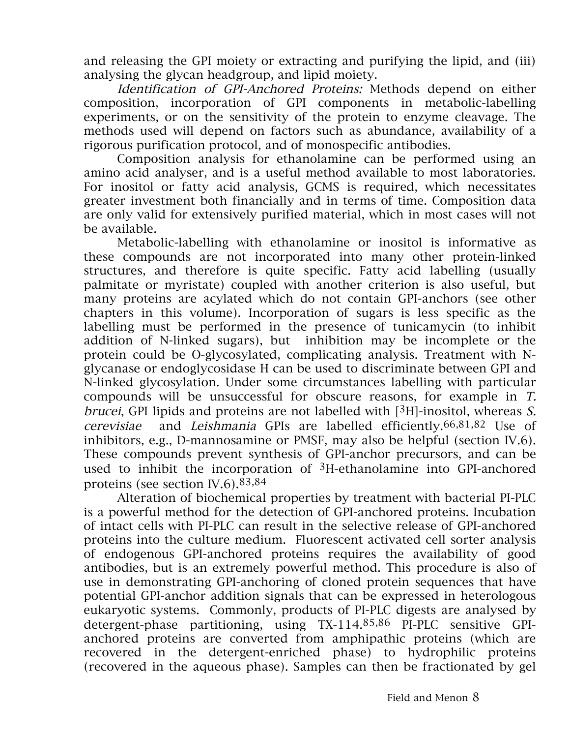and releasing the GPI moiety or extracting and purifying the lipid, and (iii) analysing the glycan headgroup, and lipid moiety.

Identification of GPI-Anchored Proteins: Methods depend on either composition, incorporation of GPI components in metabolic-labelling experiments, or on the sensitivity of the protein to enzyme cleavage. The methods used will depend on factors such as abundance, availability of a rigorous purification protocol, and of monospecific antibodies.

Composition analysis for ethanolamine can be performed using an amino acid analyser, and is a useful method available to most laboratories. For inositol or fatty acid analysis, GCMS is required, which necessitates greater investment both financially and in terms of time. Composition data are only valid for extensively purified material, which in most cases will not be available.

Metabolic-labelling with ethanolamine or inositol is informative as these compounds are not incorporated into many other protein-linked structures, and therefore is quite specific. Fatty acid labelling (usually palmitate or myristate) coupled with another criterion is also useful, but many proteins are acylated which do not contain GPI-anchors (see other chapters in this volume). Incorporation of sugars is less specific as the labelling must be performed in the presence of tunicamycin (to inhibit addition of N-linked sugars), but inhibition may be incomplete or the protein could be O-glycosylated, complicating analysis. Treatment with Nglycanase or endoglycosidase H can be used to discriminate between GPI and N-linked glycosylation. Under some circumstances labelling with particular compounds will be unsuccessful for obscure reasons, for example in T. brucei, GPI lipids and proteins are not labelled with  $[3H]$ -inositol, whereas S. cerevisiae and Leishmania GPIs are labelled efficiently.66,81,82 Use of inhibitors, e.g., D-mannosamine or PMSF, may also be helpful (section IV.6). These compounds prevent synthesis of GPI-anchor precursors, and can be used to inhibit the incorporation of  $3H$ -ethanolamine into GPI-anchored proteins (see section IV.6).83,84

Alteration of biochemical properties by treatment with bacterial PI-PLC is a powerful method for the detection of GPI-anchored proteins. Incubation of intact cells with PI-PLC can result in the selective release of GPI-anchored proteins into the culture medium. Fluorescent activated cell sorter analysis of endogenous GPI-anchored proteins requires the availability of good antibodies, but is an extremely powerful method. This procedure is also of use in demonstrating GPI-anchoring of cloned protein sequences that have potential GPI-anchor addition signals that can be expressed in heterologous eukaryotic systems. Commonly, products of PI-PLC digests are analysed by detergent-phase partitioning, using TX-114.85,86 PI-PLC sensitive GPIanchored proteins are converted from amphipathic proteins (which are recovered in the detergent-enriched phase) to hydrophilic proteins (recovered in the aqueous phase). Samples can then be fractionated by gel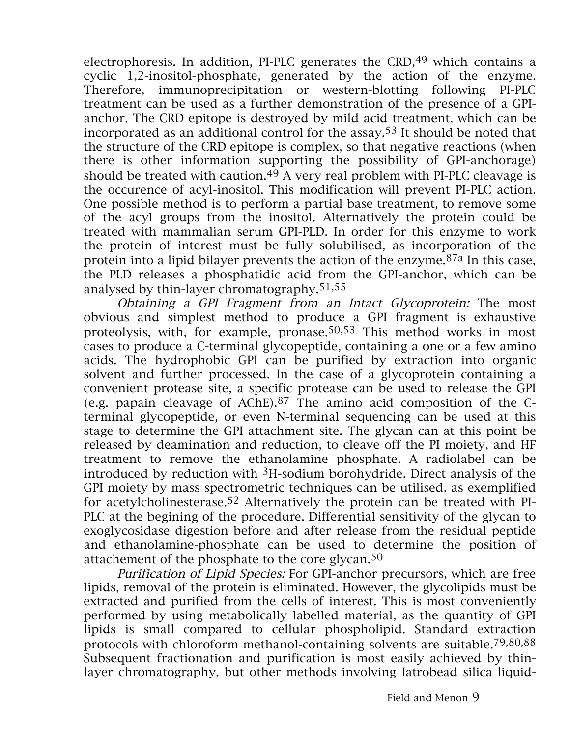electrophoresis. In addition, PI-PLC generates the  $CRD<sub>1</sub><sup>49</sup>$  which contains a cyclic 1,2-inositol-phosphate, generated by the action of the enzyme. Therefore, immunoprecipitation or western-blotting following PI-PLC treatment can be used as a further demonstration of the presence of a GPIanchor. The CRD epitope is destroyed by mild acid treatment, which can be incorporated as an additional control for the assay.53 It should be noted that the structure of the CRD epitope is complex, so that negative reactions (when there is other information supporting the possibility of GPI-anchorage) should be treated with caution.<sup>49</sup> A very real problem with PI-PLC cleavage is the occurence of acyl-inositol. This modification will prevent PI-PLC action. One possible method is to perform a partial base treatment, to remove some of the acyl groups from the inositol. Alternatively the protein could be treated with mammalian serum GPI-PLD. In order for this enzyme to work the protein of interest must be fully solubilised, as incorporation of the protein into a lipid bilayer prevents the action of the enzyme.87a In this case, the PLD releases a phosphatidic acid from the GPI-anchor, which can be analysed by thin-layer chromatography.51,55

Obtaining <sup>a</sup> GPI Fragment from an Intact Glycoprotein: The most obvious and simplest method to produce a GPI fragment is exhaustive proteolysis, with, for example, pronase.50,53 This method works in most cases to produce a C-terminal glycopeptide, containing a one or a few amino acids. The hydrophobic GPI can be purified by extraction into organic solvent and further processed. In the case of a glycoprotein containing a convenient protease site, a specific protease can be used to release the GPI (e.g. papain cleavage of AChE).87 The amino acid composition of the Cterminal glycopeptide, or even N-terminal sequencing can be used at this stage to determine the GPI attachment site. The glycan can at this point be released by deamination and reduction, to cleave off the PI moiety, and HF treatment to remove the ethanolamine phosphate. A radiolabel can be introduced by reduction with  ${}^{3}H$ -sodium borohydride. Direct analysis of the GPI moiety by mass spectrometric techniques can be utilised, as exemplified for acetylcholinesterase.52 Alternatively the protein can be treated with PI-PLC at the begining of the procedure. Differential sensitivity of the glycan to exoglycosidase digestion before and after release from the residual peptide and ethanolamine-phosphate can be used to determine the position of attachement of the phosphate to the core glycan.<sup>50</sup>

Purification of Lipid Species: For GPI-anchor precursors, which are free lipids, removal of the protein is eliminated. However, the glycolipids must be extracted and purified from the cells of interest. This is most conveniently performed by using metabolically labelled material, as the quantity of GPI lipids is small compared to cellular phospholipid. Standard extraction protocols with chloroform methanol-containing solvents are suitable.79,80,88 Subsequent fractionation and purification is most easily achieved by thinlayer chromatography, but other methods involving Iatrobead silica liquid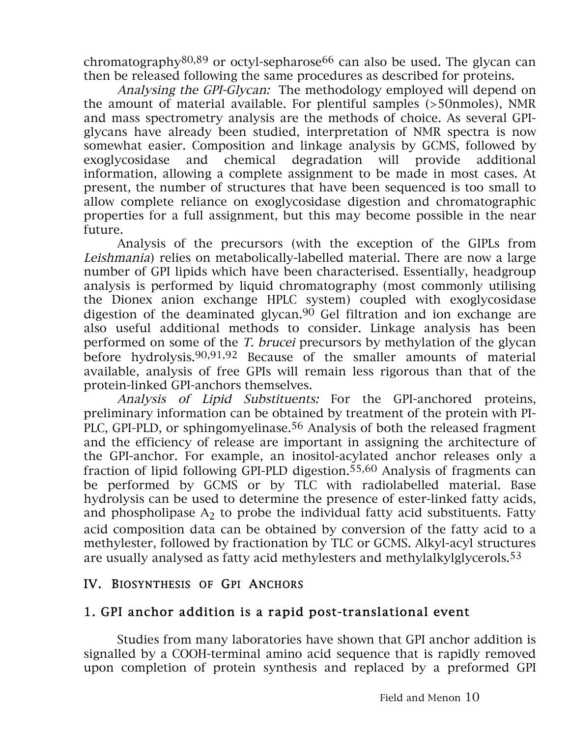chromatography<sup>80,89</sup> or octyl-sepharose<sup>66</sup> can also be used. The glycan can then be released following the same procedures as described for proteins.

Analysing the GPI-Glycan: The methodology employed will depend on the amount of material available. For plentiful samples (>50nmoles), NMR and mass spectrometry analysis are the methods of choice. As several GPIglycans have already been studied, interpretation of NMR spectra is now somewhat easier. Composition and linkage analysis by GCMS, followed by exoglycosidase and chemical degradation will provide additional information, allowing a complete assignment to be made in most cases. At present, the number of structures that have been sequenced is too small to allow complete reliance on exoglycosidase digestion and chromatographic properties for a full assignment, but this may become possible in the near future.

Analysis of the precursors (with the exception of the GIPLs from Leishmania) relies on metabolically-labelled material. There are now a large number of GPI lipids which have been characterised. Essentially, headgroup analysis is performed by liquid chromatography (most commonly utilising the Dionex anion exchange HPLC system) coupled with exoglycosidase digestion of the deaminated glycan.90 Gel filtration and ion exchange are also useful additional methods to consider. Linkage analysis has been performed on some of the T. brucei precursors by methylation of the glycan before hydrolysis.90,91,92 Because of the smaller amounts of material available, analysis of free GPIs will remain less rigorous than that of the protein-linked GPI-anchors themselves.

Analysis of Lipid Substituents: For the GPI-anchored proteins, preliminary information can be obtained by treatment of the protein with PI-PLC, GPI-PLD, or sphingomyelinase.<sup>56</sup> Analysis of both the released fragment and the efficiency of release are important in assigning the architecture of the GPI-anchor. For example, an inositol-acylated anchor releases only a fraction of lipid following GPI-PLD digestion.55,60 Analysis of fragments can be performed by GCMS or by TLC with radiolabelled material. Base hydrolysis can be used to determine the presence of ester-linked fatty acids, and phospholipase  $A_2$  to probe the individual fatty acid substituents. Fatty acid composition data can be obtained by conversion of the fatty acid to a methylester, followed by fractionation by TLC or GCMS. Alkyl-acyl structures are usually analysed as fatty acid methylesters and methylalkylglycerols.53

#### IV. BIOSYNTHESIS OF GPI ANCHORS

## 1. GPI anchor addition is a rapid post-translational event

Studies from many laboratories have shown that GPI anchor addition is signalled by a COOH-terminal amino acid sequence that is rapidly removed upon completion of protein synthesis and replaced by a preformed GPI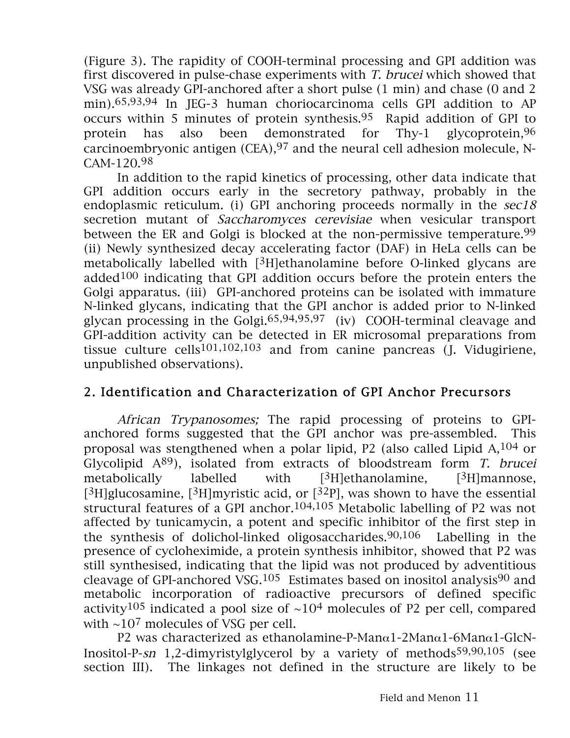(Figure 3). The rapidity of COOH-terminal processing and GPI addition was first discovered in pulse-chase experiments with T. brucei which showed that VSG was already GPI-anchored after a short pulse (1 min) and chase (0 and 2 min).65,93,94 In JEG-3 human choriocarcinoma cells GPI addition to AP occurs within 5 minutes of protein synthesis.95 Rapid addition of GPI to protein has also been demonstrated for Thy-1 glycoprotein,96 carcinoembryonic antigen  $(CEA)$ , <sup>97</sup> and the neural cell adhesion molecule, N-CAM-120.98

In addition to the rapid kinetics of processing, other data indicate that GPI addition occurs early in the secretory pathway, probably in the endoplasmic reticulum. (i) GPI anchoring proceeds normally in the  $sec18$ secretion mutant of *Saccharomyces cerevisiae* when vesicular transport between the ER and Golgi is blocked at the non-permissive temperature.<sup>99</sup> (ii) Newly synthesized decay accelerating factor (DAF) in HeLa cells can be metabolically labelled with [3H]ethanolamine before O-linked glycans are added $100$  indicating that GPI addition occurs before the protein enters the Golgi apparatus. (iii) GPI-anchored proteins can be isolated with immature N-linked glycans, indicating that the GPI anchor is added prior to N-linked glycan processing in the Golgi.65,94,95,97 (iv) COOH-terminal cleavage and GPI-addition activity can be detected in ER microsomal preparations from tissue culture cells<sup>101,102,103</sup> and from canine pancreas (J. Vidugiriene, unpublished observations).

## 2. Identification and Characterization of GPI Anchor Precursors

African Trypanosomes; The rapid processing of proteins to GPIanchored forms suggested that the GPI anchor was pre-assembled. This proposal was stengthened when a polar lipid, P2 (also called Lipid A,104 or Glycolipid  $A^{89}$ ), isolated from extracts of bloodstream form *T. brucei* metabolically labelled with  $[3H]$ ethanolamine,  $[3H]$ mannose, [ ${}^{3}$ H]glucosamine, [ ${}^{3}$ H]myristic acid, or [ ${}^{32}$ P], was shown to have the essential structural features of a GPI anchor.104,105 Metabolic labelling of P2 was not affected by tunicamycin, a potent and specific inhibitor of the first step in the synthesis of dolichol-linked oligosaccharides.90,106 Labelling in the presence of cycloheximide, a protein synthesis inhibitor, showed that P2 was still synthesised, indicating that the lipid was not produced by adventitious cleavage of GPI-anchored VSG.<sup>105</sup> Estimates based on inositol analysis<sup>90</sup> and metabolic incorporation of radioactive precursors of defined specific activity<sup>105</sup> indicated a pool size of  $\sim$ 10<sup>4</sup> molecules of P2 per cell, compared with  $\sim$ 10<sup>7</sup> molecules of VSG per cell.

P2 was characterized as ethanolamine-P-Manα1-2Manα1-6Manα1-GlcN-Inositol-P-sn 1,2-dimyristylglycerol by a variety of methods59,90,105 (see section III). The linkages not defined in the structure are likely to be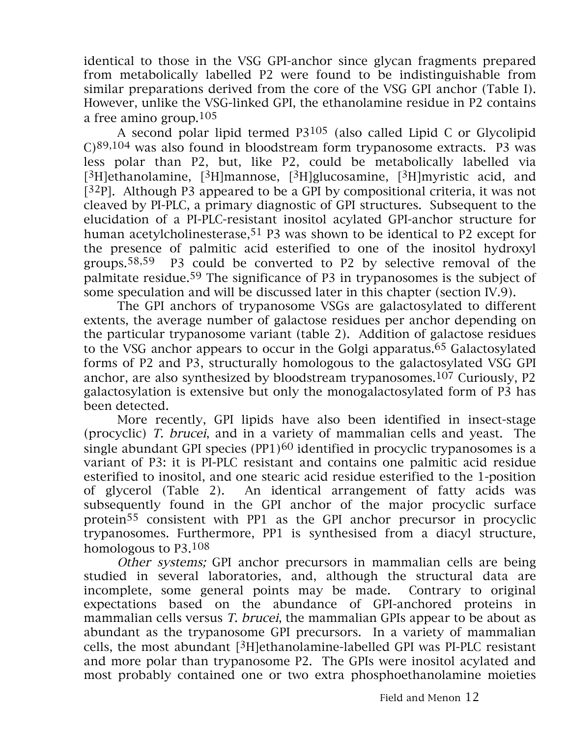identical to those in the VSG GPI-anchor since glycan fragments prepared from metabolically labelled P2 were found to be indistinguishable from similar preparations derived from the core of the VSG GPI anchor (Table I). However, unlike the VSG-linked GPI, the ethanolamine residue in P2 contains a free amino group. $105$ 

A second polar lipid termed  $P3^{105}$  (also called Lipid C or Glycolipid C)89,104 was also found in bloodstream form trypanosome extracts. P3 was less polar than P2, but, like P2, could be metabolically labelled via [ ${}^{3}$ H]ethanolamine, [ ${}^{3}$ H]mannose, [ ${}^{3}$ H]glucosamine, [ ${}^{3}$ H]myristic acid, and  $[32P]$ . Although P3 appeared to be a GPI by compositional criteria, it was not cleaved by PI-PLC, a primary diagnostic of GPI structures. Subsequent to the elucidation of a PI-PLC-resistant inositol acylated GPI-anchor structure for human acetylcholinesterase,<sup>51</sup> P3 was shown to be identical to P2 except for the presence of palmitic acid esterified to one of the inositol hydroxyl groups.58,59 P3 could be converted to P2 by selective removal of the palmitate residue.59 The significance of P3 in trypanosomes is the subject of some speculation and will be discussed later in this chapter (section IV.9).

The GPI anchors of trypanosome VSGs are galactosylated to different extents, the average number of galactose residues per anchor depending on the particular trypanosome variant (table 2). Addition of galactose residues to the VSG anchor appears to occur in the Golgi apparatus.<sup>65</sup> Galactosylated forms of P2 and P3, structurally homologous to the galactosylated VSG GPI anchor, are also synthesized by bloodstream trypanosomes.107 Curiously, P2 galactosylation is extensive but only the monogalactosylated form of P3 has been detected.

More recently, GPI lipids have also been identified in insect-stage (procyclic) T. brucei, and in a variety of mammalian cells and yeast. The single abundant GPI species  $(PP1)$ <sup>60</sup> identified in procyclic trypanosomes is a variant of P3: it is PI-PLC resistant and contains one palmitic acid residue esterified to inositol, and one stearic acid residue esterified to the 1-position of glycerol (Table 2). An identical arrangement of fatty acids was subsequently found in the GPI anchor of the major procyclic surface protein55 consistent with PP1 as the GPI anchor precursor in procyclic trypanosomes. Furthermore, PP1 is synthesised from a diacyl structure, homologous to P3.108

Other systems; GPI anchor precursors in mammalian cells are being studied in several laboratories, and, although the structural data are incomplete, some general points may be made. Contrary to original expectations based on the abundance of GPI-anchored proteins in mammalian cells versus *T. brucei*, the mammalian GPIs appear to be about as abundant as the trypanosome GPI precursors. In a variety of mammalian cells, the most abundant  $[{}^{3}H]$ ethanolamine-labelled GPI was PI-PLC resistant and more polar than trypanosome P2. The GPIs were inositol acylated and most probably contained one or two extra phosphoethanolamine moieties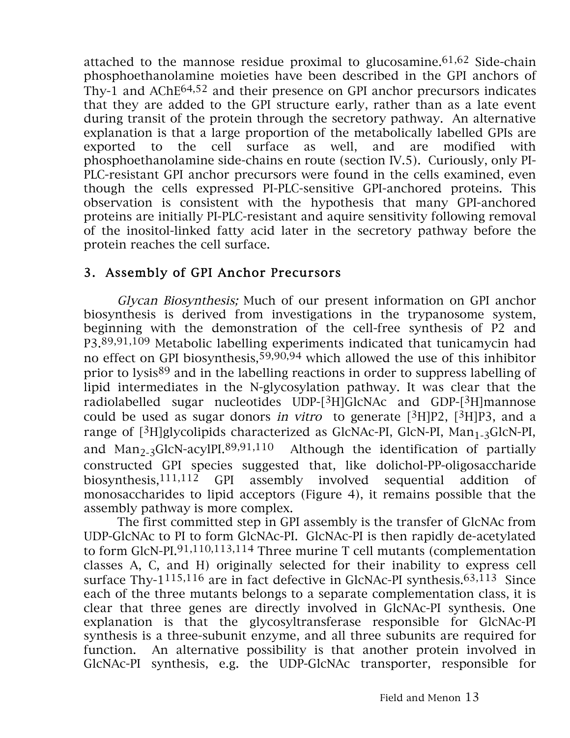attached to the mannose residue proximal to glucosamine.  $61,62$  Side-chain phosphoethanolamine moieties have been described in the GPI anchors of Thy-1 and AChE64,52 and their presence on GPI anchor precursors indicates that they are added to the GPI structure early, rather than as a late event during transit of the protein through the secretory pathway. An alternative explanation is that a large proportion of the metabolically labelled GPIs are exported to the cell surface as well, and are modified with phosphoethanolamine side-chains en route (section IV.5). Curiously, only PI-PLC-resistant GPI anchor precursors were found in the cells examined, even though the cells expressed PI-PLC-sensitive GPI-anchored proteins. This observation is consistent with the hypothesis that many GPI-anchored proteins are initially PI-PLC-resistant and aquire sensitivity following removal of the inositol-linked fatty acid later in the secretory pathway before the protein reaches the cell surface.

# 3. Assembly of GPI Anchor Precursors

Glycan Biosynthesis; Much of our present information on GPI anchor biosynthesis is derived from investigations in the trypanosome system, beginning with the demonstration of the cell-free synthesis of P2 and P3.89,91,109 Metabolic labelling experiments indicated that tunicamycin had no effect on GPI biosynthesis,  $59,90,94$  which allowed the use of this inhibitor prior to lysis<sup>89</sup> and in the labelling reactions in order to suppress labelling of lipid intermediates in the N-glycosylation pathway. It was clear that the radiolabelled sugar nucleotides UDP-[3H]GlcNAc and GDP-[3H]mannose could be used as sugar donors in vitro to generate  $[3H]P2$ ,  $[3H]P3$ , and a range of  $[3H]$ glycolipids characterized as GlcNAc-PI, GlcN-PI, Man<sub>1-3</sub>GlcN-PI, and  $Man_{2-3}GlcN-acylPI.89,91,110$  Although the identification of partially constructed GPI species suggested that, like dolichol-PP-oligosaccharide biosynthesis,111,112 GPI assembly involved sequential addition of monosaccharides to lipid acceptors (Figure 4), it remains possible that the assembly pathway is more complex.

The first committed step in GPI assembly is the transfer of GlcNAc from UDP-GlcNAc to PI to form GlcNAc-PI. GlcNAc-PI is then rapidly de-acetylated to form GlcN-PI.91,110,113,114 Three murine T cell mutants (complementation classes A, C, and H) originally selected for their inability to express cell surface Thy- $1^{115,116}$  are in fact defective in GlcNAc-PI synthesis.<sup>63,113</sup> Since each of the three mutants belongs to a separate complementation class, it is clear that three genes are directly involved in GlcNAc-PI synthesis. One explanation is that the glycosyltransferase responsible for GlcNAc-PI synthesis is a three-subunit enzyme, and all three subunits are required for function. An alternative possibility is that another protein involved in GlcNAc-PI synthesis, e.g. the UDP-GlcNAc transporter, responsible for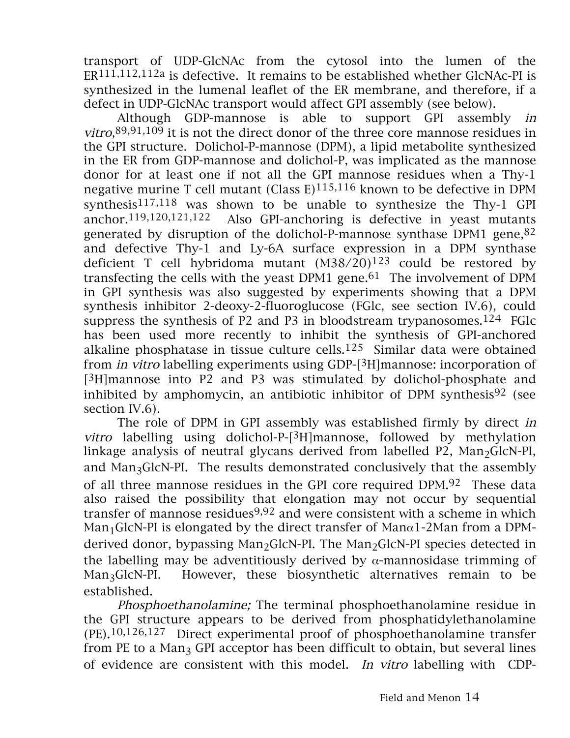transport of UDP-GlcNAc from the cytosol into the lumen of the ER111,112,112a is defective. It remains to be established whether GlcNAc-PI is synthesized in the lumenal leaflet of the ER membrane, and therefore, if a defect in UDP-GlcNAc transport would affect GPI assembly (see below).

Although GDP-mannose is able to support GPI assembly in *vitro*,  $89,91,109$  it is not the direct donor of the three core mannose residues in the GPI structure. Dolichol-P-mannose (DPM), a lipid metabolite synthesized in the ER from GDP-mannose and dolichol-P, was implicated as the mannose donor for at least one if not all the GPI mannose residues when a Thy-1 negative murine T cell mutant (Class  $E$ )<sup>115,116</sup> known to be defective in DPM synthesis117,118 was shown to be unable to synthesize the Thy-1 GPI anchor.119,120,121,122 Also GPI-anchoring is defective in yeast mutants generated by disruption of the dolichol-P-mannose synthase DPM1 gene, $82$ and defective Thy-1 and Ly-6A surface expression in a DPM synthase deficient T cell hybridoma mutant (M38/20)123 could be restored by transfecting the cells with the yeast DPM1 gene.<sup>61</sup> The involvement of DPM in GPI synthesis was also suggested by experiments showing that a DPM synthesis inhibitor 2-deoxy-2-fluoroglucose (FGlc, see section IV.6), could suppress the synthesis of P2 and P3 in bloodstream trypanosomes.<sup>124</sup> FGlc has been used more recently to inhibit the synthesis of GPI-anchored alkaline phosphatase in tissue culture cells. $125$  Similar data were obtained from in vitro labelling experiments using GDP-[3H]mannose: incorporation of [3H]mannose into P2 and P3 was stimulated by dolichol-phosphate and inhibited by amphomycin, an antibiotic inhibitor of DPM synthesis<sup>92</sup> (see section IV.6).

The role of DPM in GPI assembly was established firmly by direct in vitro labelling using dolichol-P-[3H]mannose, followed by methylation linkage analysis of neutral glycans derived from labelled  $P2$ , Man<sub>2</sub>GlcN-PI, and Man3GlcN-PI. The results demonstrated conclusively that the assembly of all three mannose residues in the GPI core required DPM.92 These data also raised the possibility that elongation may not occur by sequential transfer of mannose residues<sup>9,92</sup> and were consistent with a scheme in which Man<sub>1</sub>GlcN-PI is elongated by the direct transfer of Man $\alpha$ 1-2Man from a DPMderived donor, bypassing  $Man_2GlcN-PI$ . The  $Man_2GlcN-PI$  species detected in the labelling may be adventitiously derived by  $\alpha$ -mannosidase trimming of Man<sub>3</sub>GlcN-PI. However, these biosynthetic alternatives remain to be established.

Phosphoethanolamine; The terminal phosphoethanolamine residue in the GPI structure appears to be derived from phosphatidylethanolamine (PE).10,126,127 Direct experimental proof of phosphoethanolamine transfer from PE to a Man<sub>3</sub> GPI acceptor has been difficult to obtain, but several lines of evidence are consistent with this model. In vitro labelling with CDP-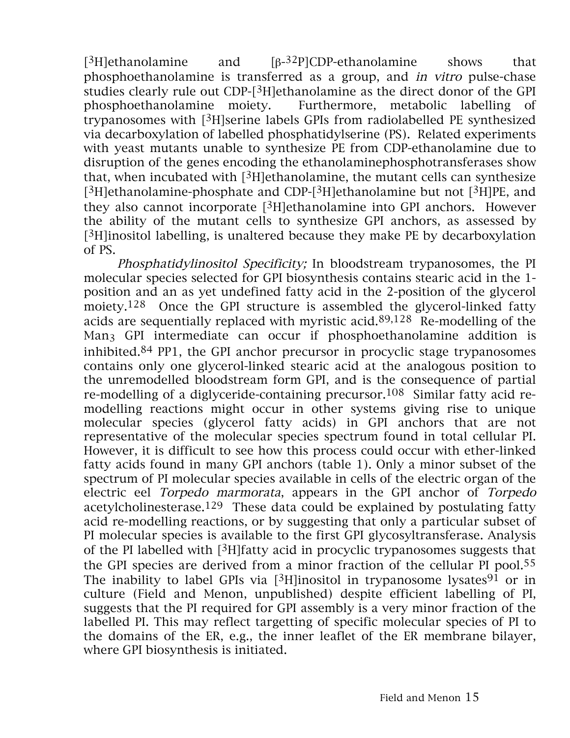[3H]ethanolamine and [β-32P]CDP-ethanolamine shows that phosphoethanolamine is transferred as a group, and in vitro pulse-chase studies clearly rule out CDP-[3H]ethanolamine as the direct donor of the GPI phosphoethanolamine moiety. Furthermore, metabolic labelling of trypanosomes with [3H]serine labels GPIs from radiolabelled PE synthesized via decarboxylation of labelled phosphatidylserine (PS). Related experiments with yeast mutants unable to synthesize PE from CDP-ethanolamine due to disruption of the genes encoding the ethanolaminephosphotransferases show that, when incubated with  $[3H]$ ethanolamine, the mutant cells can synthesize [3H]ethanolamine-phosphate and CDP-[3H]ethanolamine but not [3H]PE, and they also cannot incorporate [3H]ethanolamine into GPI anchors. However the ability of the mutant cells to synthesize GPI anchors, as assessed by  $[3H]$ inositol labelling, is unaltered because they make PE by decarboxylation of PS.

Phosphatidylinositol Specificity; In bloodstream trypanosomes, the PI molecular species selected for GPI biosynthesis contains stearic acid in the 1 position and an as yet undefined fatty acid in the 2-position of the glycerol moiety.<sup>128</sup> Once the GPI structure is assembled the glycerol-linked fatty acids are sequentially replaced with myristic acid.89,128 Re-modelling of the Man3 GPI intermediate can occur if phosphoethanolamine addition is inhibited.84 PP1, the GPI anchor precursor in procyclic stage trypanosomes contains only one glycerol-linked stearic acid at the analogous position to the unremodelled bloodstream form GPI, and is the consequence of partial re-modelling of a diglyceride-containing precursor.108 Similar fatty acid remodelling reactions might occur in other systems giving rise to unique molecular species (glycerol fatty acids) in GPI anchors that are not representative of the molecular species spectrum found in total cellular PI. However, it is difficult to see how this process could occur with ether-linked fatty acids found in many GPI anchors (table 1). Only a minor subset of the spectrum of PI molecular species available in cells of the electric organ of the electric eel Torpedo marmorata, appears in the GPI anchor of Torpedo acetylcholinesterase.129 These data could be explained by postulating fatty acid re-modelling reactions, or by suggesting that only a particular subset of PI molecular species is available to the first GPI glycosyltransferase. Analysis of the PI labelled with [3H]fatty acid in procyclic trypanosomes suggests that the GPI species are derived from a minor fraction of the cellular PI pool.55 The inability to label GPIs via  $[3H]$ inositol in trypanosome lysates<sup>91</sup> or in culture (Field and Menon, unpublished) despite efficient labelling of PI, suggests that the PI required for GPI assembly is a very minor fraction of the labelled PI. This may reflect targetting of specific molecular species of PI to the domains of the ER, e.g., the inner leaflet of the ER membrane bilayer, where GPI biosynthesis is initiated.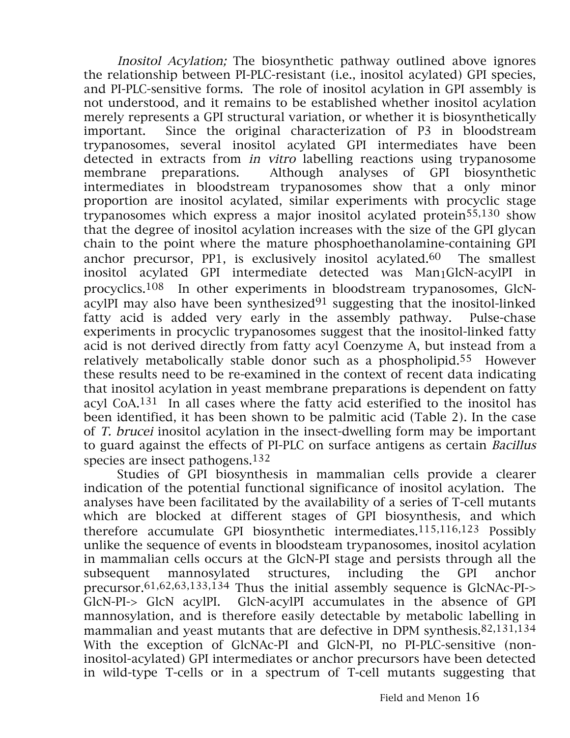Inositol Acylation; The biosynthetic pathway outlined above ignores the relationship between PI-PLC-resistant (i.e., inositol acylated) GPI species, and PI-PLC-sensitive forms. The role of inositol acylation in GPI assembly is not understood, and it remains to be established whether inositol acylation merely represents a GPI structural variation, or whether it is biosynthetically important. Since the original characterization of P3 in bloodstream trypanosomes, several inositol acylated GPI intermediates have been detected in extracts from in vitro labelling reactions using trypanosome membrane preparations. Although analyses of GPI biosynthetic intermediates in bloodstream trypanosomes show that a only minor proportion are inositol acylated, similar experiments with procyclic stage trypanosomes which express a major inositol acylated protein55,130 show that the degree of inositol acylation increases with the size of the GPI glycan chain to the point where the mature phosphoethanolamine-containing GPI anchor precursor, PP1, is exclusively inositol acylated.<sup>60</sup> The smallest inositol acylated GPI intermediate detected was Man<sub>1</sub>GlcN-acylPI in procyclics.108 In other experiments in bloodstream trypanosomes, GlcNacylPI may also have been synthesized $91$  suggesting that the inositol-linked fatty acid is added very early in the assembly pathway. Pulse-chase experiments in procyclic trypanosomes suggest that the inositol-linked fatty acid is not derived directly from fatty acyl Coenzyme A, but instead from a relatively metabolically stable donor such as a phospholipid.55 However these results need to be re-examined in the context of recent data indicating that inositol acylation in yeast membrane preparations is dependent on fatty acyl CoA.131 In all cases where the fatty acid esterified to the inositol has been identified, it has been shown to be palmitic acid (Table 2). In the case of T. brucei inositol acylation in the insect-dwelling form may be important to guard against the effects of PI-PLC on surface antigens as certain Bacillus species are insect pathogens.132

Studies of GPI biosynthesis in mammalian cells provide a clearer indication of the potential functional significance of inositol acylation. The analyses have been facilitated by the availability of a series of T-cell mutants which are blocked at different stages of GPI biosynthesis, and which therefore accumulate GPI biosynthetic intermediates.115,116,123 Possibly unlike the sequence of events in bloodsteam trypanosomes, inositol acylation in mammalian cells occurs at the GlcN-PI stage and persists through all the subsequent mannosylated structures, including the GPI anchor precursor.61,62,63,133,134 Thus the initial assembly sequence is GlcNAc-PI-> GlcN-PI-> GlcN acylPI. GlcN-acylPI accumulates in the absence of GPI mannosylation, and is therefore easily detectable by metabolic labelling in mammalian and yeast mutants that are defective in DPM synthesis.82,131,134 With the exception of GlcNAc-PI and GlcN-PI, no PI-PLC-sensitive (noninositol-acylated) GPI intermediates or anchor precursors have been detected in wild-type T-cells or in a spectrum of T-cell mutants suggesting that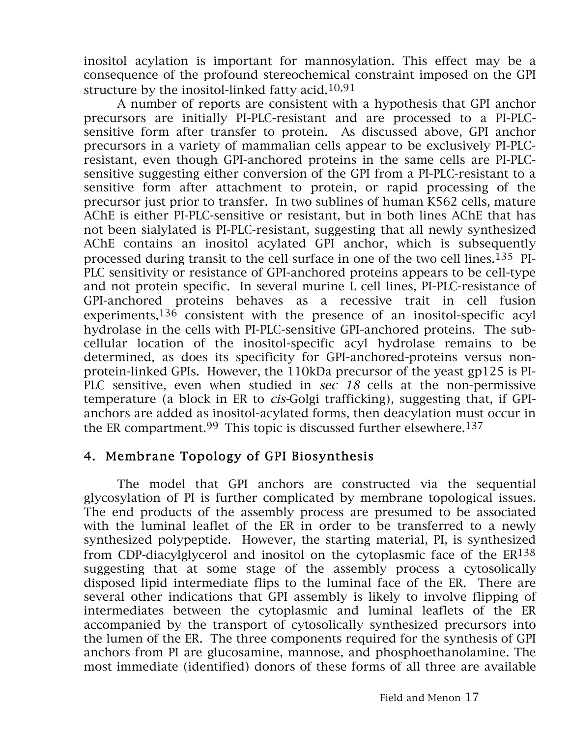inositol acylation is important for mannosylation. This effect may be a consequence of the profound stereochemical constraint imposed on the GPI structure by the inositol-linked fatty acid.  $10,91$ 

A number of reports are consistent with a hypothesis that GPI anchor precursors are initially PI-PLC-resistant and are processed to a PI-PLCsensitive form after transfer to protein. As discussed above, GPI anchor precursors in a variety of mammalian cells appear to be exclusively PI-PLCresistant, even though GPI-anchored proteins in the same cells are PI-PLCsensitive suggesting either conversion of the GPI from a PI-PLC-resistant to a sensitive form after attachment to protein, or rapid processing of the precursor just prior to transfer. In two sublines of human K562 cells, mature AChE is either PI-PLC-sensitive or resistant, but in both lines AChE that has not been sialylated is PI-PLC-resistant, suggesting that all newly synthesized AChE contains an inositol acylated GPI anchor, which is subsequently processed during transit to the cell surface in one of the two cell lines.135 PI-PLC sensitivity or resistance of GPI-anchored proteins appears to be cell-type and not protein specific. In several murine L cell lines, PI-PLC-resistance of GPI-anchored proteins behaves as a recessive trait in cell fusion experiments, $136$  consistent with the presence of an inositol-specific acyl hydrolase in the cells with PI-PLC-sensitive GPI-anchored proteins. The subcellular location of the inositol-specific acyl hydrolase remains to be determined, as does its specificity for GPI-anchored-proteins versus nonprotein-linked GPIs. However, the 110kDa precursor of the yeast gp125 is PI-PLC sensitive, even when studied in sec 18 cells at the non-permissive temperature (a block in ER to cis-Golgi trafficking), suggesting that, if GPIanchors are added as inositol-acylated forms, then deacylation must occur in the ER compartment.99 This topic is discussed further elsewhere.137

#### 4. Membrane Topology of GPI Biosynthesis

The model that GPI anchors are constructed via the sequential glycosylation of PI is further complicated by membrane topological issues. The end products of the assembly process are presumed to be associated with the luminal leaflet of the ER in order to be transferred to a newly synthesized polypeptide. However, the starting material, PI, is synthesized from CDP-diacylglycerol and inositol on the cytoplasmic face of the  $ER^{138}$ suggesting that at some stage of the assembly process a cytosolically disposed lipid intermediate flips to the luminal face of the ER. There are several other indications that GPI assembly is likely to involve flipping of intermediates between the cytoplasmic and luminal leaflets of the ER accompanied by the transport of cytosolically synthesized precursors into the lumen of the ER. The three components required for the synthesis of GPI anchors from PI are glucosamine, mannose, and phosphoethanolamine. The most immediate (identified) donors of these forms of all three are available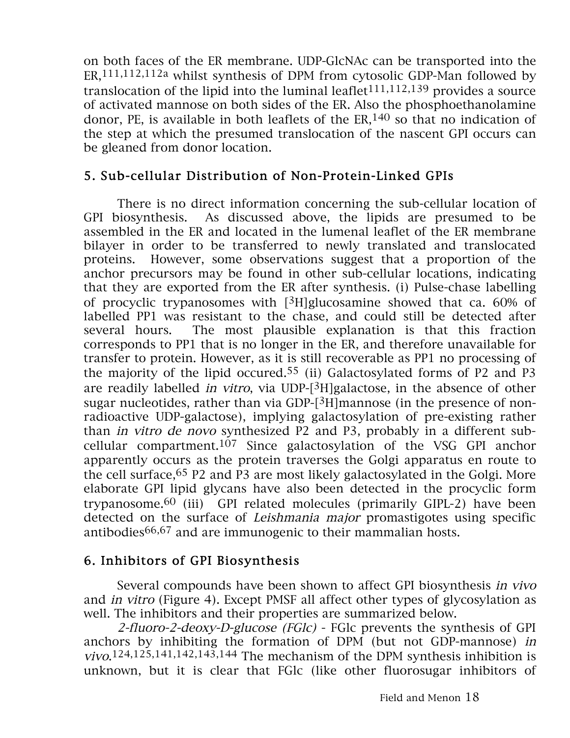on both faces of the ER membrane. UDP-GlcNAc can be transported into the ER,111,112,112a whilst synthesis of DPM from cytosolic GDP-Man followed by translocation of the lipid into the luminal leaflet  $111,112,139$  provides a source of activated mannose on both sides of the ER. Also the phosphoethanolamine donor, PE, is available in both leaflets of the  $ER<sub>140</sub>$  so that no indication of the step at which the presumed translocation of the nascent GPI occurs can be gleaned from donor location.

# 5. Sub-cellular Distribution of Non-Protein-Linked GPIs

There is no direct information concerning the sub-cellular location of GPI biosynthesis. As discussed above, the lipids are presumed to be assembled in the ER and located in the lumenal leaflet of the ER membrane bilayer in order to be transferred to newly translated and translocated proteins. However, some observations suggest that a proportion of the anchor precursors may be found in other sub-cellular locations, indicating that they are exported from the ER after synthesis. (i) Pulse-chase labelling of procyclic trypanosomes with [3H]glucosamine showed that ca. 60% of labelled PP1 was resistant to the chase, and could still be detected after several hours. The most plausible explanation is that this fraction corresponds to PP1 that is no longer in the ER, and therefore unavailable for transfer to protein. However, as it is still recoverable as PP1 no processing of the majority of the lipid occured.<sup>55</sup> (ii) Galactosylated forms of P2 and P3 are readily labelled *in vitro*, via UDP- $[3H]$ galactose, in the absence of other sugar nucleotides, rather than via GDP-[3H]mannose (in the presence of nonradioactive UDP-galactose), implying galactosylation of pre-existing rather than in vitro de novo synthesized P2 and P3, probably in a different subcellular compartment.107 Since galactosylation of the VSG GPI anchor apparently occurs as the protein traverses the Golgi apparatus en route to the cell surface,65 P2 and P3 are most likely galactosylated in the Golgi. More elaborate GPI lipid glycans have also been detected in the procyclic form trypanosome.60 (iii) GPI related molecules (primarily GIPL-2) have been detected on the surface of Leishmania major promastigotes using specific antibodies66,67 and are immunogenic to their mammalian hosts.

# 6. Inhibitors of GPI Biosynthesis

Several compounds have been shown to affect GPI biosynthesis in vivo and in vitro (Figure 4). Except PMSF all affect other types of glycosylation as well. The inhibitors and their properties are summarized below.

2-fluoro-2-deoxy-D-glucose (FGlc) - FGlc prevents the synthesis of GPI anchors by inhibiting the formation of DPM (but not GDP-mannose) in  $vivo$ .<sup>124,125,141,142,143,144</sup> The mechanism of the DPM synthesis inhibition is unknown, but it is clear that FGlc (like other fluorosugar inhibitors of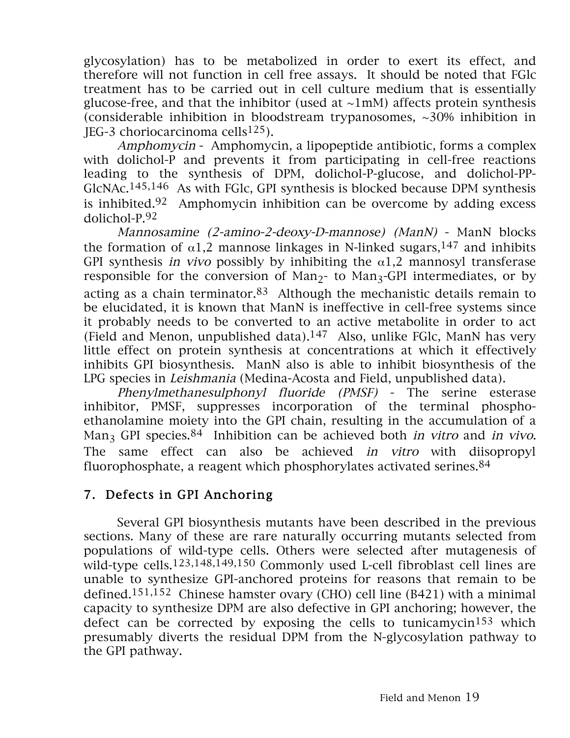glycosylation) has to be metabolized in order to exert its effect, and therefore will not function in cell free assays. It should be noted that FGlc treatment has to be carried out in cell culture medium that is essentially glucose-free, and that the inhibitor (used at  $\sim 1$ mM) affects protein synthesis (considerable inhibition in bloodstream trypanosomes, ~30% inhibition in JEG-3 choriocarcinoma cells<sup>125</sup>).

Amphomycin - Amphomycin, a lipopeptide antibiotic, forms a complex with dolichol-P and prevents it from participating in cell-free reactions leading to the synthesis of DPM, dolichol-P-glucose, and dolichol-PP-GlcNAc.145,146 As with FGlc, GPI synthesis is blocked because DPM synthesis is inhibited.<sup>92</sup> Amphomycin inhibition can be overcome by adding excess dolichol-P.92

Mannosamine (2-amino-2-deoxy-D-mannose) (ManN) - ManN blocks the formation of  $\alpha$ 1,2 mannose linkages in N-linked sugars, 147 and inhibits GPI synthesis in vivo possibly by inhibiting the  $\alpha$ 1,2 mannosyl transferase responsible for the conversion of Man<sub>2</sub>- to Man<sub>3</sub>-GPI intermediates, or by acting as a chain terminator. $83$  Although the mechanistic details remain to be elucidated, it is known that ManN is ineffective in cell-free systems since it probably needs to be converted to an active metabolite in order to act (Field and Menon, unpublished data). $147$  Also, unlike FGlc, ManN has very little effect on protein synthesis at concentrations at which it effectively inhibits GPI biosynthesis. ManN also is able to inhibit biosynthesis of the LPG species in Leishmania (Medina-Acosta and Field, unpublished data).

Phenylmethanesulphonyl fluoride (PMSF) - The serine esterase inhibitor, PMSF, suppresses incorporation of the terminal phosphoethanolamine moiety into the GPI chain, resulting in the accumulation of a Man<sub>3</sub> GPI species.<sup>84</sup> Inhibition can be achieved both *in vitro* and *in vivo*. The same effect can also be achieved in vitro with diisopropyl fluorophosphate, a reagent which phosphorylates activated serines.<sup>84</sup>

## 7. Defects in GPI Anchoring

Several GPI biosynthesis mutants have been described in the previous sections. Many of these are rare naturally occurring mutants selected from populations of wild-type cells. Others were selected after mutagenesis of wild-type cells.123,148,149,150 Commonly used L-cell fibroblast cell lines are unable to synthesize GPI-anchored proteins for reasons that remain to be defined.151,152 Chinese hamster ovary (CHO) cell line (B421) with a minimal capacity to synthesize DPM are also defective in GPI anchoring; however, the defect can be corrected by exposing the cells to tunicamycin<sup>153</sup> which presumably diverts the residual DPM from the N-glycosylation pathway to the GPI pathway.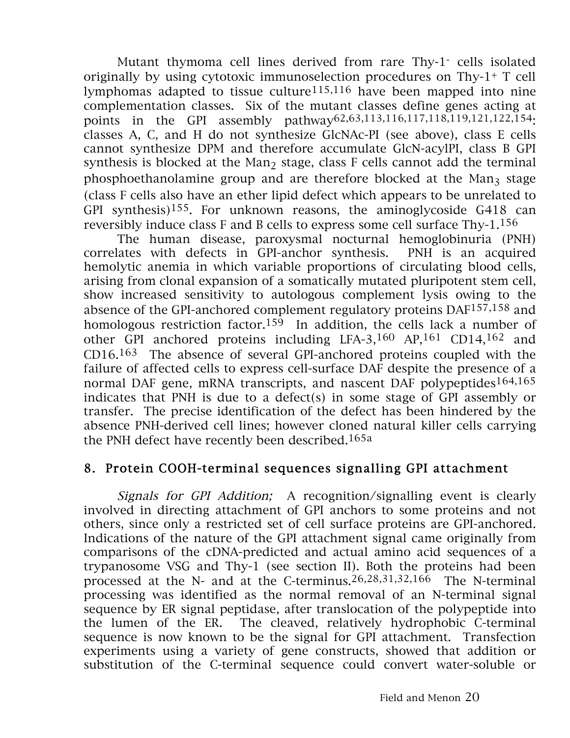Mutant thymoma cell lines derived from rare Thy-1- cells isolated originally by using cytotoxic immunoselection procedures on Thy-1+ T cell lymphomas adapted to tissue culture<sup>115,116</sup> have been mapped into nine complementation classes. Six of the mutant classes define genes acting at points in the GPI assembly pathway<sup>62</sup>,63,113,116,117,118,119,121,122,154. classes A, C, and H do not synthesize GlcNAc-PI (see above), class E cells cannot synthesize DPM and therefore accumulate GlcN-acylPI, class B GPI synthesis is blocked at the Man<sub>2</sub> stage, class F cells cannot add the terminal phosphoethanolamine group and are therefore blocked at the  $Man<sub>3</sub>$  stage (class F cells also have an ether lipid defect which appears to be unrelated to GPI synthesis)<sup>155</sup>. For unknown reasons, the aminoglycoside G418 can reversibly induce class F and B cells to express some cell surface Thy-1.156

The human disease, paroxysmal nocturnal hemoglobinuria (PNH) correlates with defects in GPI-anchor synthesis. PNH is an acquired hemolytic anemia in which variable proportions of circulating blood cells, arising from clonal expansion of a somatically mutated pluripotent stem cell, show increased sensitivity to autologous complement lysis owing to the absence of the GPI-anchored complement regulatory proteins DAF157,158 and homologous restriction factor.<sup>159</sup> In addition, the cells lack a number of other GPI anchored proteins including LFA-3,160 AP,161 CD14,162 and CD16.163 The absence of several GPI-anchored proteins coupled with the failure of affected cells to express cell-surface DAF despite the presence of a normal DAF gene, mRNA transcripts, and nascent DAF polypeptides<sup>164,165</sup> indicates that PNH is due to a defect(s) in some stage of GPI assembly or transfer. The precise identification of the defect has been hindered by the absence PNH-derived cell lines; however cloned natural killer cells carrying the PNH defect have recently been described.165a

## 8. Protein COOH-terminal sequences signalling GPI attachment

Signals for GPI Addition; A recognition/signalling event is clearly involved in directing attachment of GPI anchors to some proteins and not others, since only a restricted set of cell surface proteins are GPI-anchored. Indications of the nature of the GPI attachment signal came originally from comparisons of the cDNA-predicted and actual amino acid sequences of a trypanosome VSG and Thy-1 (see section II). Both the proteins had been processed at the N- and at the C-terminus.26,28,31,32,166 The N-terminal processing was identified as the normal removal of an N-terminal signal sequence by ER signal peptidase, after translocation of the polypeptide into the lumen of the ER. The cleaved, relatively hydrophobic C-terminal sequence is now known to be the signal for GPI attachment. Transfection experiments using a variety of gene constructs, showed that addition or substitution of the C-terminal sequence could convert water-soluble or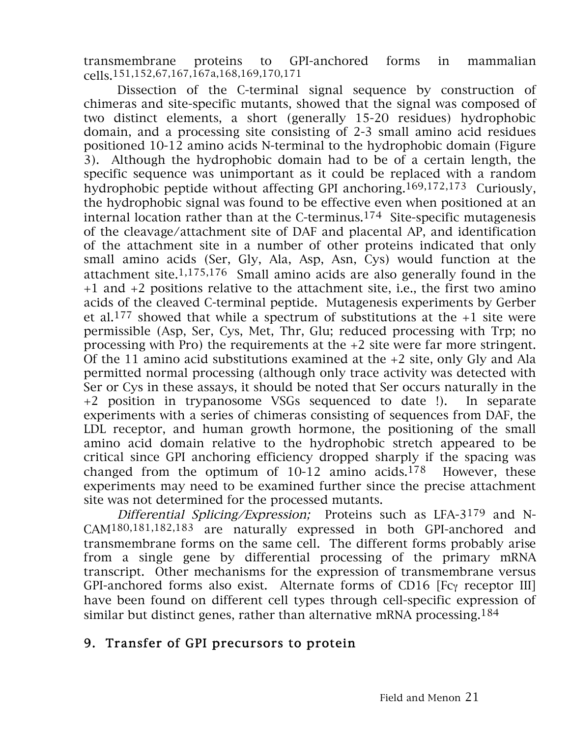transmembrane proteins to GPI-anchored forms in mammalian cells.151,152,67,167,167a,168,169,170,171

Dissection of the C-terminal signal sequence by construction of chimeras and site-specific mutants, showed that the signal was composed of two distinct elements, a short (generally 15-20 residues) hydrophobic domain, and a processing site consisting of 2-3 small amino acid residues positioned 10-12 amino acids N-terminal to the hydrophobic domain (Figure 3). Although the hydrophobic domain had to be of a certain length, the specific sequence was unimportant as it could be replaced with a random hydrophobic peptide without affecting GPI anchoring.169,172,173 Curiously, the hydrophobic signal was found to be effective even when positioned at an internal location rather than at the C-terminus.174 Site-specific mutagenesis of the cleavage/attachment site of DAF and placental AP, and identification of the attachment site in a number of other proteins indicated that only small amino acids (Ser, Gly, Ala, Asp, Asn, Cys) would function at the attachment site.1,175,176 Small amino acids are also generally found in the +1 and +2 positions relative to the attachment site, i.e., the first two amino acids of the cleaved C-terminal peptide. Mutagenesis experiments by Gerber et al.<sup>177</sup> showed that while a spectrum of substitutions at the  $+1$  site were permissible (Asp, Ser, Cys, Met, Thr, Glu; reduced processing with Trp; no processing with Pro) the requirements at the +2 site were far more stringent. Of the 11 amino acid substitutions examined at the +2 site, only Gly and Ala permitted normal processing (although only trace activity was detected with Ser or Cys in these assays, it should be noted that Ser occurs naturally in the +2 position in trypanosome VSGs sequenced to date !). In separate experiments with a series of chimeras consisting of sequences from DAF, the LDL receptor, and human growth hormone, the positioning of the small amino acid domain relative to the hydrophobic stretch appeared to be critical since GPI anchoring efficiency dropped sharply if the spacing was changed from the optimum of  $10-12$  amino acids.<sup>178</sup> However, these experiments may need to be examined further since the precise attachment site was not determined for the processed mutants.

Differential Splicing/Expression; Proteins such as LFA-3<sup>179</sup> and N-CAM180,181,182,183 are naturally expressed in both GPI-anchored and transmembrane forms on the same cell. The different forms probably arise from a single gene by differential processing of the primary mRNA transcript. Other mechanisms for the expression of transmembrane versus GPI-anchored forms also exist. Alternate forms of CD16 [Fcγ receptor III] have been found on different cell types through cell-specific expression of similar but distinct genes, rather than alternative mRNA processing.184

## 9. Transfer of GPI precursors to protein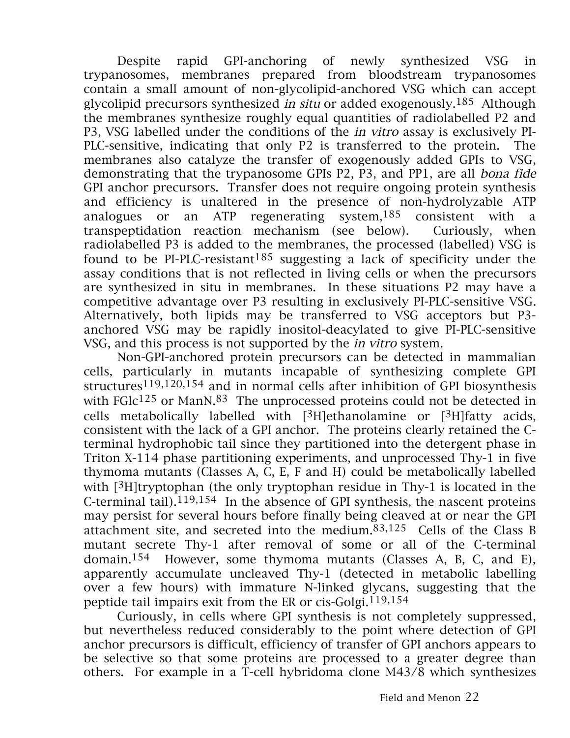Despite rapid GPI-anchoring of newly synthesized VSG in trypanosomes, membranes prepared from bloodstream trypanosomes contain a small amount of non-glycolipid-anchored VSG which can accept glycolipid precursors synthesized in situ or added exogenously.185 Although the membranes synthesize roughly equal quantities of radiolabelled P2 and P3, VSG labelled under the conditions of the in vitro assay is exclusively PI-PLC-sensitive, indicating that only P2 is transferred to the protein. The membranes also catalyze the transfer of exogenously added GPIs to VSG, demonstrating that the trypanosome GPIs P2, P3, and PP1, are all bona fide GPI anchor precursors. Transfer does not require ongoing protein synthesis and efficiency is unaltered in the presence of non-hydrolyzable ATP analogues or an ATP regenerating system,  $185$  consistent with a transpeptidation reaction mechanism (see below). Curiously, when radiolabelled P3 is added to the membranes, the processed (labelled) VSG is found to be PI-PLC-resistant<sup>185</sup> suggesting a lack of specificity under the assay conditions that is not reflected in living cells or when the precursors are synthesized in situ in membranes. In these situations P2 may have a competitive advantage over P3 resulting in exclusively PI-PLC-sensitive VSG. Alternatively, both lipids may be transferred to VSG acceptors but P3 anchored VSG may be rapidly inositol-deacylated to give PI-PLC-sensitive VSG, and this process is not supported by the in vitro system.

Non-GPI-anchored protein precursors can be detected in mammalian cells, particularly in mutants incapable of synthesizing complete GPI structures119,120,154 and in normal cells after inhibition of GPI biosynthesis with  $FGlc^{125}$  or ManN.<sup>83</sup> The unprocessed proteins could not be detected in cells metabolically labelled with  $[3H]$ ethanolamine or  $[3H]$ fatty acids, consistent with the lack of a GPI anchor. The proteins clearly retained the Cterminal hydrophobic tail since they partitioned into the detergent phase in Triton X-114 phase partitioning experiments, and unprocessed Thy-1 in five thymoma mutants (Classes A, C, E, F and H) could be metabolically labelled with  $[3H]$ tryptophan (the only tryptophan residue in Thy-1 is located in the C-terminal tail). $119,154$  In the absence of GPI synthesis, the nascent proteins may persist for several hours before finally being cleaved at or near the GPI attachment site, and secreted into the medium.83,125 Cells of the Class B mutant secrete Thy-1 after removal of some or all of the C-terminal domain.154 However, some thymoma mutants (Classes A, B, C, and E), apparently accumulate uncleaved Thy-1 (detected in metabolic labelling over a few hours) with immature N-linked glycans, suggesting that the peptide tail impairs exit from the ER or cis-Golgi.119,154

Curiously, in cells where GPI synthesis is not completely suppressed, but nevertheless reduced considerably to the point where detection of GPI anchor precursors is difficult, efficiency of transfer of GPI anchors appears to be selective so that some proteins are processed to a greater degree than others. For example in a T-cell hybridoma clone M43/8 which synthesizes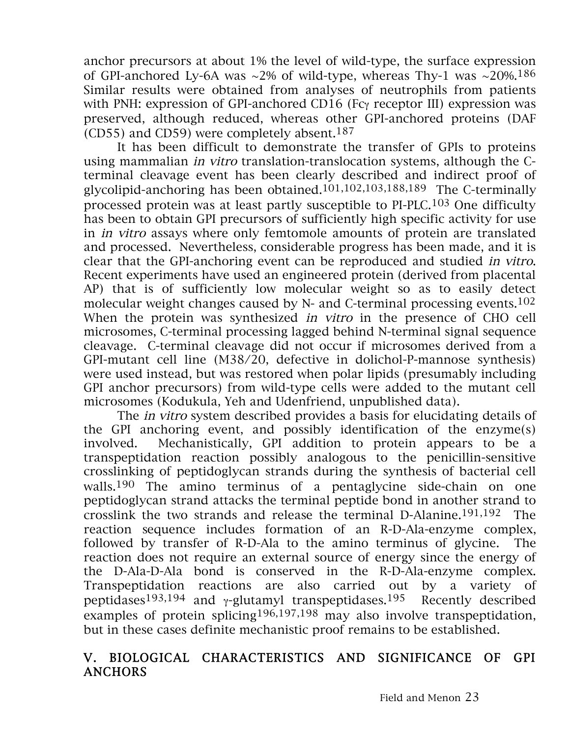anchor precursors at about 1% the level of wild-type, the surface expression of GPI-anchored Ly-6A was  $\sim$ 2% of wild-type, whereas Thy-1 was  $\sim$ 20%.<sup>186</sup> Similar results were obtained from analyses of neutrophils from patients with PNH: expression of GPI-anchored CD16 (Fcγ receptor III) expression was preserved, although reduced, whereas other GPI-anchored proteins (DAF (CD55) and CD59) were completely absent.<sup>187</sup>

It has been difficult to demonstrate the transfer of GPIs to proteins using mammalian in vitro translation-translocation systems, although the Cterminal cleavage event has been clearly described and indirect proof of glycolipid-anchoring has been obtained.101,102,103,188,189 The C-terminally processed protein was at least partly susceptible to PI-PLC.103 One difficulty has been to obtain GPI precursors of sufficiently high specific activity for use in in vitro assays where only femtomole amounts of protein are translated and processed. Nevertheless, considerable progress has been made, and it is clear that the GPI-anchoring event can be reproduced and studied in vitro. Recent experiments have used an engineered protein (derived from placental AP) that is of sufficiently low molecular weight so as to easily detect molecular weight changes caused by N- and C-terminal processing events.102 When the protein was synthesized in vitro in the presence of CHO cell microsomes, C-terminal processing lagged behind N-terminal signal sequence cleavage. C-terminal cleavage did not occur if microsomes derived from a GPI-mutant cell line (M38/20, defective in dolichol-P-mannose synthesis) were used instead, but was restored when polar lipids (presumably including GPI anchor precursors) from wild-type cells were added to the mutant cell microsomes (Kodukula, Yeh and Udenfriend, unpublished data).

The in vitro system described provides a basis for elucidating details of the GPI anchoring event, and possibly identification of the enzyme(s) involved. Mechanistically, GPI addition to protein appears to be a transpeptidation reaction possibly analogous to the penicillin-sensitive crosslinking of peptidoglycan strands during the synthesis of bacterial cell walls.<sup>190</sup> The amino terminus of a pentaglycine side-chain on one peptidoglycan strand attacks the terminal peptide bond in another strand to crosslink the two strands and release the terminal D-Alanine.<sup>191,192</sup> The reaction sequence includes formation of an R-D-Ala-enzyme complex, followed by transfer of R-D-Ala to the amino terminus of glycine. The reaction does not require an external source of energy since the energy of the D-Ala-D-Ala bond is conserved in the R-D-Ala-enzyme complex. Transpeptidation reactions are also carried out by a variety of peptidases<sup>193,194</sup> and *γ*-glutamyl transpeptidases.<sup>195</sup> Recently described examples of protein splicing196,197,198 may also involve transpeptidation, but in these cases definite mechanistic proof remains to be established.

#### V. BIOLOGICAL CHARACTERISTICS AND SIGNIFICANCE OF GPI ANCHORS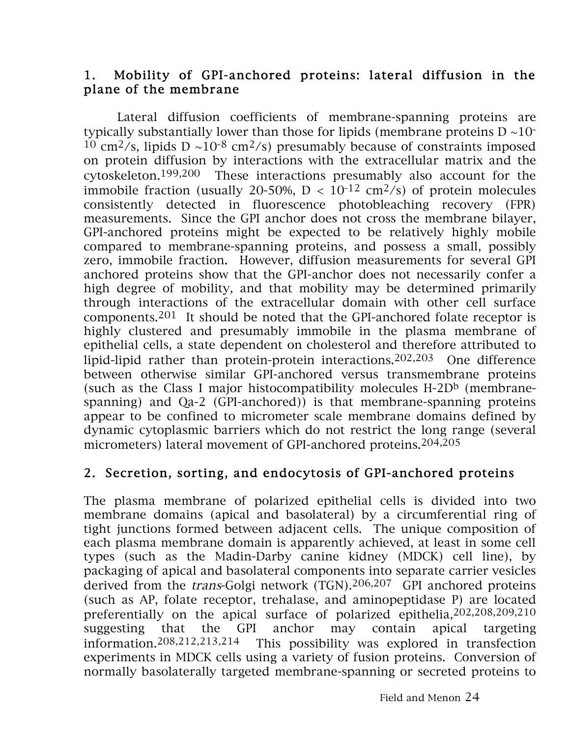## 1. Mobility of GPI-anchored proteins: lateral diffusion in the plane of the membrane

Lateral diffusion coefficients of membrane-spanning proteins are typically substantially lower than those for lipids (membrane proteins  $D \sim 10^{-1}$ <sup>10</sup> cm<sup>2</sup>/s, lipids D ~10<sup>-8</sup> cm<sup>2</sup>/s) presumably because of constraints imposed on protein diffusion by interactions with the extracellular matrix and the cytoskeleton.199,200 These interactions presumably also account for the immobile fraction (usually 20-50%,  $D < 10^{-12}$  cm<sup>2</sup>/s) of protein molecules consistently detected in fluorescence photobleaching recovery (FPR) measurements. Since the GPI anchor does not cross the membrane bilayer, GPI-anchored proteins might be expected to be relatively highly mobile compared to membrane-spanning proteins, and possess a small, possibly zero, immobile fraction. However, diffusion measurements for several GPI anchored proteins show that the GPI-anchor does not necessarily confer a high degree of mobility, and that mobility may be determined primarily through interactions of the extracellular domain with other cell surface components.<sup>201</sup> It should be noted that the GPI-anchored folate receptor is highly clustered and presumably immobile in the plasma membrane of epithelial cells, a state dependent on cholesterol and therefore attributed to lipid-lipid rather than protein-protein interactions.202,203 One difference between otherwise similar GPI-anchored versus transmembrane proteins (such as the Class I major histocompatibility molecules  $H-2D<sup>b</sup>$  (membranespanning) and Qa-2 (GPI-anchored)) is that membrane-spanning proteins appear to be confined to micrometer scale membrane domains defined by dynamic cytoplasmic barriers which do not restrict the long range (several micrometers) lateral movement of GPI-anchored proteins.204,205

## 2. Secretion, sorting, and endocytosis of GPI-anchored proteins

The plasma membrane of polarized epithelial cells is divided into two membrane domains (apical and basolateral) by a circumferential ring of tight junctions formed between adjacent cells. The unique composition of each plasma membrane domain is apparently achieved, at least in some cell types (such as the Madin-Darby canine kidney (MDCK) cell line), by packaging of apical and basolateral components into separate carrier vesicles derived from the trans-Golgi network (TGN).206,207 GPI anchored proteins (such as AP, folate receptor, trehalase, and aminopeptidase P) are located preferentially on the apical surface of polarized epithelia,202,208,209,210 suggesting that the GPI anchor may contain apical targeting<br>information.<sup>208,212,213,214</sup> This possibility was explored in transfection This possibility was explored in transfection experiments in MDCK cells using a variety of fusion proteins. Conversion of normally basolaterally targeted membrane-spanning or secreted proteins to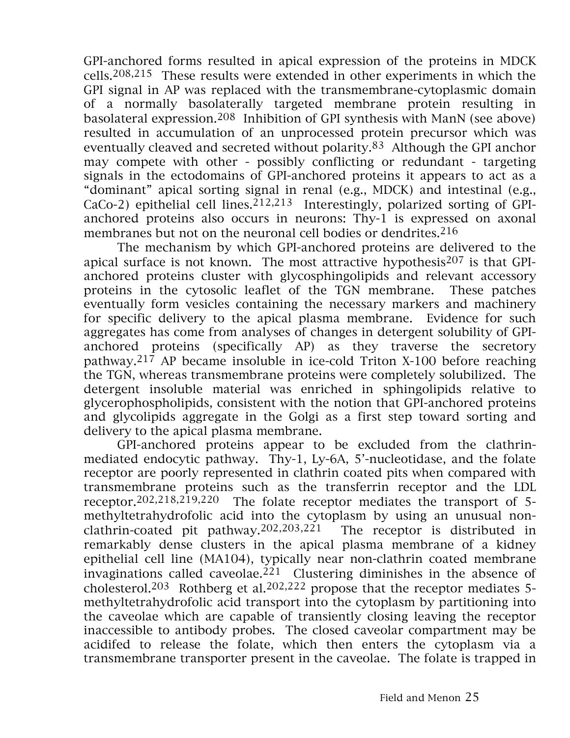GPI-anchored forms resulted in apical expression of the proteins in MDCK cells.208,215 These results were extended in other experiments in which the GPI signal in AP was replaced with the transmembrane-cytoplasmic domain of a normally basolaterally targeted membrane protein resulting in basolateral expression.208 Inhibition of GPI synthesis with ManN (see above) resulted in accumulation of an unprocessed protein precursor which was eventually cleaved and secreted without polarity.83 Although the GPI anchor may compete with other - possibly conflicting or redundant - targeting signals in the ectodomains of GPI-anchored proteins it appears to act as a "dominant" apical sorting signal in renal (e.g., MDCK) and intestinal (e.g.,  $CaCo-2$ ) epithelial cell lines.<sup>212,213</sup> Interestingly, polarized sorting of GPIanchored proteins also occurs in neurons: Thy-1 is expressed on axonal membranes but not on the neuronal cell bodies or dendrites.  $216$ 

The mechanism by which GPI-anchored proteins are delivered to the apical surface is not known. The most attractive hypothesis207 is that GPIanchored proteins cluster with glycosphingolipids and relevant accessory proteins in the cytosolic leaflet of the TGN membrane. These patches eventually form vesicles containing the necessary markers and machinery for specific delivery to the apical plasma membrane. Evidence for such aggregates has come from analyses of changes in detergent solubility of GPIanchored proteins (specifically AP) as they traverse the secretory pathway.217 AP became insoluble in ice-cold Triton X-100 before reaching the TGN, whereas transmembrane proteins were completely solubilized. The detergent insoluble material was enriched in sphingolipids relative to glycerophospholipids, consistent with the notion that GPI-anchored proteins and glycolipids aggregate in the Golgi as a first step toward sorting and delivery to the apical plasma membrane.

GPI-anchored proteins appear to be excluded from the clathrinmediated endocytic pathway. Thy-1, Ly-6A, 5'-nucleotidase, and the folate receptor are poorly represented in clathrin coated pits when compared with transmembrane proteins such as the transferrin receptor and the LDL receptor.202,218,219,220 The folate receptor mediates the transport of 5 methyltetrahydrofolic acid into the cytoplasm by using an unusual nonclathrin-coated pit pathway.202,203,221 The receptor is distributed in remarkably dense clusters in the apical plasma membrane of a kidney epithelial cell line (MA104), typically near non-clathrin coated membrane invaginations called caveolae.<sup>221</sup> Clustering diminishes in the absence of cholesterol.<sup>203</sup> Rothberg et al.<sup>202,222</sup> propose that the receptor mediates 5methyltetrahydrofolic acid transport into the cytoplasm by partitioning into the caveolae which are capable of transiently closing leaving the receptor inaccessible to antibody probes. The closed caveolar compartment may be acidifed to release the folate, which then enters the cytoplasm via a transmembrane transporter present in the caveolae. The folate is trapped in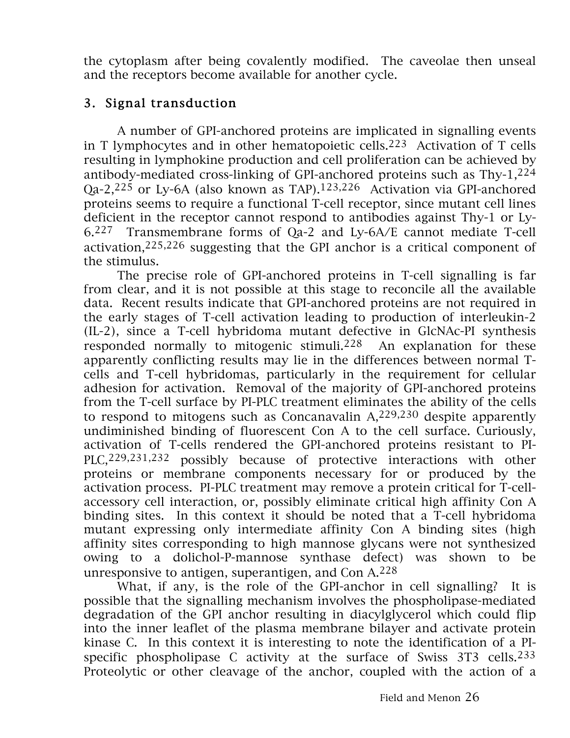the cytoplasm after being covalently modified. The caveolae then unseal and the receptors become available for another cycle.

## 3. Signal transduction

A number of GPI-anchored proteins are implicated in signalling events in T lymphocytes and in other hematopoietic cells.<sup>223</sup> Activation of T cells resulting in lymphokine production and cell proliferation can be achieved by antibody-mediated cross-linking of GPI-anchored proteins such as Thy-1,224 Qa-2,225 or Ly-6A (also known as TAP).123,226 Activation via GPI-anchored proteins seems to require a functional T-cell receptor, since mutant cell lines deficient in the receptor cannot respond to antibodies against Thy-1 or Ly-6.227 Transmembrane forms of Qa-2 and Ly-6A/E cannot mediate T-cell activation,225,226 suggesting that the GPI anchor is a critical component of the stimulus.

The precise role of GPI-anchored proteins in T-cell signalling is far from clear, and it is not possible at this stage to reconcile all the available data. Recent results indicate that GPI-anchored proteins are not required in the early stages of T-cell activation leading to production of interleukin-2 (IL-2), since a T-cell hybridoma mutant defective in GlcNAc-PI synthesis responded normally to mitogenic stimuli.<sup>228</sup> An explanation for these apparently conflicting results may lie in the differences between normal Tcells and T-cell hybridomas, particularly in the requirement for cellular adhesion for activation. Removal of the majority of GPI-anchored proteins from the T-cell surface by PI-PLC treatment eliminates the ability of the cells to respond to mitogens such as Concanavalin A,229,230 despite apparently undiminished binding of fluorescent Con A to the cell surface. Curiously, activation of T-cells rendered the GPI-anchored proteins resistant to PI-PLC, 229, 231, 232 possibly because of protective interactions with other proteins or membrane components necessary for or produced by the activation process. PI-PLC treatment may remove a protein critical for T-cellaccessory cell interaction, or, possibly eliminate critical high affinity Con A binding sites. In this context it should be noted that a T-cell hybridoma mutant expressing only intermediate affinity Con A binding sites (high affinity sites corresponding to high mannose glycans were not synthesized owing to a dolichol-P-mannose synthase defect) was shown to be unresponsive to antigen, superantigen, and Con  $A^{228}$ 

What, if any, is the role of the GPI-anchor in cell signalling? It is possible that the signalling mechanism involves the phospholipase-mediated degradation of the GPI anchor resulting in diacylglycerol which could flip into the inner leaflet of the plasma membrane bilayer and activate protein kinase C. In this context it is interesting to note the identification of a PIspecific phospholipase C activity at the surface of Swiss 3T3 cells.233 Proteolytic or other cleavage of the anchor, coupled with the action of a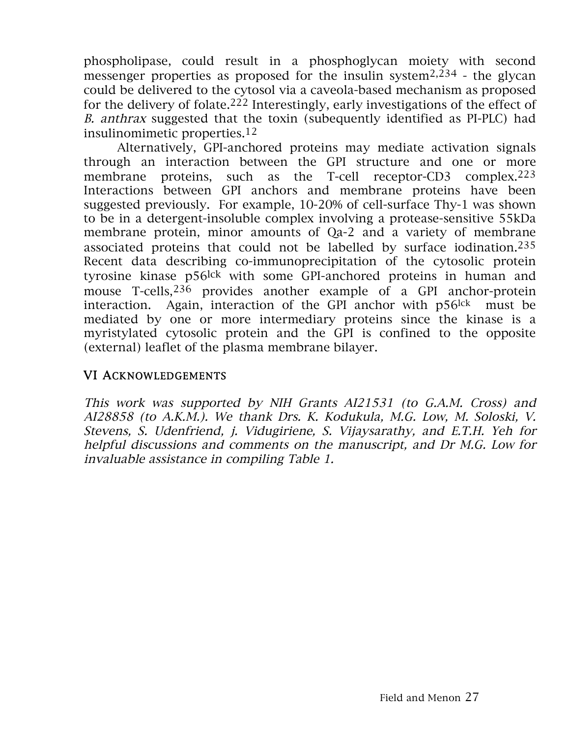phospholipase, could result in a phosphoglycan moiety with second messenger properties as proposed for the insulin system2,234 - the glycan could be delivered to the cytosol via a caveola-based mechanism as proposed for the delivery of folate.<sup>222</sup> Interestingly, early investigations of the effect of B. anthrax suggested that the toxin (subequently identified as PI-PLC) had insulinomimetic properties.12

Alternatively, GPI-anchored proteins may mediate activation signals through an interaction between the GPI structure and one or more membrane proteins, such as the T-cell receptor-CD3 complex.<sup>223</sup> Interactions between GPI anchors and membrane proteins have been suggested previously. For example, 10-20% of cell-surface Thy-1 was shown to be in a detergent-insoluble complex involving a protease-sensitive 55kDa membrane protein, minor amounts of Qa-2 and a variety of membrane associated proteins that could not be labelled by surface iodination.235 Recent data describing co-immunoprecipitation of the cytosolic protein tyrosine kinase p56lck with some GPI-anchored proteins in human and mouse T-cells, <sup>236</sup> provides another example of a GPI anchor-protein interaction. Again, interaction of the GPI anchor with p56lck must be mediated by one or more intermediary proteins since the kinase is a myristylated cytosolic protein and the GPI is confined to the opposite (external) leaflet of the plasma membrane bilayer.

### VI ACKNOWLEDGEMENTS

This work was supported by NIH Grants AI21531 (to G.A.M. Cross) and AI28858 (to A.K.M.). We thank Drs. K. Kodukula, M.G. Low, M. Soloski, V. Stevens, S. Udenfriend, j. Vidugiriene, S. Vijaysarathy, and E.T.H. Yeh for helpful discussions and comments on the manuscript, and Dr M.G. Low for invaluable assistance in compiling Table 1.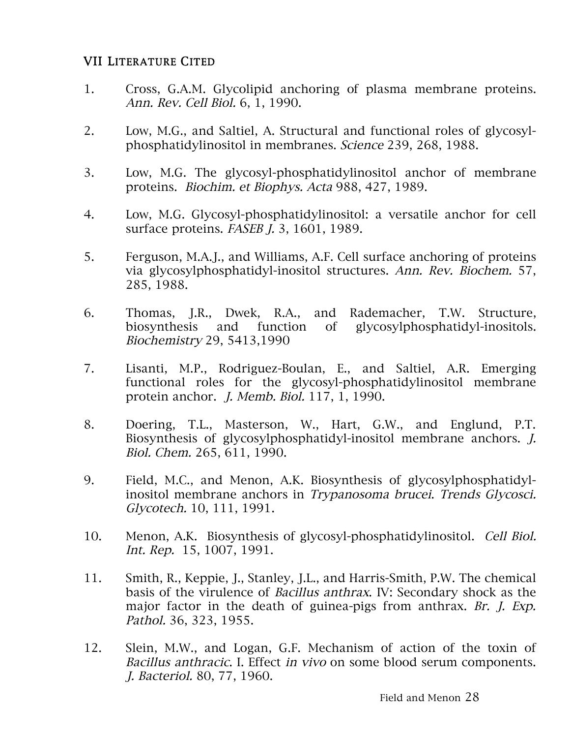#### VII LITERATURE CITED

- 1. Cross, G.A.M. Glycolipid anchoring of plasma membrane proteins. Ann. Rev. Cell Biol. 6, 1, 1990.
- 2. Low, M.G., and Saltiel, A. Structural and functional roles of glycosylphosphatidylinositol in membranes. Science 239, 268, 1988.
- 3. Low, M.G. The glycosyl-phosphatidylinositol anchor of membrane proteins. Biochim. et Biophys. Acta 988, 427, 1989.
- 4. Low, M.G. Glycosyl-phosphatidylinositol: a versatile anchor for cell surface proteins. FASEB J. 3, 1601, 1989.
- 5. Ferguson, M.A.J., and Williams, A.F. Cell surface anchoring of proteins via glycosylphosphatidyl-inositol structures. Ann. Rev. Biochem. 57, 285, 1988.
- 6. Thomas, J.R., Dwek, R.A., and Rademacher, T.W. Structure, biosynthesis and function of glycosylphosphatidyl-inositols. Biochemistry 29, 5413,1990
- 7. Lisanti, M.P., Rodriguez-Boulan, E., and Saltiel, A.R. Emerging functional roles for the glycosyl-phosphatidylinositol membrane protein anchor. J. Memb. Biol. 117, 1, 1990.
- 8. Doering, T.L., Masterson, W., Hart, G.W., and Englund, P.T. Biosynthesis of glycosylphosphatidyl-inositol membrane anchors. J. Biol. Chem. 265, 611, 1990.
- 9. Field, M.C., and Menon, A.K. Biosynthesis of glycosylphosphatidylinositol membrane anchors in Trypanosoma brucei. Trends Glycosci. Glycotech. 10, 111, 1991.
- 10. Menon, A.K. Biosynthesis of glycosyl-phosphatidylinositol. Cell Biol. Int. Rep. 15, 1007, 1991.
- 11. Smith, R., Keppie, J., Stanley, J.L., and Harris-Smith, P.W. The chemical basis of the virulence of Bacillus anthrax. IV: Secondary shock as the major factor in the death of guinea-pigs from anthrax. Br. J. Exp. Pathol. 36, 323, 1955.
- 12. Slein, M.W., and Logan, G.F. Mechanism of action of the toxin of Bacillus anthracic. I. Effect in vivo on some blood serum components. J. Bacteriol. 80, 77, 1960.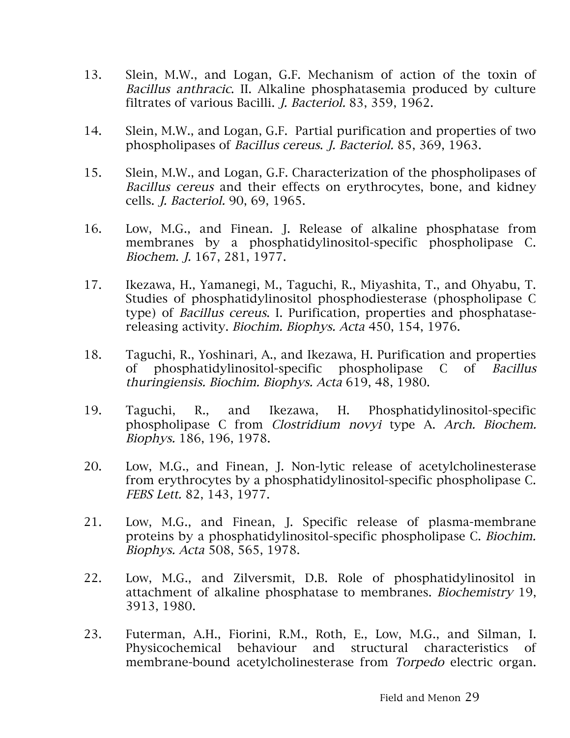- 13. Slein, M.W., and Logan, G.F. Mechanism of action of the toxin of Bacillus anthracic. II. Alkaline phosphatasemia produced by culture filtrates of various Bacilli. J. Bacteriol. 83, 359, 1962.
- 14. Slein, M.W., and Logan, G.F. Partial purification and properties of two phospholipases of Bacillus cereus. J. Bacteriol. 85, 369, 1963.
- 15. Slein, M.W., and Logan, G.F. Characterization of the phospholipases of Bacillus cereus and their effects on erythrocytes, bone, and kidney cells. J. Bacteriol. 90, 69, 1965.
- 16. Low, M.G., and Finean. J. Release of alkaline phosphatase from membranes by a phosphatidylinositol-specific phospholipase C. Biochem. J. 167, 281, 1977.
- 17. Ikezawa, H., Yamanegi, M., Taguchi, R., Miyashita, T., and Ohyabu, T. Studies of phosphatidylinositol phosphodiesterase (phospholipase C type) of Bacillus cereus. I. Purification, properties and phosphatasereleasing activity. Biochim. Biophys. Acta 450, 154, 1976.
- 18. Taguchi, R., Yoshinari, A., and Ikezawa, H. Purification and properties of phosphatidylinositol-specific phospholipase C of Bacillus thuringiensis. Biochim. Biophys. Acta 619, 48, 1980.
- 19. Taguchi, R., and Ikezawa, H. Phosphatidylinositol-specific phospholipase C from Clostridium novyi type A. Arch. Biochem. Biophys. 186, 196, 1978.
- 20. Low, M.G., and Finean, J. Non-lytic release of acetylcholinesterase from erythrocytes by a phosphatidylinositol-specific phospholipase C. FEBS Lett. 82, 143, 1977.
- 21. Low, M.G., and Finean, J. Specific release of plasma-membrane proteins by a phosphatidylinositol-specific phospholipase C. Biochim. Biophys. Acta 508, 565, 1978.
- 22. Low, M.G., and Zilversmit, D.B. Role of phosphatidylinositol in attachment of alkaline phosphatase to membranes. Biochemistry 19, 3913, 1980.
- 23. Futerman, A.H., Fiorini, R.M., Roth, E., Low, M.G., and Silman, I. Physicochemical behaviour and structural characteristics of membrane-bound acetylcholinesterase from Torpedo electric organ.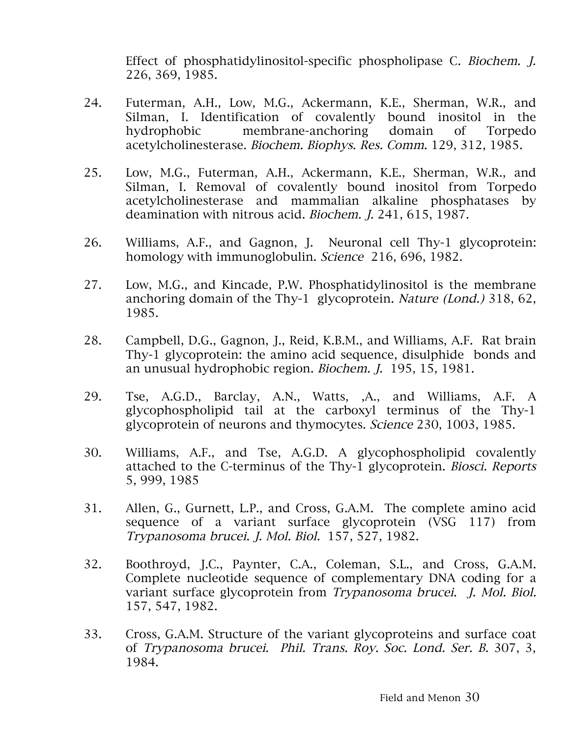Effect of phosphatidylinositol-specific phospholipase C. Biochem. J. 226, 369, 1985.

- 24. Futerman, A.H., Low, M.G., Ackermann, K.E., Sherman, W.R., and Silman, I. Identification of covalently bound inositol in the hydrophobic membrane-anchoring domain of Torpedo acetylcholinesterase. Biochem. Biophys. Res. Comm. 129, 312, 1985.
- 25. Low, M.G., Futerman, A.H., Ackermann, K.E., Sherman, W.R., and Silman, I. Removal of covalently bound inositol from Torpedo acetylcholinesterase and mammalian alkaline phosphatases by deamination with nitrous acid. Biochem. J. 241, 615, 1987.
- 26. Williams, A.F., and Gagnon, J. Neuronal cell Thy-1 glycoprotein: homology with immunoglobulin. Science 216, 696, 1982.
- 27. Low, M.G., and Kincade, P.W. Phosphatidylinositol is the membrane anchoring domain of the Thy-1 glycoprotein. Nature (Lond.) 318, 62, 1985.
- 28. Campbell, D.G., Gagnon, J., Reid, K.B.M., and Williams, A.F. Rat brain Thy-1 glycoprotein: the amino acid sequence, disulphide bonds and an unusual hydrophobic region. Biochem. J. 195, 15, 1981.
- 29. Tse, A.G.D., Barclay, A.N., Watts, ,A., and Williams, A.F. A glycophospholipid tail at the carboxyl terminus of the Thy-1 glycoprotein of neurons and thymocytes. Science 230, 1003, 1985.
- 30. Williams, A.F., and Tse, A.G.D. A glycophospholipid covalently attached to the C-terminus of the Thy-1 glycoprotein. Biosci. Reports 5, 999, 1985
- 31. Allen, G., Gurnett, L.P., and Cross, G.A.M. The complete amino acid sequence of a variant surface glycoprotein (VSG 117) from Trypanosoma brucei. J. Mol. Biol. 157, 527, 1982.
- 32. Boothroyd, J.C., Paynter, C.A., Coleman, S.L., and Cross, G.A.M. Complete nucleotide sequence of complementary DNA coding for a variant surface glycoprotein from Trypanosoma brucei. J. Mol. Biol. 157, 547, 1982.
- 33. Cross, G.A.M. Structure of the variant glycoproteins and surface coat of Trypanosoma brucei. Phil. Trans. Roy. Soc. Lond. Ser. B. 307, 3, 1984.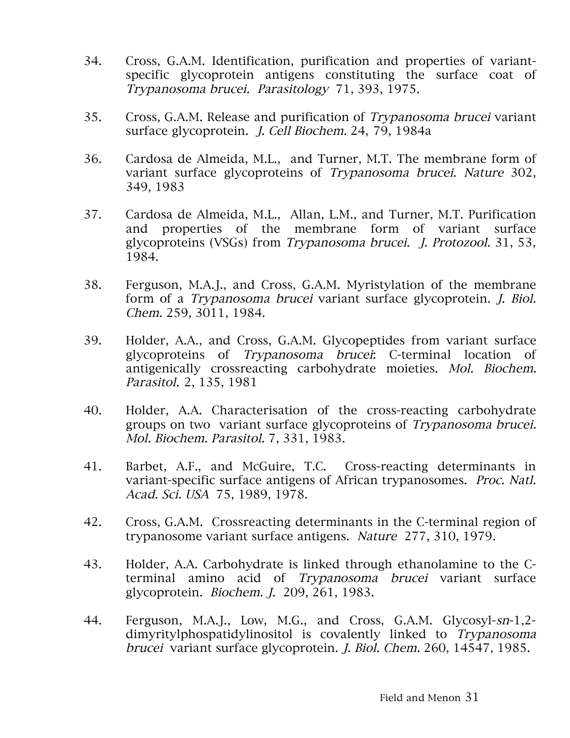- 34. Cross, G.A.M. Identification, purification and properties of variantspecific glycoprotein antigens constituting the surface coat of Trypanosoma brucei. Parasitology 71, 393, 1975.
- 35. Cross, G.A.M. Release and purification of Trypanosoma brucei variant surface glycoprotein. J. Cell Biochem. 24, 79, 1984a
- 36. Cardosa de Almeida, M.L., and Turner, M.T. The membrane form of variant surface glycoproteins of Trypanosoma brucei. Nature 302, 349, 1983
- 37. Cardosa de Almeida, M.L., Allan, L.M., and Turner, M.T. Purification and properties of the membrane form of variant surface glycoproteins (VSGs) from Trypanosoma brucei. J. Protozool. 31, 53, 1984.
- 38. Ferguson, M.A.J., and Cross, G.A.M. Myristylation of the membrane form of a Trypanosoma brucei variant surface glycoprotein. J. Biol. Chem. 259, 3011, 1984.
- 39. Holder, A.A., and Cross, G.A.M. Glycopeptides from variant surface glycoproteins of Trypanosoma brucei: C-terminal location of antigenically crossreacting carbohydrate moieties. Mol. Biochem. Parasitol. 2, 135, 1981
- 40. Holder, A.A. Characterisation of the cross-reacting carbohydrate groups on two variant surface glycoproteins of Trypanosoma brucei. Mol. Biochem. Parasitol. 7, 331, 1983.
- 41. Barbet, A.F., and McGuire, T.C. Cross-reacting determinants in variant-specific surface antigens of African trypanosomes. Proc. Natl. Acad. Sci. USA 75, 1989, 1978.
- 42. Cross, G.A.M. Crossreacting determinants in the C-terminal region of trypanosome variant surface antigens. Nature 277, 310, 1979.
- 43. Holder, A.A. Carbohydrate is linked through ethanolamine to the Cterminal amino acid of Trypanosoma brucei variant surface glycoprotein. Biochem. J. 209, 261, 1983.
- 44. Ferguson, M.A.J., Low, M.G., and Cross, G.A.M. Glycosyl-sn-1,2 dimyritylphospatidylinositol is covalently linked to *Trypanosoma* brucei variant surface glycoprotein. J. Biol. Chem. 260, 14547, 1985.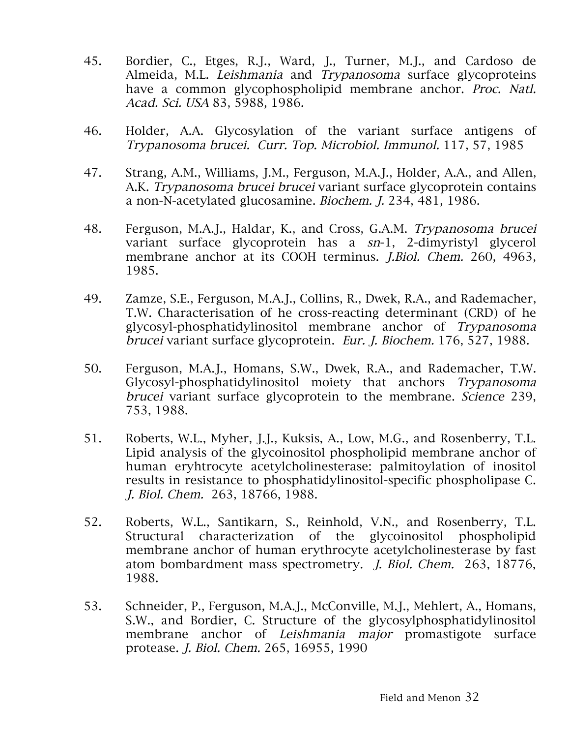- 45. Bordier, C., Etges, R.J., Ward, J., Turner, M.J., and Cardoso de Almeida, M.L. Leishmania and Trypanosoma surface glycoproteins have a common glycophospholipid membrane anchor. Proc. Natl. Acad. Sci. USA 83, 5988, 1986.
- 46. Holder, A.A. Glycosylation of the variant surface antigens of Trypanosoma brucei. Curr. Top. Microbiol. Immunol. 117, 57, 1985
- 47. Strang, A.M., Williams, J.M., Ferguson, M.A.J., Holder, A.A., and Allen, A.K. Trypanosoma brucei brucei variant surface glycoprotein contains a non-N-acetylated glucosamine. Biochem. J. 234, 481, 1986.
- 48. Ferguson, M.A.J., Haldar, K., and Cross, G.A.M. Trypanosoma brucei variant surface glycoprotein has a sn-1, 2-dimyristyl glycerol membrane anchor at its COOH terminus. J.Biol. Chem. 260, 4963, 1985.
- 49. Zamze, S.E., Ferguson, M.A.J., Collins, R., Dwek, R.A., and Rademacher, T.W. Characterisation of he cross-reacting determinant (CRD) of he glycosyl-phosphatidylinositol membrane anchor of Trypanosoma brucei variant surface glycoprotein. Eur. J. Biochem. 176, 527, 1988.
- 50. Ferguson, M.A.J., Homans, S.W., Dwek, R.A., and Rademacher, T.W. Glycosyl-phosphatidylinositol moiety that anchors Trypanosoma brucei variant surface glycoprotein to the membrane. Science 239, 753, 1988.
- 51. Roberts, W.L., Myher, J.J., Kuksis, A., Low, M.G., and Rosenberry, T.L. Lipid analysis of the glycoinositol phospholipid membrane anchor of human eryhtrocyte acetylcholinesterase: palmitoylation of inositol results in resistance to phosphatidylinositol-specific phospholipase C. J. Biol. Chem. 263, 18766, 1988.
- 52. Roberts, W.L., Santikarn, S., Reinhold, V.N., and Rosenberry, T.L. Structural characterization of the glycoinositol phospholipid membrane anchor of human erythrocyte acetylcholinesterase by fast atom bombardment mass spectrometry. J. Biol. Chem. 263, 18776, 1988.
- 53. Schneider, P., Ferguson, M.A.J., McConville, M.J., Mehlert, A., Homans, S.W., and Bordier, C. Structure of the glycosylphosphatidylinositol membrane anchor of Leishmania major promastigote surface protease. J. Biol. Chem. 265, 16955, 1990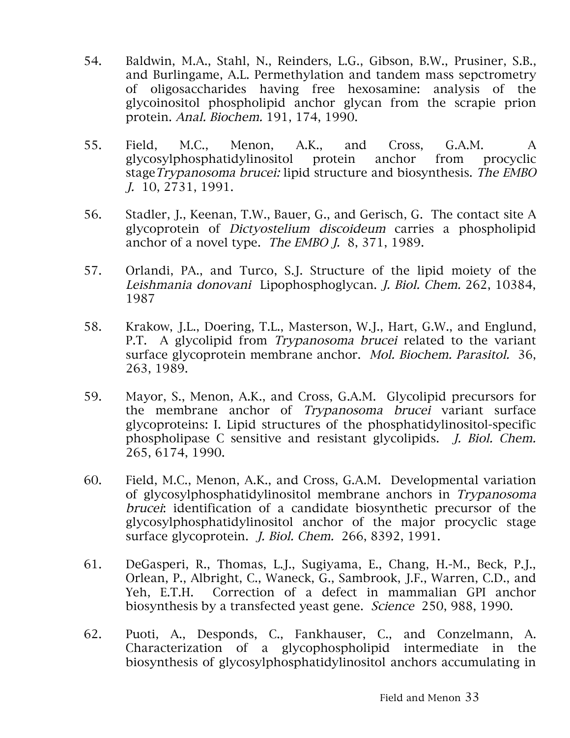- 54. Baldwin, M.A., Stahl, N., Reinders, L.G., Gibson, B.W., Prusiner, S.B., and Burlingame, A.L. Permethylation and tandem mass sepctrometry of oligosaccharides having free hexosamine: analysis of the glycoinositol phospholipid anchor glycan from the scrapie prion protein. Anal. Biochem. 191, 174, 1990.
- 55. Field, M.C., Menon, A.K., and Cross, G.A.M. A glycosylphosphatidylinositol protein anchor from procyclic stage Trypanosoma brucei: lipid structure and biosynthesis. The EMBO J. 10, 2731, 1991.
- 56. Stadler, J., Keenan, T.W., Bauer, G., and Gerisch, G. The contact site A glycoprotein of Dictyostelium discoideum carries a phospholipid anchor of a novel type. The EMBO J. 8, 371, 1989.
- 57. Orlandi, PA., and Turco, S.J. Structure of the lipid moiety of the Leishmania donovani Lipophosphoglycan. J. Biol. Chem. 262, 10384, 1987
- 58. Krakow, J.L., Doering, T.L., Masterson, W.J., Hart, G.W., and Englund, P.T. A glycolipid from Trypanosoma brucei related to the variant surface glycoprotein membrane anchor. Mol. Biochem. Parasitol. 36, 263, 1989.
- 59. Mayor, S., Menon, A.K., and Cross, G.A.M. Glycolipid precursors for the membrane anchor of Trypanosoma brucei variant surface glycoproteins: I. Lipid structures of the phosphatidylinositol-specific phospholipase C sensitive and resistant glycolipids. J. Biol. Chem. 265, 6174, 1990.
- 60. Field, M.C., Menon, A.K., and Cross, G.A.M. Developmental variation of glycosylphosphatidylinositol membrane anchors in Trypanosoma brucei: identification of a candidate biosynthetic precursor of the glycosylphosphatidylinositol anchor of the major procyclic stage surface glycoprotein. J. Biol. Chem. 266, 8392, 1991.
- 61. DeGasperi, R., Thomas, L.J., Sugiyama, E., Chang, H.-M., Beck, P.J., Orlean, P., Albright, C., Waneck, G., Sambrook, J.F., Warren, C.D., and Yeh, E.T.H. Correction of a defect in mammalian GPI anchor biosynthesis by a transfected yeast gene. Science 250, 988, 1990.
- 62. Puoti, A., Desponds, C., Fankhauser, C., and Conzelmann, A. Characterization of a glycophospholipid intermediate in the biosynthesis of glycosylphosphatidylinositol anchors accumulating in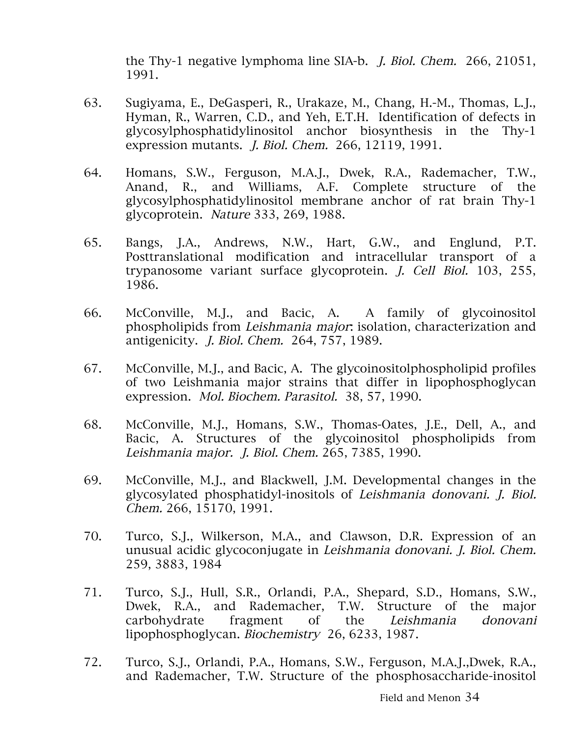the Thy-1 negative lymphoma line SIA-b. J. Biol. Chem. 266, 21051, 1991.

- 63. Sugiyama, E., DeGasperi, R., Urakaze, M., Chang, H.-M., Thomas, L.J., Hyman, R., Warren, C.D., and Yeh, E.T.H. Identification of defects in glycosylphosphatidylinositol anchor biosynthesis in the Thy-1 expression mutants. J. Biol. Chem. 266, 12119, 1991.
- 64. Homans, S.W., Ferguson, M.A.J., Dwek, R.A., Rademacher, T.W., Anand, R., and Williams, A.F. Complete structure of the glycosylphosphatidylinositol membrane anchor of rat brain Thy-1 glycoprotein. Nature 333, 269, 1988.
- 65. Bangs, J.A., Andrews, N.W., Hart, G.W., and Englund, P.T. Posttranslational modification and intracellular transport of a trypanosome variant surface glycoprotein. J. Cell Biol. 103, 255, 1986.
- 66. McConville, M.J., and Bacic, A. A family of glycoinositol phospholipids from Leishmania major: isolation, characterization and antigenicity. J. Biol. Chem. 264, 757, 1989.
- 67. McConville, M.J., and Bacic, A. The glycoinositolphospholipid profiles of two Leishmania major strains that differ in lipophosphoglycan expression. Mol. Biochem. Parasitol. 38, 57, 1990.
- 68. McConville, M.J., Homans, S.W., Thomas-Oates, J.E., Dell, A., and Bacic, A. Structures of the glycoinositol phospholipids from Leishmania major. J. Biol. Chem. 265, 7385, 1990.
- 69. McConville, M.J., and Blackwell, J.M. Developmental changes in the glycosylated phosphatidyl-inositols of Leishmania donovani. J. Biol. Chem. 266, 15170, 1991.
- 70. Turco, S.J., Wilkerson, M.A., and Clawson, D.R. Expression of an unusual acidic glycoconjugate in Leishmania donovani. J. Biol. Chem. 259, 3883, 1984
- 71. Turco, S.J., Hull, S.R., Orlandi, P.A., Shepard, S.D., Homans, S.W., Dwek, R.A., and Rademacher, T.W. Structure of the major carbohydrate fragment of the Leishmania donovani lipophosphoglycan. Biochemistry 26, 6233, 1987.
- 72. Turco, S.J., Orlandi, P.A., Homans, S.W., Ferguson, M.A.J.,Dwek, R.A., and Rademacher, T.W. Structure of the phosphosaccharide-inositol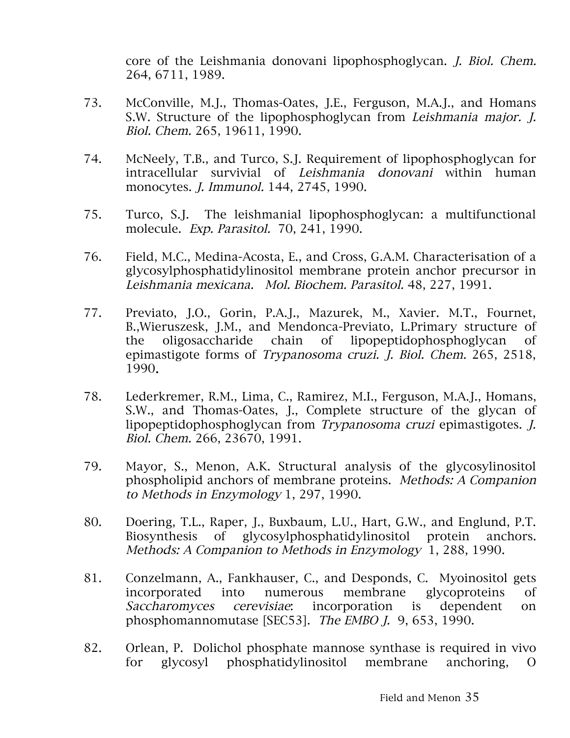core of the Leishmania donovani lipophosphoglycan. J. Biol. Chem. 264, 6711, 1989.

- 73. McConville, M.J., Thomas-Oates, J.E., Ferguson, M.A.J., and Homans S.W. Structure of the lipophosphoglycan from Leishmania major. J. Biol. Chem. 265, 19611, 1990.
- 74. McNeely, T.B., and Turco, S.J. Requirement of lipophosphoglycan for intracellular survivial of Leishmania donovani within human monocytes. J. Immunol. 144, 2745, 1990.
- 75. Turco, S.J. The leishmanial lipophosphoglycan: a multifunctional molecule. Exp. Parasitol. 70, 241, 1990.
- 76. Field, M.C., Medina-Acosta, E., and Cross, G.A.M. Characterisation of a glycosylphosphatidylinositol membrane protein anchor precursor in Leishmania mexicana. Mol. Biochem. Parasitol. 48, 227, 1991.
- 77. Previato, J.O., Gorin, P.A.J., Mazurek, M., Xavier. M.T., Fournet, B.,Wieruszesk, J.M., and Mendonca-Previato, L.Primary structure of the oligosaccharide chain of lipopeptidophosphoglycan of epimastigote forms of Trypanosoma cruzi. J. Biol. Chem. 265, 2518, 1990.
- 78. Lederkremer, R.M., Lima, C., Ramirez, M.I., Ferguson, M.A.J., Homans, S.W., and Thomas-Oates, J., Complete structure of the glycan of lipopeptidophosphoglycan from Trypanosoma cruzi epimastigotes. J. Biol. Chem. 266, 23670, 1991.
- 79. Mayor, S., Menon, A.K. Structural analysis of the glycosylinositol phospholipid anchors of membrane proteins. Methods: A Companion to Methods in Enzymology 1, 297, 1990.
- 80. Doering, T.L., Raper, J., Buxbaum, L.U., Hart, G.W., and Englund, P.T. Biosynthesis of glycosylphosphatidylinositol protein anchors. Methods: A Companion to Methods in Enzymology 1, 288, 1990.
- 81. Conzelmann, A., Fankhauser, C., and Desponds, C. Myoinositol gets incorporated into numerous membrane glycoproteins of Saccharomyces cerevisiae: incorporation is dependent on phosphomannomutase [SEC53]. The EMBO J. 9, 653, 1990.
- 82. Orlean, P. Dolichol phosphate mannose synthase is required in vivo for glycosyl phosphatidylinositol membrane anchoring, O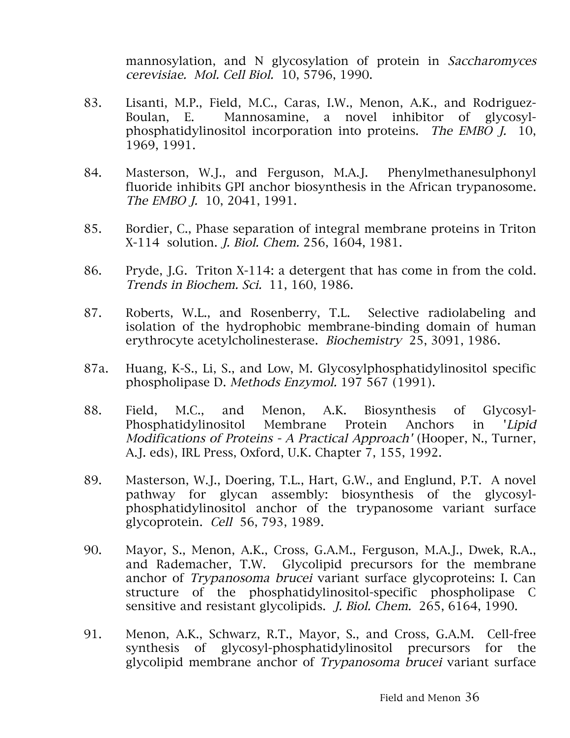mannosylation, and N glycosylation of protein in Saccharomyces cerevisiae. Mol. Cell Biol. 10, 5796, 1990.

- 83. Lisanti, M.P., Field, M.C., Caras, I.W., Menon, A.K., and Rodriguez-Boulan, E. Mannosamine, a novel inhibitor of glycosylphosphatidylinositol incorporation into proteins. The EMBO J. 10, 1969, 1991.
- 84. Masterson, W.J., and Ferguson, M.A.J. Phenylmethanesulphonyl fluoride inhibits GPI anchor biosynthesis in the African trypanosome. The EMBO *J.* 10, 2041, 1991.
- 85. Bordier, C., Phase separation of integral membrane proteins in Triton X-114 solution. J. Biol. Chem. 256, 1604, 1981.
- 86. Pryde, J.G. Triton X-114: a detergent that has come in from the cold. Trends in Biochem. Sci. 11, 160, 1986.
- 87. Roberts, W.L., and Rosenberry, T.L. Selective radiolabeling and isolation of the hydrophobic membrane-binding domain of human erythrocyte acetylcholinesterase. Biochemistry 25, 3091, 1986.
- 87a. Huang, K-S., Li, S., and Low, M. Glycosylphosphatidylinositol specific phospholipase D. Methods Enzymol. 197 567 (1991).
- 88. Field, M.C., and Menon, A.K. Biosynthesis of Glycosyl-Phosphatidylinositol Membrane Protein Anchors in 'Lipid Modifications of Proteins - A Practical Approach' (Hooper, N., Turner, A.J. eds), IRL Press, Oxford, U.K. Chapter 7, 155, 1992.
- 89. Masterson, W.J., Doering, T.L., Hart, G.W., and Englund, P.T. A novel pathway for glycan assembly: biosynthesis of the glycosylphosphatidylinositol anchor of the trypanosome variant surface glycoprotein. Cell 56, 793, 1989.
- 90. Mayor, S., Menon, A.K., Cross, G.A.M., Ferguson, M.A.J., Dwek, R.A., and Rademacher, T.W. Glycolipid precursors for the membrane anchor of Trypanosoma brucei variant surface glycoproteins: I. Can structure of the phosphatidylinositol-specific phospholipase C sensitive and resistant glycolipids. J. Biol. Chem. 265, 6164, 1990.
- 91. Menon, A.K., Schwarz, R.T., Mayor, S., and Cross, G.A.M. Cell-free synthesis of glycosyl-phosphatidylinositol precursors for the glycolipid membrane anchor of Trypanosoma brucei variant surface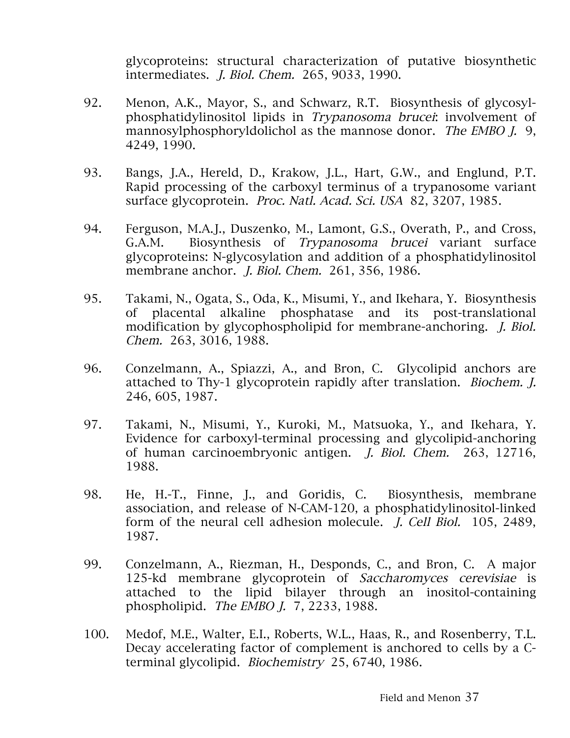glycoproteins: structural characterization of putative biosynthetic intermediates. J. Biol. Chem. 265, 9033, 1990.

- 92. Menon, A.K., Mayor, S., and Schwarz, R.T. Biosynthesis of glycosylphosphatidylinositol lipids in Trypanosoma brucei: involvement of mannosylphosphoryldolichol as the mannose donor. The EMBO J. 9, 4249, 1990.
- 93. Bangs, J.A., Hereld, D., Krakow, J.L., Hart, G.W., and Englund, P.T. Rapid processing of the carboxyl terminus of a trypanosome variant surface glycoprotein. Proc. Natl. Acad. Sci. USA 82, 3207, 1985.
- 94. Ferguson, M.A.J., Duszenko, M., Lamont, G.S., Overath, P., and Cross, G.A.M. Biosynthesis of Trypanosoma brucei variant surface glycoproteins: N-glycosylation and addition of a phosphatidylinositol membrane anchor. J. Biol. Chem. 261, 356, 1986.
- 95. Takami, N., Ogata, S., Oda, K., Misumi, Y., and Ikehara, Y. Biosynthesis of placental alkaline phosphatase and its post-translational modification by glycophospholipid for membrane-anchoring. *I. Biol.* Chem. 263, 3016, 1988.
- 96. Conzelmann, A., Spiazzi, A., and Bron, C. Glycolipid anchors are attached to Thy-1 glycoprotein rapidly after translation. Biochem. J. 246, 605, 1987.
- 97. Takami, N., Misumi, Y., Kuroki, M., Matsuoka, Y., and Ikehara, Y. Evidence for carboxyl-terminal processing and glycolipid-anchoring of human carcinoembryonic antigen. J. Biol. Chem. 263, 12716, 1988.
- 98. He, H.-T., Finne, J., and Goridis, C. Biosynthesis, membrane association, and release of N-CAM-120, a phosphatidylinositol-linked form of the neural cell adhesion molecule. J. Cell Biol. 105, 2489, 1987.
- 99. Conzelmann, A., Riezman, H., Desponds, C., and Bron, C. A major 125-kd membrane glycoprotein of Saccharomyces cerevisiae is attached to the lipid bilayer through an inositol-containing phospholipid. The EMBO J. 7, 2233, 1988.
- 100. Medof, M.E., Walter, E.I., Roberts, W.L., Haas, R., and Rosenberry, T.L. Decay accelerating factor of complement is anchored to cells by a Cterminal glycolipid. Biochemistry 25, 6740, 1986.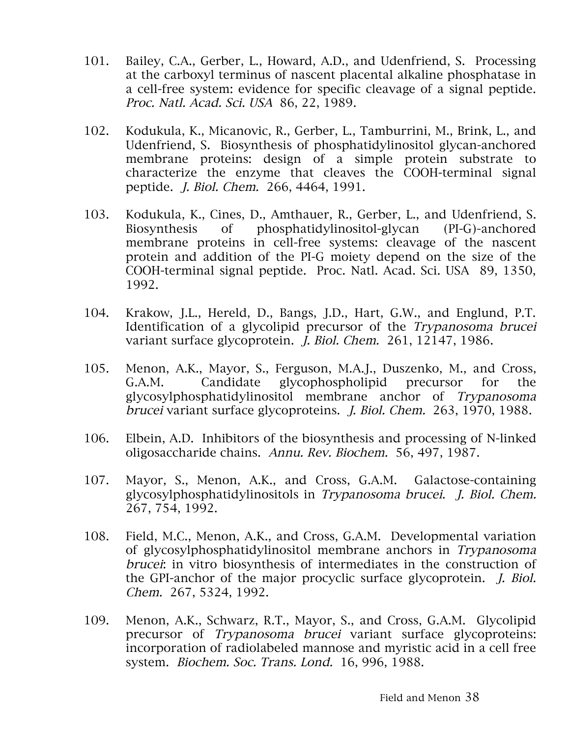- 101. Bailey, C.A., Gerber, L., Howard, A.D., and Udenfriend, S. Processing at the carboxyl terminus of nascent placental alkaline phosphatase in a cell-free system: evidence for specific cleavage of a signal peptide. Proc. Natl. Acad. Sci. USA 86, 22, 1989.
- 102. Kodukula, K., Micanovic, R., Gerber, L., Tamburrini, M., Brink, L., and Udenfriend, S. Biosynthesis of phosphatidylinositol glycan-anchored membrane proteins: design of a simple protein substrate to characterize the enzyme that cleaves the COOH-terminal signal peptide. J. Biol. Chem. 266, 4464, 1991.
- 103. Kodukula, K., Cines, D., Amthauer, R., Gerber, L., and Udenfriend, S. Biosynthesis of phosphatidylinositol-glycan (PI-G)-anchored membrane proteins in cell-free systems: cleavage of the nascent protein and addition of the PI-G moiety depend on the size of the COOH-terminal signal peptide. Proc. Natl. Acad. Sci. USA 89, 1350, 1992.
- 104. Krakow, J.L., Hereld, D., Bangs, J.D., Hart, G.W., and Englund, P.T. Identification of a glycolipid precursor of the Trypanosoma brucei variant surface glycoprotein. J. Biol. Chem. 261, 12147, 1986.
- 105. Menon, A.K., Mayor, S., Ferguson, M.A.J., Duszenko, M., and Cross, G.A.M. Candidate glycophospholipid precursor for the glycosylphosphatidylinositol membrane anchor of Trypanosoma brucei variant surface glycoproteins. J. Biol. Chem. 263, 1970, 1988.
- 106. Elbein, A.D. Inhibitors of the biosynthesis and processing of N-linked oligosaccharide chains. Annu. Rev. Biochem. 56, 497, 1987.
- 107. Mayor, S., Menon, A.K., and Cross, G.A.M. Galactose-containing glycosylphosphatidylinositols in Trypanosoma brucei. J. Biol. Chem. 267, 754, 1992.
- 108. Field, M.C., Menon, A.K., and Cross, G.A.M. Developmental variation of glycosylphosphatidylinositol membrane anchors in Trypanosoma brucei: in vitro biosynthesis of intermediates in the construction of the GPI-anchor of the major procyclic surface glycoprotein. J. Biol. Chem. 267, 5324, 1992.
- 109. Menon, A.K., Schwarz, R.T., Mayor, S., and Cross, G.A.M. Glycolipid precursor of Trypanosoma brucei variant surface glycoproteins: incorporation of radiolabeled mannose and myristic acid in a cell free system. Biochem. Soc. Trans. Lond. 16, 996, 1988.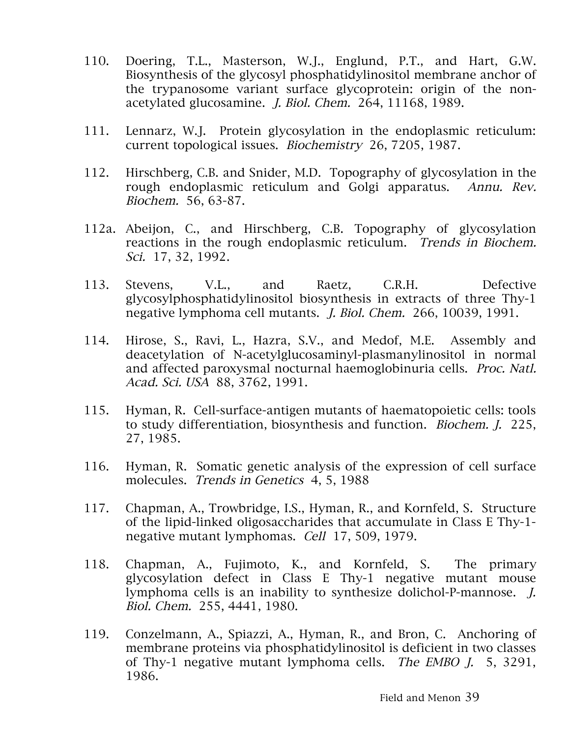- 110. Doering, T.L., Masterson, W.J., Englund, P.T., and Hart, G.W. Biosynthesis of the glycosyl phosphatidylinositol membrane anchor of the trypanosome variant surface glycoprotein: origin of the nonacetylated glucosamine. J. Biol. Chem. 264, 11168, 1989.
- 111. Lennarz, W.J. Protein glycosylation in the endoplasmic reticulum: current topological issues. Biochemistry 26, 7205, 1987.
- 112. Hirschberg, C.B. and Snider, M.D. Topography of glycosylation in the rough endoplasmic reticulum and Golgi apparatus. Annu. Rev. Biochem. 56, 63-87.
- 112a. Abeijon, C., and Hirschberg, C.B. Topography of glycosylation reactions in the rough endoplasmic reticulum. Trends in Biochem. Sci. 17, 32, 1992.
- 113. Stevens, V.L., and Raetz, C.R.H. Defective glycosylphosphatidylinositol biosynthesis in extracts of three Thy-1 negative lymphoma cell mutants. J. Biol. Chem. 266, 10039, 1991.
- 114. Hirose, S., Ravi, L., Hazra, S.V., and Medof, M.E. Assembly and deacetylation of N-acetylglucosaminyl-plasmanylinositol in normal and affected paroxysmal nocturnal haemoglobinuria cells. Proc. Natl. Acad. Sci. USA 88, 3762, 1991.
- 115. Hyman, R. Cell-surface-antigen mutants of haematopoietic cells: tools to study differentiation, biosynthesis and function. Biochem. J. 225, 27, 1985.
- 116. Hyman, R. Somatic genetic analysis of the expression of cell surface molecules. Trends in Genetics 4, 5, 1988
- 117. Chapman, A., Trowbridge, I.S., Hyman, R., and Kornfeld, S. Structure of the lipid-linked oligosaccharides that accumulate in Class E Thy-1 negative mutant lymphomas. Cell 17, 509, 1979.
- 118. Chapman, A., Fujimoto, K., and Kornfeld, S. The primary glycosylation defect in Class E Thy-1 negative mutant mouse lymphoma cells is an inability to synthesize dolichol-P-mannose. J. Biol. Chem. 255, 4441, 1980.
- 119. Conzelmann, A., Spiazzi, A., Hyman, R., and Bron, C. Anchoring of membrane proteins via phosphatidylinositol is deficient in two classes of Thy-1 negative mutant lymphoma cells. The EMBO J. 5, 3291, 1986.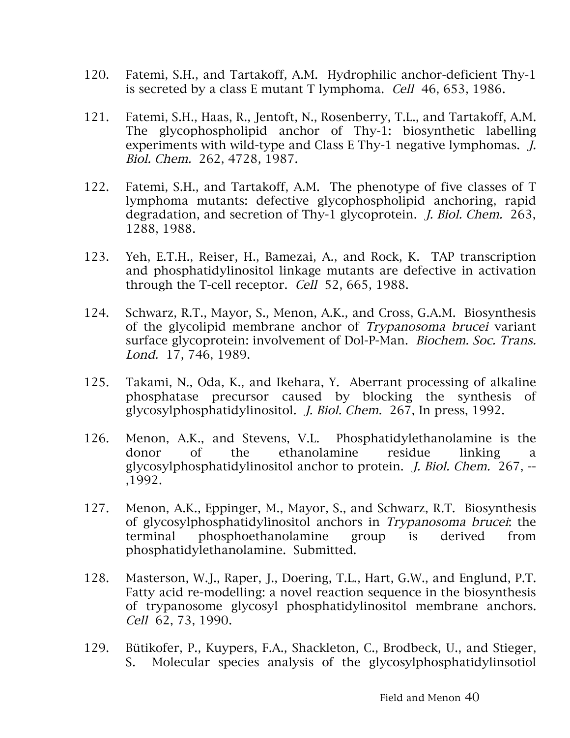- 120. Fatemi, S.H., and Tartakoff, A.M. Hydrophilic anchor-deficient Thy-1 is secreted by a class E mutant T lymphoma. Cell 46, 653, 1986.
- 121. Fatemi, S.H., Haas, R., Jentoft, N., Rosenberry, T.L., and Tartakoff, A.M. The glycophospholipid anchor of Thy-1: biosynthetic labelling experiments with wild-type and Class E Thy-1 negative lymphomas. *J.* Biol. Chem. 262, 4728, 1987.
- 122. Fatemi, S.H., and Tartakoff, A.M. The phenotype of five classes of T lymphoma mutants: defective glycophospholipid anchoring, rapid degradation, and secretion of Thy-1 glycoprotein. J. Biol. Chem. 263, 1288, 1988.
- 123. Yeh, E.T.H., Reiser, H., Bamezai, A., and Rock, K. TAP transcription and phosphatidylinositol linkage mutants are defective in activation through the T-cell receptor. Cell 52, 665, 1988.
- 124. Schwarz, R.T., Mayor, S., Menon, A.K., and Cross, G.A.M. Biosynthesis of the glycolipid membrane anchor of Trypanosoma brucei variant surface glycoprotein: involvement of Dol-P-Man. Biochem. Soc. Trans. Lond. 17, 746, 1989.
- 125. Takami, N., Oda, K., and Ikehara, Y. Aberrant processing of alkaline phosphatase precursor caused by blocking the synthesis of glycosylphosphatidylinositol. J. Biol. Chem. 267, In press, 1992.
- 126. Menon, A.K., and Stevens, V.L. Phosphatidylethanolamine is the donor of the ethanolamine residue linking a glycosylphosphatidylinositol anchor to protein. J. Biol. Chem. 267, -- ,1992.
- 127. Menon, A.K., Eppinger, M., Mayor, S., and Schwarz, R.T. Biosynthesis of glycosylphosphatidylinositol anchors in Trypanosoma brucei: the terminal phosphoethanolamine group is derived from phosphatidylethanolamine. Submitted.
- 128. Masterson, W.J., Raper, J., Doering, T.L., Hart, G.W., and Englund, P.T. Fatty acid re-modelling: a novel reaction sequence in the biosynthesis of trypanosome glycosyl phosphatidylinositol membrane anchors. Cell 62, 73, 1990.
- 129. Bütikofer, P., Kuypers, F.A., Shackleton, C., Brodbeck, U., and Stieger, S. Molecular species analysis of the glycosylphosphatidylinsotiol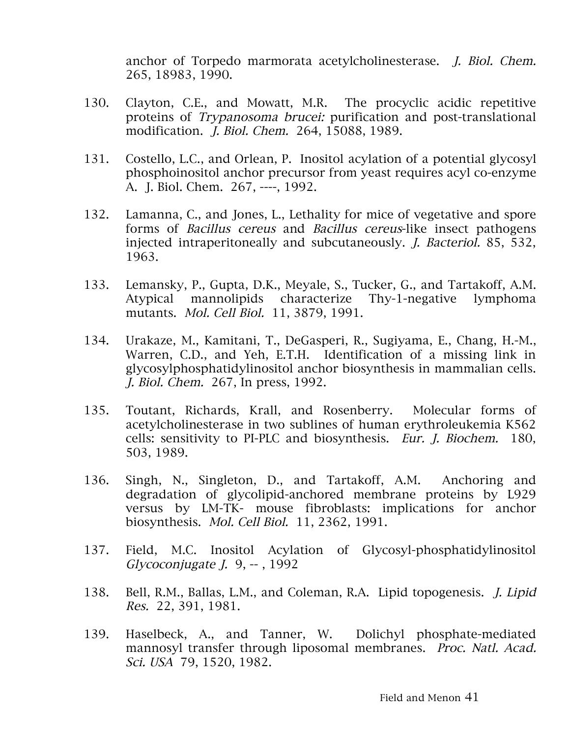anchor of Torpedo marmorata acetylcholinesterase. J. Biol. Chem. 265, 18983, 1990.

- 130. Clayton, C.E., and Mowatt, M.R. The procyclic acidic repetitive proteins of Trypanosoma brucei: purification and post-translational modification. J. Biol. Chem. 264, 15088, 1989.
- 131. Costello, L.C., and Orlean, P. Inositol acylation of a potential glycosyl phosphoinositol anchor precursor from yeast requires acyl co-enzyme A. J. Biol. Chem. 267, ----, 1992.
- 132. Lamanna, C., and Jones, L., Lethality for mice of vegetative and spore forms of Bacillus cereus and Bacillus cereus-like insect pathogens injected intraperitoneally and subcutaneously. J. Bacteriol. 85, 532, 1963.
- 133. Lemansky, P., Gupta, D.K., Meyale, S., Tucker, G., and Tartakoff, A.M. Atypical mannolipids characterize Thy-1-negative lymphoma mutants. Mol. Cell Biol. 11, 3879, 1991.
- 134. Urakaze, M., Kamitani, T., DeGasperi, R., Sugiyama, E., Chang, H.-M., Warren, C.D., and Yeh, E.T.H. Identification of a missing link in glycosylphosphatidylinositol anchor biosynthesis in mammalian cells. J. Biol. Chem. 267, In press, 1992.
- 135. Toutant, Richards, Krall, and Rosenberry. Molecular forms of acetylcholinesterase in two sublines of human erythroleukemia K562 cells: sensitivity to PI-PLC and biosynthesis. Eur. J. Biochem. 180, 503, 1989.
- 136. Singh, N., Singleton, D., and Tartakoff, A.M. Anchoring and degradation of glycolipid-anchored membrane proteins by L929 versus by LM-TK- mouse fibroblasts: implications for anchor biosynthesis. Mol. Cell Biol. 11, 2362, 1991.
- 137. Field, M.C. Inositol Acylation of Glycosyl-phosphatidylinositol Glycoconjugate  $I. 9, -1992$
- 138. Bell, R.M., Ballas, L.M., and Coleman, R.A. Lipid topogenesis. J. Lipid Res. 22, 391, 1981.
- 139. Haselbeck, A., and Tanner, W. Dolichyl phosphate-mediated mannosyl transfer through liposomal membranes. Proc. Natl. Acad. Sci. USA 79, 1520, 1982.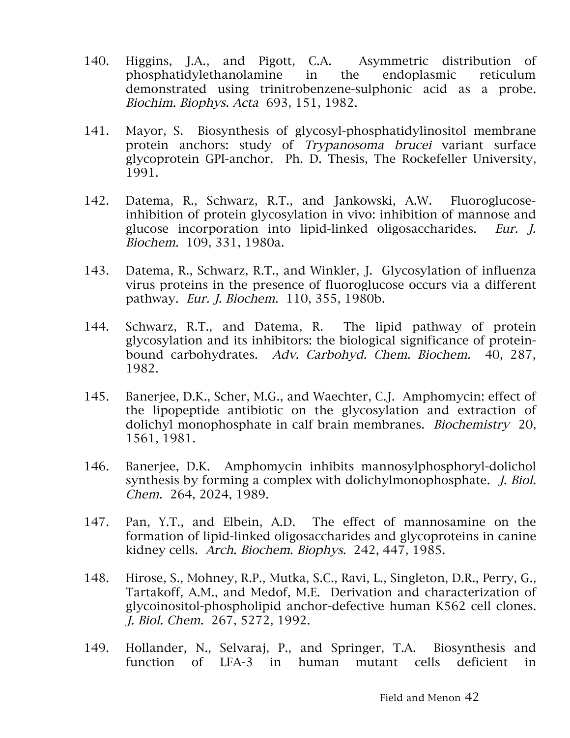- 140. Higgins, J.A., and Pigott, C.A. Asymmetric distribution of phosphatidylethanolamine in the endoplasmic reticulum demonstrated using trinitrobenzene-sulphonic acid as a probe. Biochim. Biophys. Acta 693, 151, 1982.
- 141. Mayor, S. Biosynthesis of glycosyl-phosphatidylinositol membrane protein anchors: study of Trypanosoma brucei variant surface glycoprotein GPI-anchor. Ph. D. Thesis, The Rockefeller University, 1991.
- 142. Datema, R., Schwarz, R.T., and Jankowski, A.W. Fluoroglucoseinhibition of protein glycosylation in vivo: inhibition of mannose and glucose incorporation into lipid-linked oligosaccharides. Eur. J. Biochem. 109, 331, 1980a.
- 143. Datema, R., Schwarz, R.T., and Winkler, J. Glycosylation of influenza virus proteins in the presence of fluoroglucose occurs via a different pathway. Eur. J. Biochem. 110, 355, 1980b.
- 144. Schwarz, R.T., and Datema, R. The lipid pathway of protein glycosylation and its inhibitors: the biological significance of proteinbound carbohydrates. Adv. Carbohyd. Chem. Biochem. 40, 287, 1982.
- 145. Banerjee, D.K., Scher, M.G., and Waechter, C.J. Amphomycin: effect of the lipopeptide antibiotic on the glycosylation and extraction of dolichyl monophosphate in calf brain membranes. Biochemistry 20, 1561, 1981.
- 146. Banerjee, D.K. Amphomycin inhibits mannosylphosphoryl-dolichol synthesis by forming a complex with dolichylmonophosphate. J. Biol. Chem. 264, 2024, 1989.
- 147. Pan, Y.T., and Elbein, A.D. The effect of mannosamine on the formation of lipid-linked oligosaccharides and glycoproteins in canine kidney cells. Arch. Biochem. Biophys. 242, 447, 1985.
- 148. Hirose, S., Mohney, R.P., Mutka, S.C., Ravi, L., Singleton, D.R., Perry, G., Tartakoff, A.M., and Medof, M.E. Derivation and characterization of glycoinositol-phospholipid anchor-defective human K562 cell clones. J. Biol. Chem. 267, 5272, 1992.
- 149. Hollander, N., Selvaraj, P., and Springer, T.A. Biosynthesis and function of LFA-3 in human mutant cells deficient in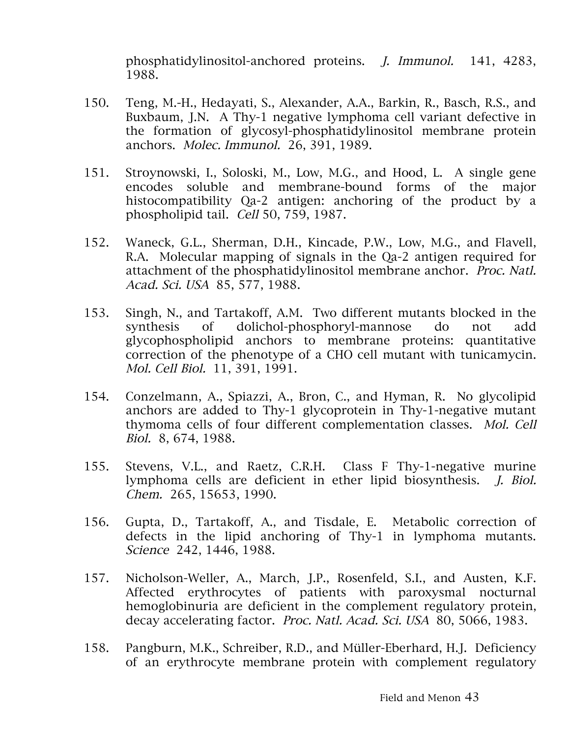phosphatidylinositol-anchored proteins. J. Immunol. 141, 4283, 1988.

- 150. Teng, M.-H., Hedayati, S., Alexander, A.A., Barkin, R., Basch, R.S., and Buxbaum, J.N. A Thy-1 negative lymphoma cell variant defective in the formation of glycosyl-phosphatidylinositol membrane protein anchors. Molec. Immunol. 26, 391, 1989.
- 151. Stroynowski, I., Soloski, M., Low, M.G., and Hood, L. A single gene encodes soluble and membrane-bound forms of the major histocompatibility Qa-2 antigen: anchoring of the product by a phospholipid tail. Cell 50, 759, 1987.
- 152. Waneck, G.L., Sherman, D.H., Kincade, P.W., Low, M.G., and Flavell, R.A. Molecular mapping of signals in the Qa-2 antigen required for attachment of the phosphatidylinositol membrane anchor. Proc. Natl. Acad. Sci. USA 85, 577, 1988.
- 153. Singh, N., and Tartakoff, A.M. Two different mutants blocked in the synthesis of dolichol-phosphoryl-mannose do not add glycophospholipid anchors to membrane proteins: quantitative correction of the phenotype of a CHO cell mutant with tunicamycin. Mol. Cell Biol. 11, 391, 1991.
- 154. Conzelmann, A., Spiazzi, A., Bron, C., and Hyman, R. No glycolipid anchors are added to Thy-1 glycoprotein in Thy-1-negative mutant thymoma cells of four different complementation classes. Mol. Cell Biol. 8, 674, 1988.
- 155. Stevens, V.L., and Raetz, C.R.H. Class F Thy-1-negative murine lymphoma cells are deficient in ether lipid biosynthesis. J. Biol. Chem. 265, 15653, 1990.
- 156. Gupta, D., Tartakoff, A., and Tisdale, E. Metabolic correction of defects in the lipid anchoring of Thy-1 in lymphoma mutants. Science 242, 1446, 1988.
- 157. Nicholson-Weller, A., March, J.P., Rosenfeld, S.I., and Austen, K.F. Affected erythrocytes of patients with paroxysmal nocturnal hemoglobinuria are deficient in the complement regulatory protein, decay accelerating factor. Proc. Natl. Acad. Sci. USA 80, 5066, 1983.
- 158. Pangburn, M.K., Schreiber, R.D., and Müller-Eberhard, H.J. Deficiency of an erythrocyte membrane protein with complement regulatory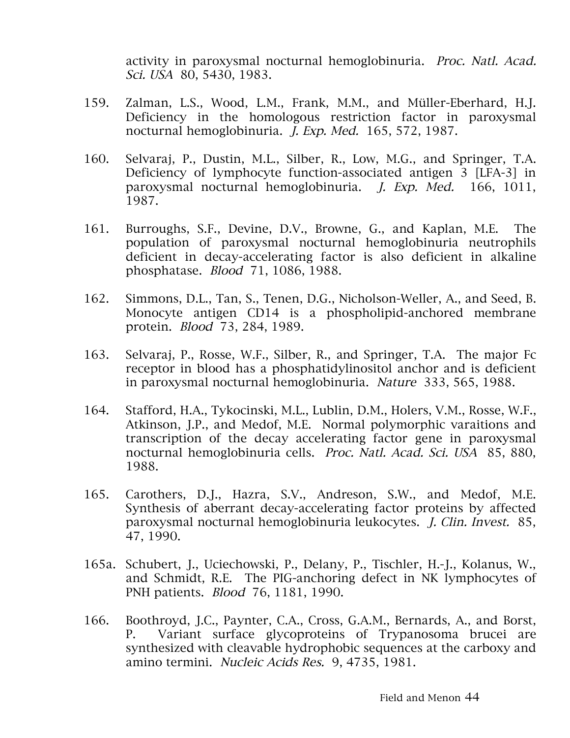activity in paroxysmal nocturnal hemoglobinuria. Proc. Natl. Acad. Sci. USA 80, 5430, 1983.

- 159. Zalman, L.S., Wood, L.M., Frank, M.M., and Müller-Eberhard, H.J. Deficiency in the homologous restriction factor in paroxysmal nocturnal hemoglobinuria. J. Exp. Med. 165, 572, 1987.
- 160. Selvaraj, P., Dustin, M.L., Silber, R., Low, M.G., and Springer, T.A. Deficiency of lymphocyte function-associated antigen 3 [LFA-3] in paroxysmal nocturnal hemoglobinuria. J. Exp. Med. 166, 1011, 1987.
- 161. Burroughs, S.F., Devine, D.V., Browne, G., and Kaplan, M.E. The population of paroxysmal nocturnal hemoglobinuria neutrophils deficient in decay-accelerating factor is also deficient in alkaline phosphatase. Blood 71, 1086, 1988.
- 162. Simmons, D.L., Tan, S., Tenen, D.G., Nicholson-Weller, A., and Seed, B. Monocyte antigen CD14 is a phospholipid-anchored membrane protein. Blood 73, 284, 1989.
- 163. Selvaraj, P., Rosse, W.F., Silber, R., and Springer, T.A. The major Fc receptor in blood has a phosphatidylinositol anchor and is deficient in paroxysmal nocturnal hemoglobinuria. Nature 333, 565, 1988.
- 164. Stafford, H.A., Tykocinski, M.L., Lublin, D.M., Holers, V.M., Rosse, W.F., Atkinson, J.P., and Medof, M.E. Normal polymorphic varaitions and transcription of the decay accelerating factor gene in paroxysmal nocturnal hemoglobinuria cells. Proc. Natl. Acad. Sci. USA 85, 880, 1988.
- 165. Carothers, D.J., Hazra, S.V., Andreson, S.W., and Medof, M.E. Synthesis of aberrant decay-accelerating factor proteins by affected paroxysmal nocturnal hemoglobinuria leukocytes. J. Clin. Invest. 85, 47, 1990.
- 165a. Schubert, J., Uciechowski, P., Delany, P., Tischler, H.-J., Kolanus, W., and Schmidt, R.E. The PIG-anchoring defect in NK lymphocytes of PNH patients. Blood 76, 1181, 1990.
- 166. Boothroyd, J.C., Paynter, C.A., Cross, G.A.M., Bernards, A., and Borst, P. Variant surface glycoproteins of Trypanosoma brucei are synthesized with cleavable hydrophobic sequences at the carboxy and amino termini. Nucleic Acids Res. 9, 4735, 1981.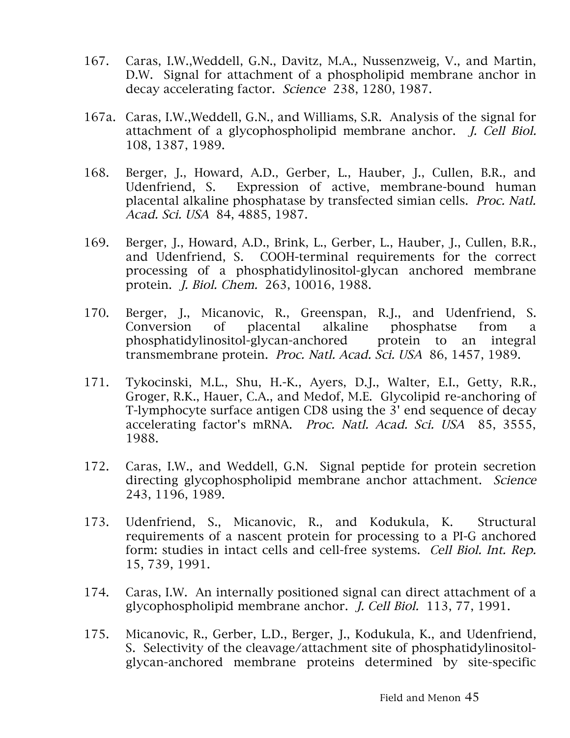- 167. Caras, I.W.,Weddell, G.N., Davitz, M.A., Nussenzweig, V., and Martin, D.W. Signal for attachment of a phospholipid membrane anchor in decay accelerating factor. Science 238, 1280, 1987.
- 167a. Caras, I.W.,Weddell, G.N., and Williams, S.R. Analysis of the signal for attachment of a glycophospholipid membrane anchor. J. Cell Biol. 108, 1387, 1989.
- 168. Berger, J., Howard, A.D., Gerber, L., Hauber, J., Cullen, B.R., and Udenfriend, S. Expression of active, membrane-bound human placental alkaline phosphatase by transfected simian cells. Proc. Natl. Acad. Sci. USA 84, 4885, 1987.
- 169. Berger, J., Howard, A.D., Brink, L., Gerber, L., Hauber, J., Cullen, B.R., and Udenfriend, S. COOH-terminal requirements for the correct processing of a phosphatidylinositol-glycan anchored membrane protein. J. Biol. Chem. 263, 10016, 1988.
- 170. Berger, J., Micanovic, R., Greenspan, R.J., and Udenfriend, S. Conversion of placental alkaline phosphatse from a phosphatidylinositol-glycan-anchored protein to an integral transmembrane protein. Proc. Natl. Acad. Sci. USA 86, 1457, 1989.
- 171. Tykocinski, M.L., Shu, H.-K., Ayers, D.J., Walter, E.I., Getty, R.R., Groger, R.K., Hauer, C.A., and Medof, M.E. Glycolipid re-anchoring of T-lymphocyte surface antigen CD8 using the 3' end sequence of decay accelerating factor's mRNA. Proc. Natl. Acad. Sci. USA 85, 3555, 1988.
- 172. Caras, I.W., and Weddell, G.N. Signal peptide for protein secretion directing glycophospholipid membrane anchor attachment. Science 243, 1196, 1989.
- 173. Udenfriend, S., Micanovic, R., and Kodukula, K. Structural requirements of a nascent protein for processing to a PI-G anchored form: studies in intact cells and cell-free systems. Cell Biol. Int. Rep. 15, 739, 1991.
- 174. Caras, I.W. An internally positioned signal can direct attachment of a glycophospholipid membrane anchor. J. Cell Biol. 113, 77, 1991.
- 175. Micanovic, R., Gerber, L.D., Berger, J., Kodukula, K., and Udenfriend, S. Selectivity of the cleavage/attachment site of phosphatidylinositolglycan-anchored membrane proteins determined by site-specific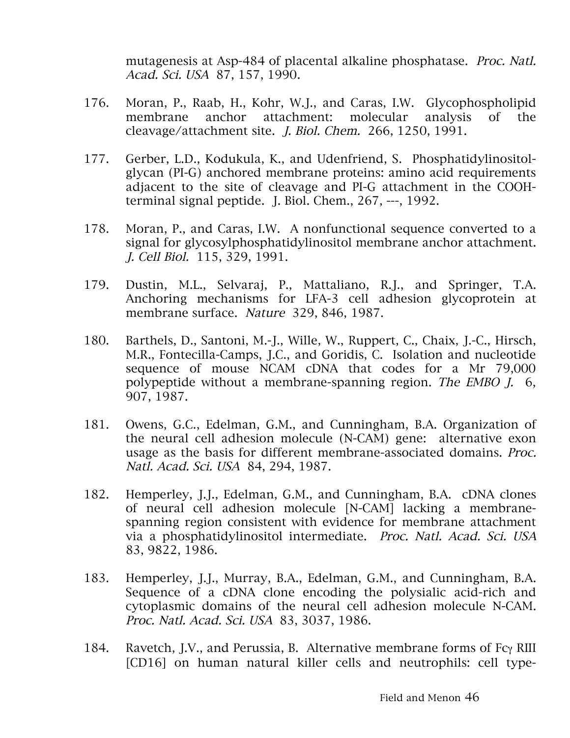mutagenesis at Asp-484 of placental alkaline phosphatase. Proc. Natl. Acad. Sci. USA 87, 157, 1990.

- 176. Moran, P., Raab, H., Kohr, W.J., and Caras, I.W. Glycophospholipid membrane anchor attachment: molecular analysis of the cleavage/attachment site. J. Biol. Chem. 266, 1250, 1991.
- 177. Gerber, L.D., Kodukula, K., and Udenfriend, S. Phosphatidylinositolglycan (PI-G) anchored membrane proteins: amino acid requirements adjacent to the site of cleavage and PI-G attachment in the COOHterminal signal peptide. J. Biol. Chem., 267, ---, 1992.
- 178. Moran, P., and Caras, I.W. A nonfunctional sequence converted to a signal for glycosylphosphatidylinositol membrane anchor attachment. J. Cell Biol. 115, 329, 1991.
- 179. Dustin, M.L., Selvaraj, P., Mattaliano, R.J., and Springer, T.A. Anchoring mechanisms for LFA-3 cell adhesion glycoprotein at membrane surface. Nature 329, 846, 1987.
- 180. Barthels, D., Santoni, M.-J., Wille, W., Ruppert, C., Chaix, J.-C., Hirsch, M.R., Fontecilla-Camps, J.C., and Goridis, C. Isolation and nucleotide sequence of mouse NCAM cDNA that codes for a Mr 79,000 polypeptide without a membrane-spanning region. The EMBO J. 6, 907, 1987.
- 181. Owens, G.C., Edelman, G.M., and Cunningham, B.A. Organization of the neural cell adhesion molecule (N-CAM) gene: alternative exon usage as the basis for different membrane-associated domains. Proc. Natl. Acad. Sci. USA 84, 294, 1987.
- 182. Hemperley, J.J., Edelman, G.M., and Cunningham, B.A. cDNA clones of neural cell adhesion molecule [N-CAM] lacking a membranespanning region consistent with evidence for membrane attachment via a phosphatidylinositol intermediate. Proc. Natl. Acad. Sci. USA 83, 9822, 1986.
- 183. Hemperley, J.J., Murray, B.A., Edelman, G.M., and Cunningham, B.A. Sequence of a cDNA clone encoding the polysialic acid-rich and cytoplasmic domains of the neural cell adhesion molecule N-CAM. Proc. Natl. Acad. Sci. USA 83, 3037, 1986.
- 184. Ravetch, J.V., and Perussia, B. Alternative membrane forms of Fcγ RIII [CD16] on human natural killer cells and neutrophils: cell type-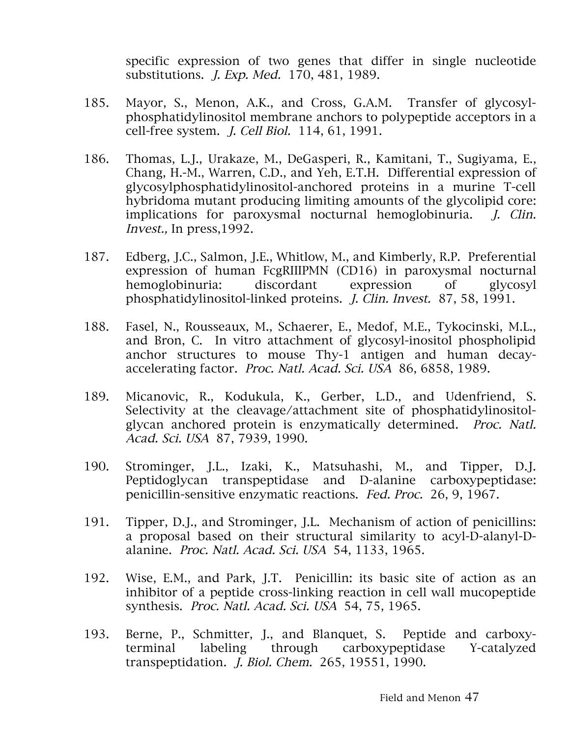specific expression of two genes that differ in single nucleotide substitutions. J. Exp. Med. 170, 481, 1989.

- 185. Mayor, S., Menon, A.K., and Cross, G.A.M. Transfer of glycosylphosphatidylinositol membrane anchors to polypeptide acceptors in a cell-free system. J. Cell Biol. 114, 61, 1991.
- 186. Thomas, L.J., Urakaze, M., DeGasperi, R., Kamitani, T., Sugiyama, E., Chang, H.-M., Warren, C.D., and Yeh, E.T.H. Differential expression of glycosylphosphatidylinositol-anchored proteins in a murine T-cell hybridoma mutant producing limiting amounts of the glycolipid core: implications for paroxysmal nocturnal hemoglobinuria. *J. Clin.* Invest., In press,1992.
- 187. Edberg, J.C., Salmon, J.E., Whitlow, M., and Kimberly, R.P. Preferential expression of human FcgRIIIPMN (CD16) in paroxysmal nocturnal hemoglobinuria: discordant expression of glycosyl phosphatidylinositol-linked proteins. J. Clin. Invest. 87, 58, 1991.
- 188. Fasel, N., Rousseaux, M., Schaerer, E., Medof, M.E., Tykocinski, M.L., and Bron, C. In vitro attachment of glycosyl-inositol phospholipid anchor structures to mouse Thy-1 antigen and human decayaccelerating factor. Proc. Natl. Acad. Sci. USA 86, 6858, 1989.
- 189. Micanovic, R., Kodukula, K., Gerber, L.D., and Udenfriend, S. Selectivity at the cleavage/attachment site of phosphatidylinositolglycan anchored protein is enzymatically determined. Proc. Natl. Acad. Sci. USA 87, 7939, 1990.
- 190. Strominger, J.L., Izaki, K., Matsuhashi, M., and Tipper, D.J. Peptidoglycan transpeptidase and D-alanine carboxypeptidase: penicillin-sensitive enzymatic reactions. Fed. Proc. 26, 9, 1967.
- 191. Tipper, D.J., and Strominger, J.L. Mechanism of action of penicillins: a proposal based on their structural similarity to acyl-D-alanyl-Dalanine. Proc. Natl. Acad. Sci. USA 54, 1133, 1965.
- 192. Wise, E.M., and Park, J.T. Penicillin: its basic site of action as an inhibitor of a peptide cross-linking reaction in cell wall mucopeptide synthesis. Proc. Natl. Acad. Sci. USA 54, 75, 1965.
- 193. Berne, P., Schmitter, J., and Blanquet, S. Peptide and carboxyterminal labeling through carboxypeptidase Y-catalyzed transpeptidation. J. Biol. Chem. 265, 19551, 1990.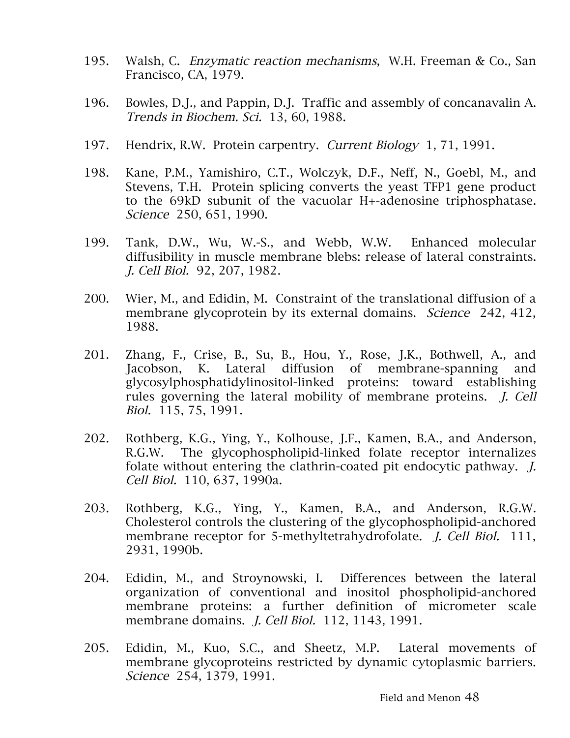- 195. Walsh, C. Enzymatic reaction mechanisms, W.H. Freeman & Co., San Francisco, CA, 1979.
- 196. Bowles, D.J., and Pappin, D.J. Traffic and assembly of concanavalin A. Trends in Biochem. Sci. 13, 60, 1988.
- 197. Hendrix, R.W. Protein carpentry. Current Biology 1, 71, 1991.
- 198. Kane, P.M., Yamishiro, C.T., Wolczyk, D.F., Neff, N., Goebl, M., and Stevens, T.H. Protein splicing converts the yeast TFP1 gene product to the 69kD subunit of the vacuolar H+-adenosine triphosphatase. Science 250, 651, 1990.
- 199. Tank, D.W., Wu, W.-S., and Webb, W.W. Enhanced molecular diffusibility in muscle membrane blebs: release of lateral constraints. J. Cell Biol. 92, 207, 1982.
- 200. Wier, M., and Edidin, M. Constraint of the translational diffusion of a membrane glycoprotein by its external domains. Science 242, 412, 1988.
- 201. Zhang, F., Crise, B., Su, B., Hou, Y., Rose, J.K., Bothwell, A., and Jacobson, K. Lateral diffusion of membrane-spanning and glycosylphosphatidylinositol-linked proteins: toward establishing rules governing the lateral mobility of membrane proteins. J. Cell Biol. 115, 75, 1991.
- 202. Rothberg, K.G., Ying, Y., Kolhouse, J.F., Kamen, B.A., and Anderson, R.G.W. The glycophospholipid-linked folate receptor internalizes folate without entering the clathrin-coated pit endocytic pathway. J. Cell Biol. 110, 637, 1990a.
- 203. Rothberg, K.G., Ying, Y., Kamen, B.A., and Anderson, R.G.W. Cholesterol controls the clustering of the glycophospholipid-anchored membrane receptor for 5-methyltetrahydrofolate. *J. Cell Biol.* 111, 2931, 1990b.
- 204. Edidin, M., and Stroynowski, I. Differences between the lateral organization of conventional and inositol phospholipid-anchored membrane proteins: a further definition of micrometer scale membrane domains. *J. Cell Biol.* 112, 1143, 1991.
- 205. Edidin, M., Kuo, S.C., and Sheetz, M.P. Lateral movements of membrane glycoproteins restricted by dynamic cytoplasmic barriers. Science 254, 1379, 1991.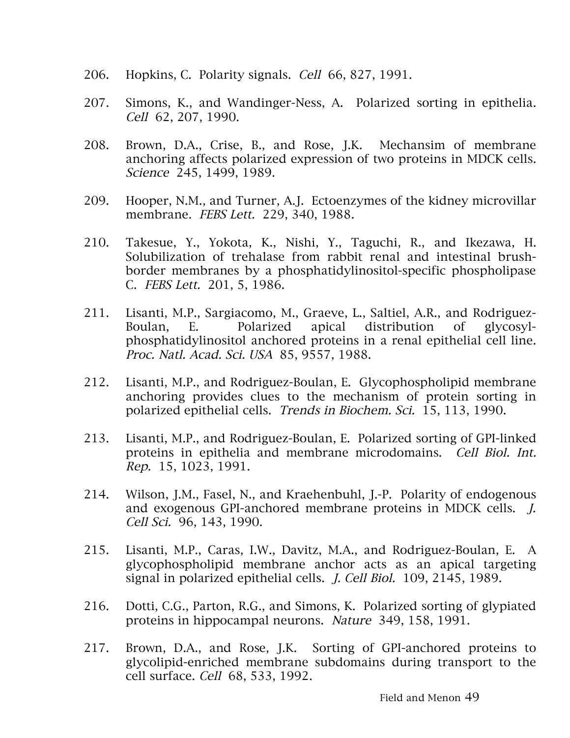- 206. Hopkins, C. Polarity signals. Cell 66, 827, 1991.
- 207. Simons, K., and Wandinger-Ness, A. Polarized sorting in epithelia. Cell 62, 207, 1990.
- 208. Brown, D.A., Crise, B., and Rose, J.K. Mechansim of membrane anchoring affects polarized expression of two proteins in MDCK cells. Science 245, 1499, 1989.
- 209. Hooper, N.M., and Turner, A.J. Ectoenzymes of the kidney microvillar membrane. FEBS Lett. 229, 340, 1988.
- 210. Takesue, Y., Yokota, K., Nishi, Y., Taguchi, R., and Ikezawa, H. Solubilization of trehalase from rabbit renal and intestinal brushborder membranes by a phosphatidylinositol-specific phospholipase C. FEBS Lett. 201, 5, 1986.
- 211. Lisanti, M.P., Sargiacomo, M., Graeve, L., Saltiel, A.R., and Rodriguez-Boulan, E. Polarized apical distribution of glycosylphosphatidylinositol anchored proteins in a renal epithelial cell line. Proc. Natl. Acad. Sci. USA 85, 9557, 1988.
- 212. Lisanti, M.P., and Rodriguez-Boulan, E. Glycophospholipid membrane anchoring provides clues to the mechanism of protein sorting in polarized epithelial cells. Trends in Biochem. Sci. 15, 113, 1990.
- 213. Lisanti, M.P., and Rodriguez-Boulan, E. Polarized sorting of GPI-linked proteins in epithelia and membrane microdomains. Cell Biol. Int. Rep. 15, 1023, 1991.
- 214. Wilson, J.M., Fasel, N., and Kraehenbuhl, J.-P. Polarity of endogenous and exogenous GPI-anchored membrane proteins in MDCK cells. J. Cell Sci. 96, 143, 1990.
- 215. Lisanti, M.P., Caras, I.W., Davitz, M.A., and Rodriguez-Boulan, E. A glycophospholipid membrane anchor acts as an apical targeting signal in polarized epithelial cells. *J. Cell Biol.* 109, 2145, 1989.
- 216. Dotti, C.G., Parton, R.G., and Simons, K. Polarized sorting of glypiated proteins in hippocampal neurons. Nature 349, 158, 1991.
- 217. Brown, D.A., and Rose, J.K. Sorting of GPI-anchored proteins to glycolipid-enriched membrane subdomains during transport to the cell surface. Cell 68, 533, 1992.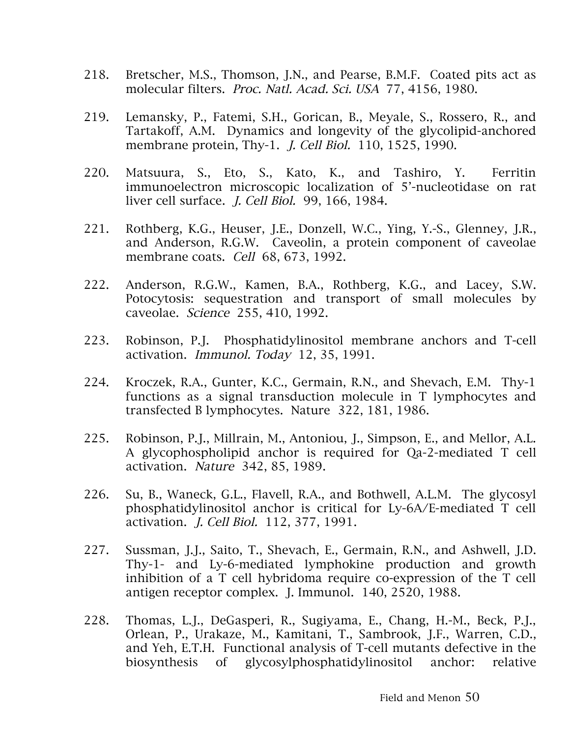- 218. Bretscher, M.S., Thomson, J.N., and Pearse, B.M.F. Coated pits act as molecular filters. Proc. Natl. Acad. Sci. USA 77, 4156, 1980.
- 219. Lemansky, P., Fatemi, S.H., Gorican, B., Meyale, S., Rossero, R., and Tartakoff, A.M. Dynamics and longevity of the glycolipid-anchored membrane protein, Thy-1. J. Cell Biol. 110, 1525, 1990.
- 220. Matsuura, S., Eto, S., Kato, K., and Tashiro, Y. Ferritin immunoelectron microscopic localization of 5'-nucleotidase on rat liver cell surface. J. Cell Biol. 99, 166, 1984.
- 221. Rothberg, K.G., Heuser, J.E., Donzell, W.C., Ying, Y.-S., Glenney, J.R., and Anderson, R.G.W. Caveolin, a protein component of caveolae membrane coats. Cell 68, 673, 1992.
- 222. Anderson, R.G.W., Kamen, B.A., Rothberg, K.G., and Lacey, S.W. Potocytosis: sequestration and transport of small molecules by caveolae. Science 255, 410, 1992.
- 223. Robinson, P.J. Phosphatidylinositol membrane anchors and T-cell activation. Immunol. Today 12, 35, 1991.
- 224. Kroczek, R.A., Gunter, K.C., Germain, R.N., and Shevach, E.M. Thy-1 functions as a signal transduction molecule in T lymphocytes and transfected B lymphocytes. Nature 322, 181, 1986.
- 225. Robinson, P.J., Millrain, M., Antoniou, J., Simpson, E., and Mellor, A.L. A glycophospholipid anchor is required for Qa-2-mediated T cell activation. Nature 342, 85, 1989.
- 226. Su, B., Waneck, G.L., Flavell, R.A., and Bothwell, A.L.M. The glycosyl phosphatidylinositol anchor is critical for Ly-6A/E-mediated T cell activation. J. Cell Biol. 112, 377, 1991.
- 227. Sussman, J.J., Saito, T., Shevach, E., Germain, R.N., and Ashwell, J.D. Thy-1- and Ly-6-mediated lymphokine production and growth inhibition of a T cell hybridoma require co-expression of the T cell antigen receptor complex. J. Immunol. 140, 2520, 1988.
- 228. Thomas, L.J., DeGasperi, R., Sugiyama, E., Chang, H.-M., Beck, P.J., Orlean, P., Urakaze, M., Kamitani, T., Sambrook, J.F., Warren, C.D., and Yeh, E.T.H. Functional analysis of T-cell mutants defective in the biosynthesis of glycosylphosphatidylinositol anchor: relative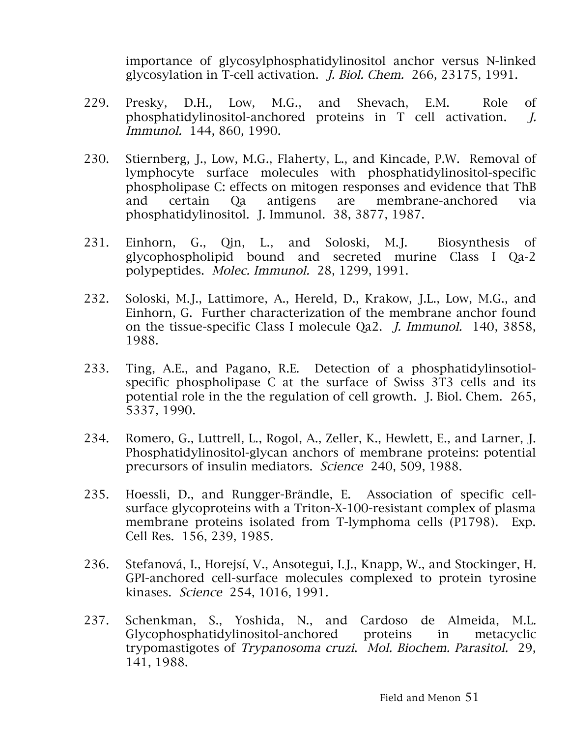importance of glycosylphosphatidylinositol anchor versus N-linked glycosylation in T-cell activation. J. Biol. Chem. 266, 23175, 1991.

- 229. Presky, D.H., Low, M.G., and Shevach, E.M. Role of phosphatidylinositol-anchored proteins in T cell activation. J. Immunol. 144, 860, 1990.
- 230. Stiernberg, J., Low, M.G., Flaherty, L., and Kincade, P.W. Removal of lymphocyte surface molecules with phosphatidylinositol-specific phospholipase C: effects on mitogen responses and evidence that ThB and certain Qa antigens are membrane-anchored via phosphatidylinositol. J. Immunol. 38, 3877, 1987.
- 231. Einhorn, G., Qin, L., and Soloski, M.J. Biosynthesis of glycophospholipid bound and secreted murine Class I Qa-2 polypeptides. Molec. Immunol. 28, 1299, 1991.
- 232. Soloski, M.J., Lattimore, A., Hereld, D., Krakow, J.L., Low, M.G., and Einhorn, G. Further characterization of the membrane anchor found on the tissue-specific Class I molecule Qa2. J. Immunol. 140, 3858, 1988.
- 233. Ting, A.E., and Pagano, R.E. Detection of a phosphatidylinsotiolspecific phospholipase C at the surface of Swiss 3T3 cells and its potential role in the the regulation of cell growth. J. Biol. Chem. 265, 5337, 1990.
- 234. Romero, G., Luttrell, L., Rogol, A., Zeller, K., Hewlett, E., and Larner, J. Phosphatidylinositol-glycan anchors of membrane proteins: potential precursors of insulin mediators. Science 240, 509, 1988.
- 235. Hoessli, D., and Rungger-Brändle, E. Association of specific cellsurface glycoproteins with a Triton-X-100-resistant complex of plasma membrane proteins isolated from T-lymphoma cells (P1798). Exp. Cell Res. 156, 239, 1985.
- 236. Stefanová, I., Horejsí, V., Ansotegui, I.J., Knapp, W., and Stockinger, H. GPI-anchored cell-surface molecules complexed to protein tyrosine kinases. Science 254, 1016, 1991.
- 237. Schenkman, S., Yoshida, N., and Cardoso de Almeida, M.L. Glycophosphatidylinositol-anchored proteins in metacyclic trypomastigotes of Trypanosoma cruzi. Mol. Biochem. Parasitol. 29, 141, 1988.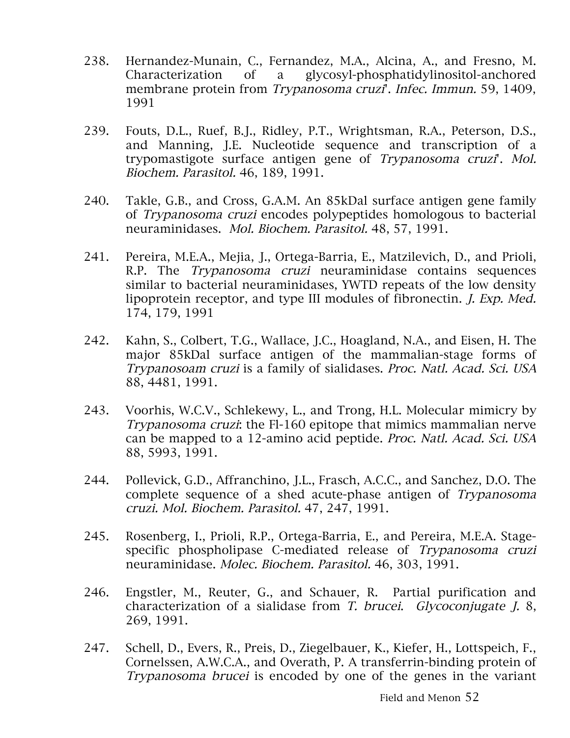- 238. Hernandez-Munain, C., Fernandez, M.A., Alcina, A., and Fresno, M. Characterization of a glycosyl-phosphatidylinositol-anchored membrane protein from Trypanosoma cruzi'. Infec. Immun. 59, 1409, 1991
- 239. Fouts, D.L., Ruef, B.J., Ridley, P.T., Wrightsman, R.A., Peterson, D.S., and Manning, J.E. Nucleotide sequence and transcription of a trypomastigote surface antigen gene of Trypanosoma cruzi'. Mol. Biochem. Parasitol. 46, 189, 1991.
- 240. Takle, G.B., and Cross, G.A.M. An 85kDal surface antigen gene family of Trypanosoma cruzi encodes polypeptides homologous to bacterial neuraminidases. Mol. Biochem. Parasitol. 48, 57, 1991.
- 241. Pereira, M.E.A., Mejia, J., Ortega-Barria, E., Matzilevich, D., and Prioli, R.P. The Trypanosoma cruzi neuraminidase contains sequences similar to bacterial neuraminidases, YWTD repeats of the low density lipoprotein receptor, and type III modules of fibronectin. J. Exp. Med. 174, 179, 1991
- 242. Kahn, S., Colbert, T.G., Wallace, J.C., Hoagland, N.A., and Eisen, H. The major 85kDal surface antigen of the mammalian-stage forms of Trypanosoam cruzi is a family of sialidases. Proc. Natl. Acad. Sci. USA 88, 4481, 1991.
- 243. Voorhis, W.C.V., Schlekewy, L., and Trong, H.L. Molecular mimicry by Trypanosoma cruzi: the Fl-160 epitope that mimics mammalian nerve can be mapped to a 12-amino acid peptide. Proc. Natl. Acad. Sci. USA 88, 5993, 1991.
- 244. Pollevick, G.D., Affranchino, J.L., Frasch, A.C.C., and Sanchez, D.O. The complete sequence of a shed acute-phase antigen of Trypanosoma cruzi. Mol. Biochem. Parasitol. 47, 247, 1991.
- 245. Rosenberg, I., Prioli, R.P., Ortega-Barria, E., and Pereira, M.E.A. Stagespecific phospholipase C-mediated release of Trypanosoma cruzi neuraminidase. Molec. Biochem. Parasitol. 46, 303, 1991.
- 246. Engstler, M., Reuter, G., and Schauer, R. Partial purification and characterization of a sialidase from T. brucei. Glycoconjugate J. 8, 269, 1991.
- 247. Schell, D., Evers, R., Preis, D., Ziegelbauer, K., Kiefer, H., Lottspeich, F., Cornelssen, A.W.C.A., and Overath, P. A transferrin-binding protein of Trypanosoma brucei is encoded by one of the genes in the variant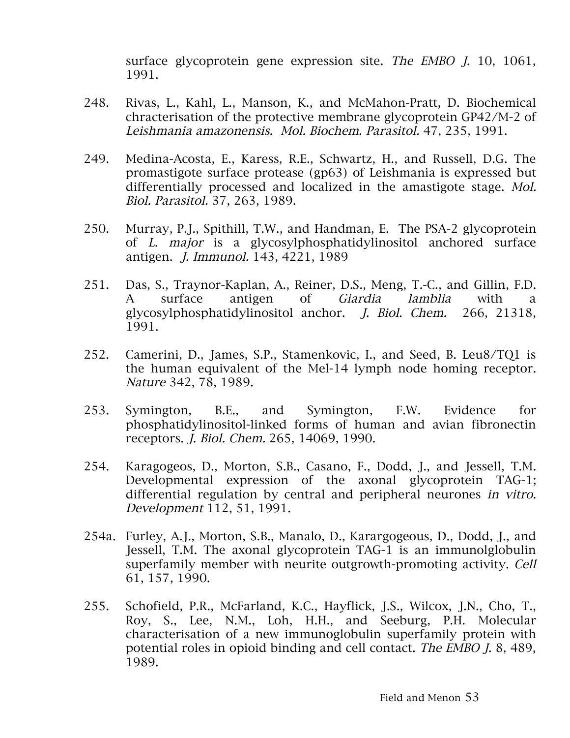surface glycoprotein gene expression site. The EMBO J. 10, 1061, 1991.

- 248. Rivas, L., Kahl, L., Manson, K., and McMahon-Pratt, D. Biochemical chracterisation of the protective membrane glycoprotein GP42/M-2 of Leishmania amazonensis. Mol. Biochem. Parasitol. 47, 235, 1991.
- 249. Medina-Acosta, E., Karess, R.E., Schwartz, H., and Russell, D.G. The promastigote surface protease (gp63) of Leishmania is expressed but differentially processed and localized in the amastigote stage. Mol. Biol. Parasitol. 37, 263, 1989.
- 250. Murray, P.J., Spithill, T.W., and Handman, E. The PSA-2 glycoprotein of L. major is a glycosylphosphatidylinositol anchored surface antigen. J. Immunol. 143, 4221, 1989
- 251. Das, S., Traynor-Kaplan, A., Reiner, D.S., Meng, T.-C., and Gillin, F.D. A surface antigen of *Giardia lamblia* with a glycosylphosphatidylinositol anchor. J. Biol. Chem. 266, 21318, 1991.
- 252. Camerini, D., James, S.P., Stamenkovic, I., and Seed, B. Leu8/TQ1 is the human equivalent of the Mel-14 lymph node homing receptor. Nature 342, 78, 1989.
- 253. Symington, B.E., and Symington, F.W. Evidence for phosphatidylinositol-linked forms of human and avian fibronectin receptors. J. Biol. Chem. 265, 14069, 1990.
- 254. Karagogeos, D., Morton, S.B., Casano, F., Dodd, J., and Jessell, T.M. Developmental expression of the axonal glycoprotein TAG-1; differential regulation by central and peripheral neurones in vitro. Development 112, 51, 1991.
- 254a. Furley, A.J., Morton, S.B., Manalo, D., Karargogeous, D., Dodd, J., and Jessell, T.M. The axonal glycoprotein TAG-1 is an immunolglobulin superfamily member with neurite outgrowth-promoting activity. Cell 61, 157, 1990.
- 255. Schofield, P.R., McFarland, K.C., Hayflick, J.S., Wilcox, J.N., Cho, T., Roy, S., Lee, N.M., Loh, H.H., and Seeburg, P.H. Molecular characterisation of a new immunoglobulin superfamily protein with potential roles in opioid binding and cell contact. The EMBO J. 8, 489, 1989.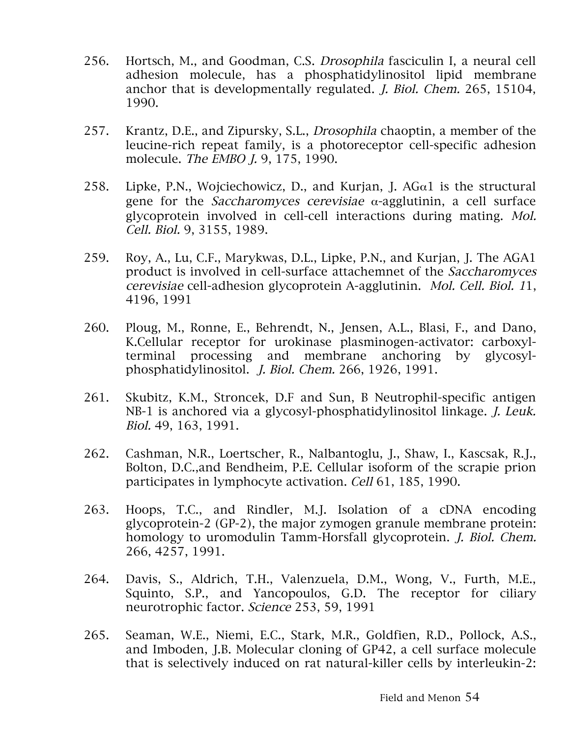- 256. Hortsch, M., and Goodman, C.S. Drosophila fasciculin I, a neural cell adhesion molecule, has a phosphatidylinositol lipid membrane anchor that is developmentally regulated. J. Biol. Chem. 265, 15104, 1990.
- 257. Krantz, D.E., and Zipursky, S.L., Drosophila chaoptin, a member of the leucine-rich repeat family, is a photoreceptor cell-specific adhesion molecule. The EMBO J. 9, 175, 1990.
- 258. Lipke, P.N., Wojciechowicz, D., and Kurjan, J. AG $\alpha$ 1 is the structural gene for the Saccharomyces cerevisiae α-agglutinin, a cell surface glycoprotein involved in cell-cell interactions during mating. Mol. Cell. Biol. 9, 3155, 1989.
- 259. Roy, A., Lu, C.F., Marykwas, D.L., Lipke, P.N., and Kurjan, J. The AGA1 product is involved in cell-surface attachemnet of the Saccharomyces cerevisiae cell-adhesion glycoprotein A-agglutinin. Mol. Cell. Biol. 11, 4196, 1991
- 260. Ploug, M., Ronne, E., Behrendt, N., Jensen, A.L., Blasi, F., and Dano, K.Cellular receptor for urokinase plasminogen-activator: carboxylterminal processing and membrane anchoring by glycosylphosphatidylinositol. J. Biol. Chem. 266, 1926, 1991.
- 261. Skubitz, K.M., Stroncek, D.F and Sun, B Neutrophil-specific antigen NB-1 is anchored via a glycosyl-phosphatidylinositol linkage. J. Leuk. Biol. 49, 163, 1991.
- 262. Cashman, N.R., Loertscher, R., Nalbantoglu, J., Shaw, I., Kascsak, R.J., Bolton, D.C.,and Bendheim, P.E. Cellular isoform of the scrapie prion participates in lymphocyte activation. Cell 61, 185, 1990.
- 263. Hoops, T.C., and Rindler, M.J. Isolation of a cDNA encoding glycoprotein-2 (GP-2), the major zymogen granule membrane protein: homology to uromodulin Tamm-Horsfall glycoprotein. J. Biol. Chem. 266, 4257, 1991.
- 264. Davis, S., Aldrich, T.H., Valenzuela, D.M., Wong, V., Furth, M.E., Squinto, S.P., and Yancopoulos, G.D. The receptor for ciliary neurotrophic factor. Science 253, 59, 1991
- 265. Seaman, W.E., Niemi, E.C., Stark, M.R., Goldfien, R.D., Pollock, A.S., and Imboden, J.B. Molecular cloning of GP42, a cell surface molecule that is selectively induced on rat natural-killer cells by interleukin-2: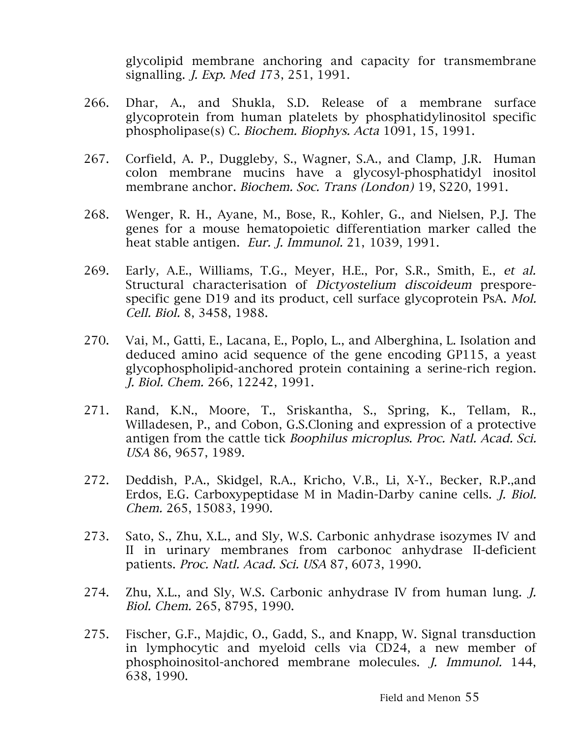glycolipid membrane anchoring and capacity for transmembrane signalling. J. Exp. Med 173, 251, 1991.

- 266. Dhar, A., and Shukla, S.D. Release of a membrane surface glycoprotein from human platelets by phosphatidylinositol specific phospholipase(s) C. Biochem. Biophys. Acta 1091, 15, 1991.
- 267. Corfield, A. P., Duggleby, S., Wagner, S.A., and Clamp, J.R. Human colon membrane mucins have a glycosyl-phosphatidyl inositol membrane anchor. Biochem. Soc. Trans (London) 19, S220, 1991.
- 268. Wenger, R. H., Ayane, M., Bose, R., Kohler, G., and Nielsen, P.J. The genes for a mouse hematopoietic differentiation marker called the heat stable antigen. Eur. J. Immunol. 21, 1039, 1991.
- 269. Early, A.E., Williams, T.G., Meyer, H.E., Por, S.R., Smith, E., et al. Structural characterisation of Dictyostelium discoideum presporespecific gene D19 and its product, cell surface glycoprotein PsA. Mol. Cell. Biol. 8, 3458, 1988.
- 270. Vai, M., Gatti, E., Lacana, E., Poplo, L., and Alberghina, L. Isolation and deduced amino acid sequence of the gene encoding GP115, a yeast glycophospholipid-anchored protein containing a serine-rich region. J. Biol. Chem. 266, 12242, 1991.
- 271. Rand, K.N., Moore, T., Sriskantha, S., Spring, K., Tellam, R., Willadesen, P., and Cobon, G.S.Cloning and expression of a protective antigen from the cattle tick Boophilus microplus. Proc. Natl. Acad. Sci. USA 86, 9657, 1989.
- 272. Deddish, P.A., Skidgel, R.A., Kricho, V.B., Li, X-Y., Becker, R.P.,and Erdos, E.G. Carboxypeptidase M in Madin-Darby canine cells. J. Biol. Chem. 265, 15083, 1990.
- 273. Sato, S., Zhu, X.L., and Sly, W.S. Carbonic anhydrase isozymes IV and II in urinary membranes from carbonoc anhydrase II-deficient patients. Proc. Natl. Acad. Sci. USA 87, 6073, 1990.
- 274. Zhu, X.L., and Sly, W.S. Carbonic anhydrase IV from human lung. J. Biol. Chem. 265, 8795, 1990.
- 275. Fischer, G.F., Majdic, O., Gadd, S., and Knapp, W. Signal transduction in lymphocytic and myeloid cells via CD24, a new member of phosphoinositol-anchored membrane molecules. J. Immunol. 144, 638, 1990.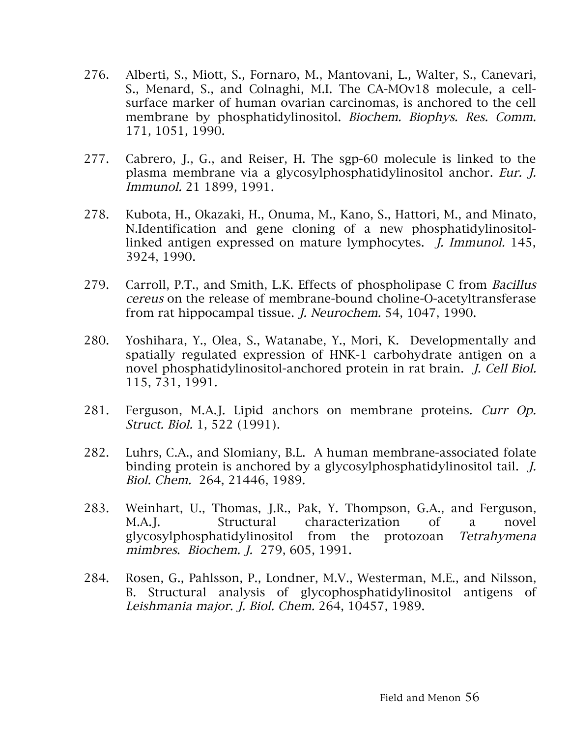- 276. Alberti, S., Miott, S., Fornaro, M., Mantovani, L., Walter, S., Canevari, S., Menard, S., and Colnaghi, M.I. The CA-MOv18 molecule, a cellsurface marker of human ovarian carcinomas, is anchored to the cell membrane by phosphatidylinositol. Biochem. Biophys. Res. Comm. 171, 1051, 1990.
- 277. Cabrero, J., G., and Reiser, H. The sgp-60 molecule is linked to the plasma membrane via a glycosylphosphatidylinositol anchor. Eur. J. Immunol. 21 1899, 1991.
- 278. Kubota, H., Okazaki, H., Onuma, M., Kano, S., Hattori, M., and Minato, N.Identification and gene cloning of a new phosphatidylinositollinked antigen expressed on mature lymphocytes. J. Immunol. 145, 3924, 1990.
- 279. Carroll, P.T., and Smith, L.K. Effects of phospholipase C from Bacillus cereus on the release of membrane-bound choline-O-acetyltransferase from rat hippocampal tissue. J. Neurochem. 54, 1047, 1990.
- 280. Yoshihara, Y., Olea, S., Watanabe, Y., Mori, K. Developmentally and spatially regulated expression of HNK-1 carbohydrate antigen on a novel phosphatidylinositol-anchored protein in rat brain. J. Cell Biol. 115, 731, 1991.
- 281. Ferguson, M.A.J. Lipid anchors on membrane proteins. Curr Op. Struct. Biol. 1, 522 (1991).
- 282. Luhrs, C.A., and Slomiany, B.L. A human membrane-associated folate binding protein is anchored by a glycosylphosphatidylinositol tail. J. Biol. Chem. 264, 21446, 1989.
- 283. Weinhart, U., Thomas, J.R., Pak, Y. Thompson, G.A., and Ferguson, M.A.J. Structural characterization of a novel glycosylphosphatidylinositol from the protozoan Tetrahymena mimbres. Biochem. J. 279, 605, 1991.
- 284. Rosen, G., Pahlsson, P., Londner, M.V., Westerman, M.E., and Nilsson, B. Structural analysis of glycophosphatidylinositol antigens of Leishmania major. J. Biol. Chem. 264, 10457, 1989.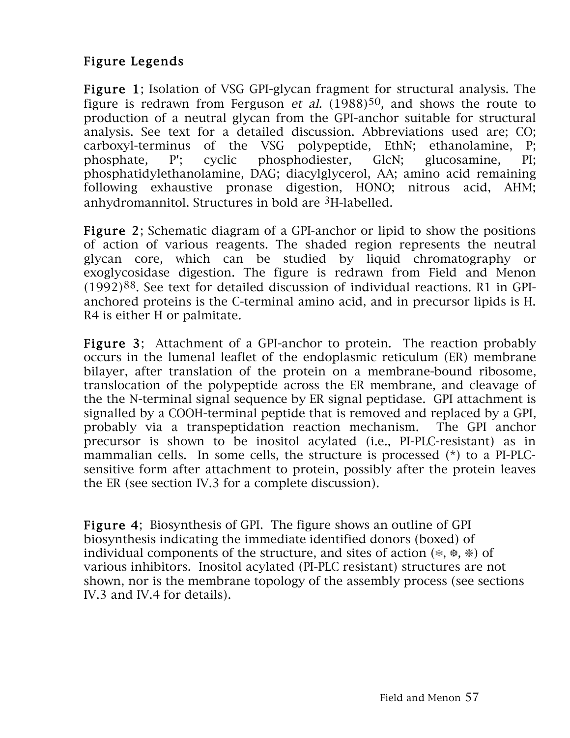### Figure Legends

Figure 1; Isolation of VSG GPI-glycan fragment for structural analysis. The figure is redrawn from Ferguson *et al.*  $(1988)^{50}$ , and shows the route to production of a neutral glycan from the GPI-anchor suitable for structural analysis. See text for a detailed discussion. Abbreviations used are; CO; carboxyl-terminus of the VSG polypeptide, EthN; ethanolamine, P; phosphate, P'; cyclic phosphodiester, GlcN; glucosamine, PI; phosphatidylethanolamine, DAG; diacylglycerol, AA; amino acid remaining following exhaustive pronase digestion, HONO; nitrous acid, AHM; anhydromannitol. Structures in bold are 3H-labelled.

Figure 2; Schematic diagram of a GPI-anchor or lipid to show the positions of action of various reagents. The shaded region represents the neutral glycan core, which can be studied by liquid chromatography or exoglycosidase digestion. The figure is redrawn from Field and Menon  $(1992)^{88}$ . See text for detailed discussion of individual reactions. R1 in GPIanchored proteins is the C-terminal amino acid, and in precursor lipids is H. R4 is either H or palmitate.

Figure 3: Attachment of a GPI-anchor to protein. The reaction probably occurs in the lumenal leaflet of the endoplasmic reticulum (ER) membrane bilayer, after translation of the protein on a membrane-bound ribosome, translocation of the polypeptide across the ER membrane, and cleavage of the the N-terminal signal sequence by ER signal peptidase. GPI attachment is signalled by a COOH-terminal peptide that is removed and replaced by a GPI, probably via a transpeptidation reaction mechanism. The GPI anchor precursor is shown to be inositol acylated (i.e., PI-PLC-resistant) as in mammalian cells. In some cells, the structure is processed (\*) to a PI-PLCsensitive form after attachment to protein, possibly after the protein leaves the ER (see section IV.3 for a complete discussion).

Figure 4; Biosynthesis of GPI. The figure shows an outline of GPI biosynthesis indicating the immediate identified donors (boxed) of individual components of the structure, and sites of action (❄, ❆, ❇) of various inhibitors. Inositol acylated (PI-PLC resistant) structures are not shown, nor is the membrane topology of the assembly process (see sections IV.3 and IV.4 for details).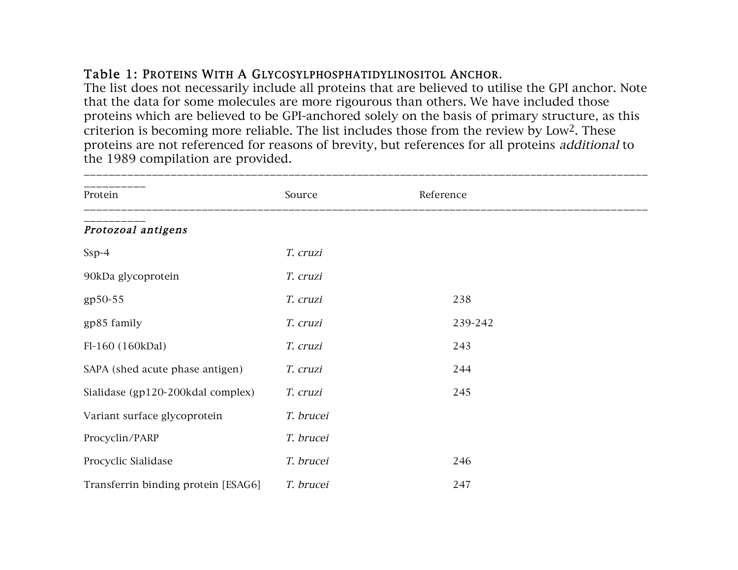### Table 1: PROTEINS WITH A GLYCOSYLPHOSPHATIDYLINOSITOL ANCHOR.

The list does not necessarily include all proteins that are believed to utilise the GPI anchor. Note that the data for some molecules are more rigourous than others. We have included those proteins which are believed to be GPI-anchored solely on the basis of primary structure, as this criterion is becoming more reliable. The list includes those from the review by Low2. These proteins are not referenced for reasons of brevity, but references for all proteins additional to the 1989 compilation are provided.

\_\_\_\_\_\_\_\_\_\_\_\_\_\_\_\_\_\_\_\_\_\_\_\_\_\_\_\_\_\_\_\_\_\_\_\_\_\_\_\_\_\_\_\_\_\_\_\_\_\_\_\_\_\_\_\_\_\_\_\_\_\_\_\_\_\_\_\_\_\_\_\_\_\_\_\_\_\_\_\_\_\_\_\_\_\_\_\_\_\_\_

| Protein                             | Source    | Reference |
|-------------------------------------|-----------|-----------|
| Protozoal antigens                  |           |           |
| $Ssp-4$                             | T. cruzi  |           |
| 90kDa glycoprotein                  | T. cruzi  |           |
| gp50-55                             | T. cruzi  | 238       |
| gp85 family                         | T. cruzi  | 239-242   |
| Fl-160 (160kDal)                    | T. cruzi  | 243       |
| SAPA (shed acute phase antigen)     | T. cruzi  | 244       |
| Sialidase (gp120-200kdal complex)   | T. cruzi  | 245       |
| Variant surface glycoprotein        | T. brucei |           |
| Procyclin/PARP                      | T. brucei |           |
| Procyclic Sialidase                 | T. brucei | 246       |
| Transferrin binding protein [ESAG6] | T. brucei | 247       |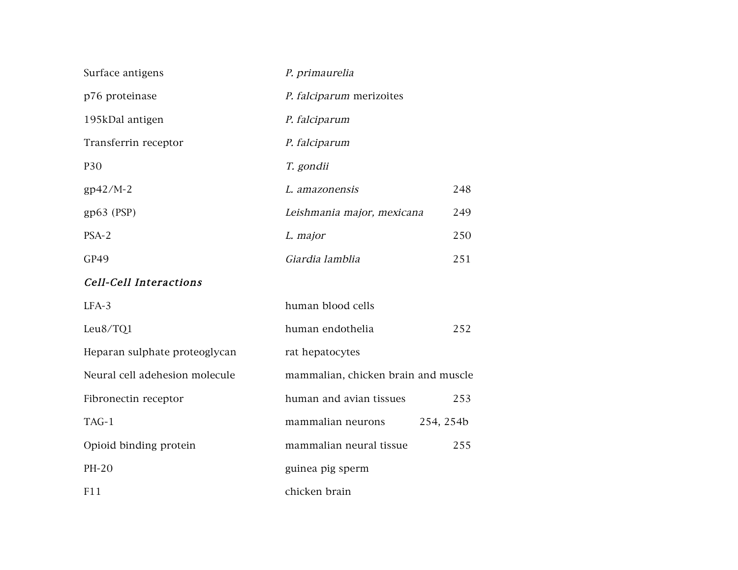| Surface antigens               | P. primaurelia                      |
|--------------------------------|-------------------------------------|
| p76 proteinase                 | P. falciparum merizoites            |
| 195kDal antigen                | P. falciparum                       |
| Transferrin receptor           | P. falciparum                       |
| P30                            | T. gondii                           |
| $gp42/M-2$                     | 248<br>L. amazonensis               |
| $gp63$ (PSP)                   | Leishmania major, mexicana<br>249   |
| PSA-2                          | 250<br>L. major                     |
| GP49                           | Giardia lamblia<br>251              |
| <b>Cell-Cell Interactions</b>  |                                     |
| LFA-3                          | human blood cells                   |
| Leu8/TQ1                       | human endothelia<br>252             |
| Heparan sulphate proteoglycan  | rat hepatocytes                     |
| Neural cell adehesion molecule | mammalian, chicken brain and muscle |
| Fibronectin receptor           | human and avian tissues<br>253      |
| TAG-1                          | mammalian neurons<br>254, 254b      |
| Opioid binding protein         | mammalian neural tissue<br>255      |
| PH-20                          | guinea pig sperm                    |
| F11                            | chicken brain                       |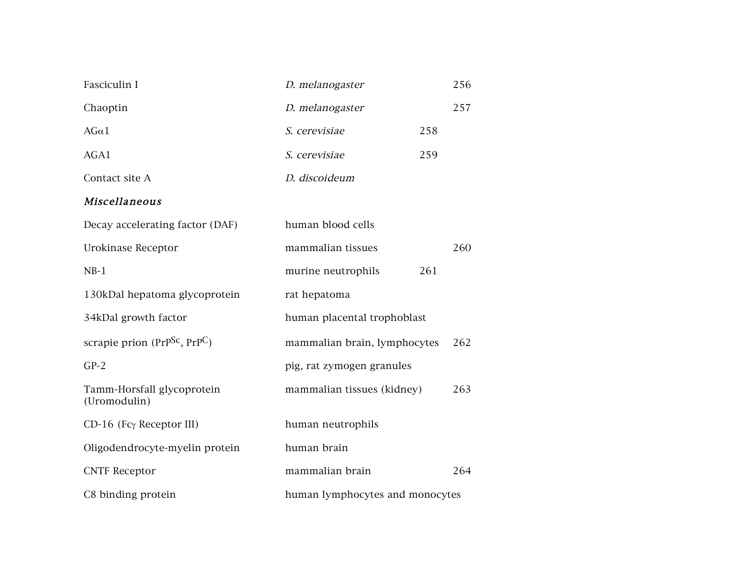| Fasciculin I                               | D. melanogaster                 |     |     |
|--------------------------------------------|---------------------------------|-----|-----|
| Chaoptin                                   | D. melanogaster                 |     | 257 |
| $AG\alpha1$                                | S. cerevisiae                   | 258 |     |
| AGA1                                       | S. cerevisiae                   | 259 |     |
| Contact site A                             | D. discoideum                   |     |     |
| Miscellaneous                              |                                 |     |     |
| Decay accelerating factor (DAF)            | human blood cells               |     |     |
| Urokinase Receptor                         | mammalian tissues               |     | 260 |
| $NB-1$                                     | murine neutrophils              | 261 |     |
| 130kDal hepatoma glycoprotein              | rat hepatoma                    |     |     |
| 34kDal growth factor                       | human placental trophoblast     |     |     |
| scrapie prion ( $PrPSC$ , $PrP$ C)         | mammalian brain, lymphocytes    |     | 262 |
| $GP-2$                                     | pig, rat zymogen granules       |     |     |
| Tamm-Horsfall glycoprotein<br>(Uromodulin) | mammalian tissues (kidney)      |     | 263 |
| CD-16 (Fcy Receptor III)                   | human neutrophils               |     |     |
| Oligodendrocyte-myelin protein             | human brain                     |     |     |
| <b>CNTF Receptor</b>                       | mammalian brain                 |     | 264 |
| C8 binding protein                         | human lymphocytes and monocytes |     |     |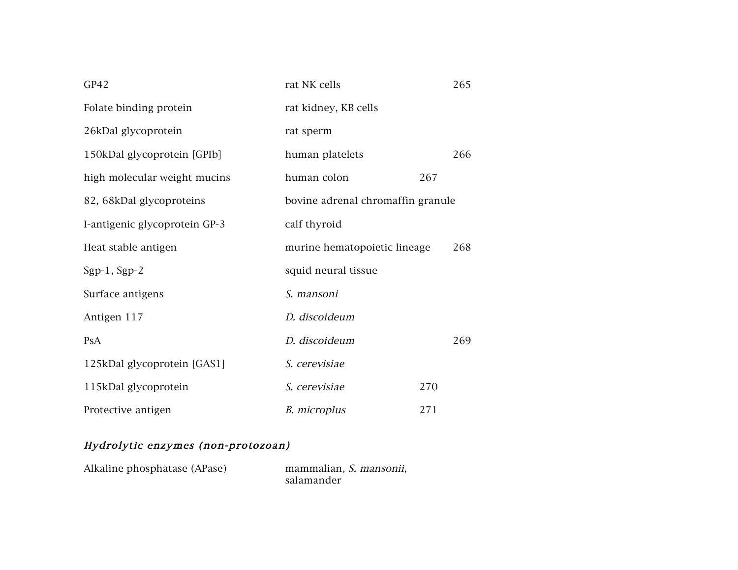| GP42                          | rat NK cells                        |     |  |
|-------------------------------|-------------------------------------|-----|--|
| Folate binding protein        | rat kidney, KB cells                |     |  |
| 26kDal glycoprotein           | rat sperm                           |     |  |
| 150kDal glycoprotein [GPIb]   | human platelets                     | 266 |  |
| high molecular weight mucins  | human colon                         | 267 |  |
| 82, 68kDal glycoproteins      | bovine adrenal chromaffin granule   |     |  |
| I-antigenic glycoprotein GP-3 | calf thyroid                        |     |  |
| Heat stable antigen           | murine hematopoietic lineage<br>268 |     |  |
| Sgp-1, Sgp-2                  | squid neural tissue                 |     |  |
| Surface antigens              | S. mansoni                          |     |  |
| Antigen 117                   | D. discoideum                       |     |  |
| PsA                           | D. discoideum                       | 269 |  |
| 125kDal glycoprotein [GAS1]   | S. cerevisiae                       |     |  |
| 115kDal glycoprotein          | S. cerevisiae                       | 270 |  |
| Protective antigen            | B. microplus                        | 271 |  |

#### Hydrolytic enzymes (non-protozoan)

| Alkaline phosphatase (APase) | mammalian, S. mansonii, |
|------------------------------|-------------------------|
|                              | salamander              |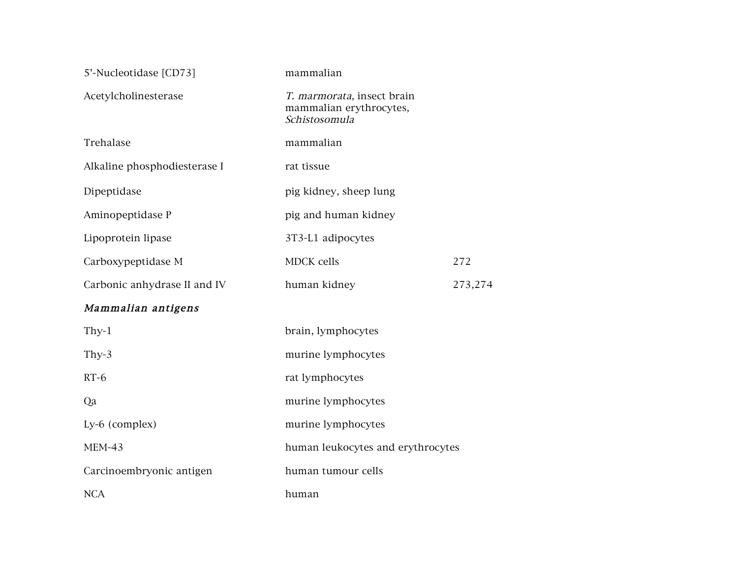| 5'-Nucleotidase [CD73]       | mammalian                                                              |  |  |
|------------------------------|------------------------------------------------------------------------|--|--|
| Acetylcholinesterase         | T. marmorata, insect brain<br>mammalian erythrocytes,<br>Schistosomula |  |  |
| Trehalase                    | mammalian                                                              |  |  |
| Alkaline phosphodiesterase I | rat tissue                                                             |  |  |
| Dipeptidase                  | pig kidney, sheep lung                                                 |  |  |
| Aminopeptidase P             | pig and human kidney                                                   |  |  |
| Lipoprotein lipase           | 3T3-L1 adipocytes                                                      |  |  |
| Carboxypeptidase M           | <b>MDCK</b> cells<br>272                                               |  |  |
| Carbonic anhydrase II and IV | human kidney<br>273,274                                                |  |  |
| Mammalian antigens           |                                                                        |  |  |
| Thy- $1$                     | brain, lymphocytes                                                     |  |  |
| Thy- $3$                     | murine lymphocytes                                                     |  |  |
| $RT-6$                       | rat lymphocytes                                                        |  |  |
| Qa                           | murine lymphocytes                                                     |  |  |
| Ly-6 (complex)               | murine lymphocytes                                                     |  |  |
| <b>MEM-43</b>                | human leukocytes and erythrocytes                                      |  |  |
| Carcinoembryonic antigen     | human tumour cells                                                     |  |  |
| <b>NCA</b>                   | human                                                                  |  |  |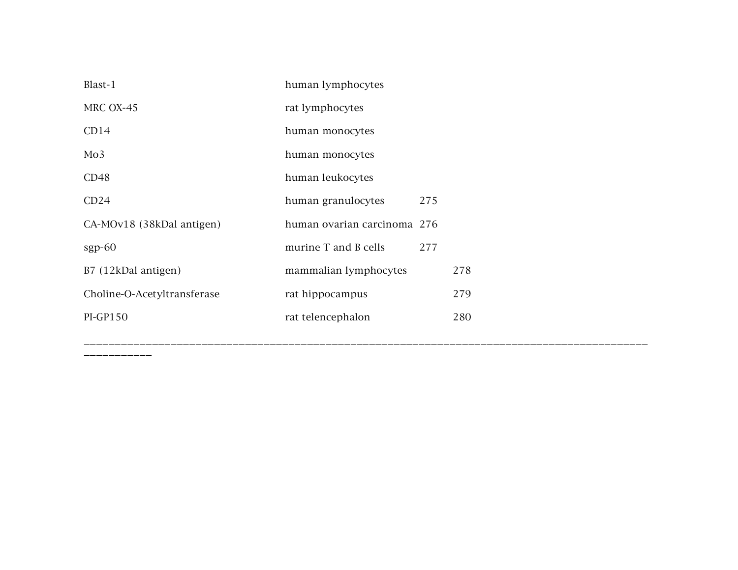| Blast-1                     | human lymphocytes           |     |
|-----------------------------|-----------------------------|-----|
| MRC OX-45                   | rat lymphocytes             |     |
| CD14                        | human monocytes             |     |
| Mo3                         | human monocytes             |     |
| CD48                        | human leukocytes            |     |
| CD24                        | 275<br>human granulocytes   |     |
| CA-MOv18 (38kDal antigen)   | human ovarian carcinoma 276 |     |
| $sgp-60$                    | 277<br>murine T and B cells |     |
| B7 (12kDal antigen)         | mammalian lymphocytes       | 278 |
| Choline-O-Acetyltransferase | rat hippocampus             | 279 |
| <b>PI-GP150</b>             | rat telencephalon           | 280 |

\_\_\_\_\_\_\_\_\_\_\_

\_\_\_\_\_\_\_\_\_\_\_\_\_\_\_\_\_\_\_\_\_\_\_\_\_\_\_\_\_\_\_\_\_\_\_\_\_\_\_\_\_\_\_\_\_\_\_\_\_\_\_\_\_\_\_\_\_\_\_\_\_\_\_\_\_\_\_\_\_\_\_\_\_\_\_\_\_\_\_\_\_\_\_\_\_\_\_\_\_\_\_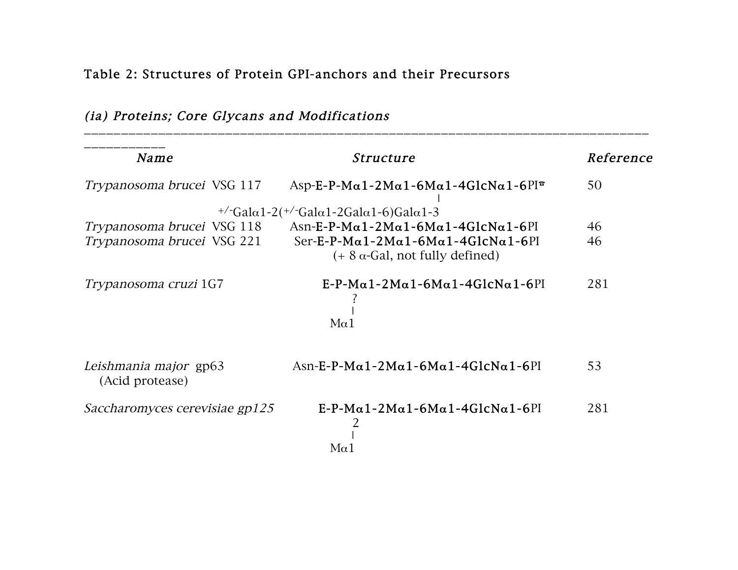# Table 2: Structures of Protein GPI-anchors and their Precursors

| (ia) Proteins; Core Glycans and Modifications |  |  |
|-----------------------------------------------|--|--|
|-----------------------------------------------|--|--|

| <b>Name</b>                              | Structure                                                                                    | Reference |
|------------------------------------------|----------------------------------------------------------------------------------------------|-----------|
| Trypanosoma brucei VSG 117               | Asp-E-P-M $\alpha$ 1-2M $\alpha$ 1-6M $\alpha$ 1-4GlcN $\alpha$ 1-6PI $\in$                  | 50        |
|                                          | $^{+/-}$ Gala1-2( $^{+/-}$ Gala1-2Gala1-6)Gala1-3                                            |           |
| Trypanosoma brucei VSG 118               | Asn-E-P-M $\alpha$ 1-2M $\alpha$ 1-6M $\alpha$ 1-4GlcN $\alpha$ 1-6PI                        | 46        |
| Trypanosoma brucei VSG 221               | $Ser-E-P-M\alpha1-2M\alpha1-6M\alpha1-4GlcNa1-6PI$<br>$(+ 8 \alpha$ -Gal, not fully defined) | 46        |
| Trypanosoma cruzi 1G7                    | $E-P-M\alpha$ 1-2M $\alpha$ 1-6M $\alpha$ 1-4GlcN $\alpha$ 1-6PI<br>$M\alpha$ 1              | 281       |
| Leishmania major gp63<br>(Acid protease) | $Asn-E-P-M\alpha 1-2Ma1-6Ma1-4GlcNa1-6PI$                                                    | 53        |
| Saccharomyces cerevisiae gp125           | $E-P-M\alpha$ 1-2M $\alpha$ 1-6M $\alpha$ 1-4GlcN $\alpha$ 1-6PI<br>$M\alpha$ 1              | 281       |

\_\_\_\_\_\_\_\_\_\_\_\_\_\_\_\_\_\_\_\_\_\_\_\_\_\_\_\_\_\_\_\_\_\_\_\_\_\_\_\_\_\_\_\_\_\_\_\_\_\_\_\_\_\_\_\_\_\_\_\_\_\_\_\_\_\_\_\_\_\_\_\_\_\_\_\_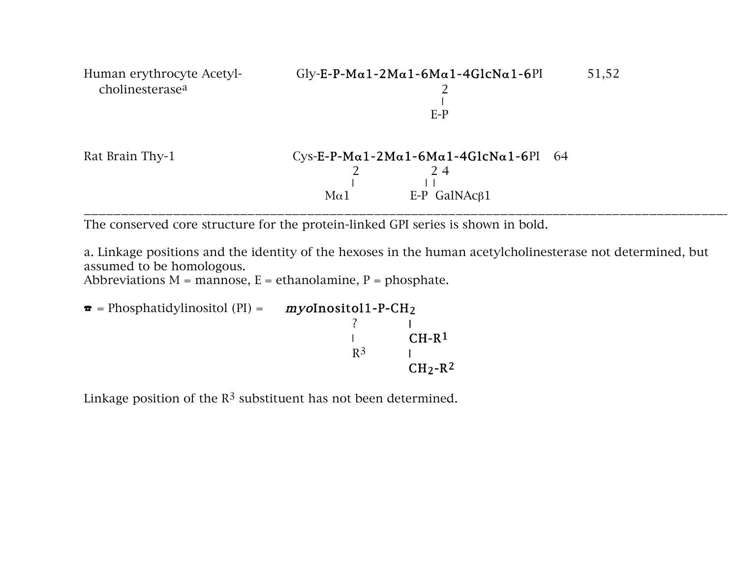

The conserved core structure for the protein-linked GPI series is shown in bold.

a. Linkage positions and the identity of the hexoses in the human acetylcholinesterase not determined, but assumed to be homologous.

Abbreviations  $M =$  mannose,  $E =$  ethanolamine,  $P =$  phosphate.

 $\bullet$  = Phosphatidylinositol (PI) =  $myolnositol1-P-CH<sub>2</sub>$ ?  $\blacksquare$  $\sim$  CH-R<sup>1</sup>  $R^3$  and  $R^3$  $CH<sub>2</sub>-R<sup>2</sup>$ 

Linkage position of the  $R<sup>3</sup>$  substituent has not been determined.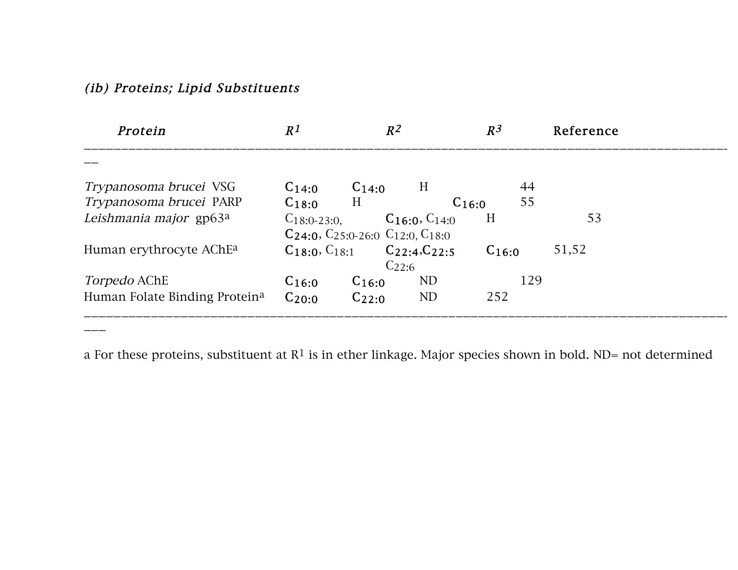### (ib) Proteins; Lipid Substituents

 $\overline{\phantom{a}}$ 

| Protein                             | R <sup>1</sup>   | $R^2$                                                   |                         | $R^3$      | Reference |
|-------------------------------------|------------------|---------------------------------------------------------|-------------------------|------------|-----------|
|                                     |                  |                                                         |                         |            |           |
| <i>Trypanosoma brucei</i> VSG       | $C_{14:0}$       | $C_{14:0}$                                              | H                       | 44         |           |
| Trypanosoma brucei PARP             | H<br>$C_{18:0}$  |                                                         | $C_{16:0}$              | 55         |           |
| Leishmania major gp63a              | $C_{18:0-23:0.}$ | $C_{24:0}$ , $C_{25:0-26:0}$ $C_{12:0}$ , $C_{18:0}$    | $C_{16:0}$ , $C_{14:0}$ | H          | 53        |
| Human erythrocyte AChE <sup>a</sup> |                  | $C_{18:0}, C_{18:1}$ $C_{22:4}, C_{22:5}$<br>$C_{22:6}$ |                         | $C_{16:0}$ | 51,52     |
| <i>Torpedo</i> AChE                 | $C_{16:0}$       | $C_{16:0}$                                              | N <sub>D</sub>          | 129        |           |
| Human Folate Binding Proteina       | $C_{20:0}$       | $C_{22:0}$                                              | ND                      | 252        |           |

a For these proteins, substituent at  $R^1$  is in ether linkage. Major species shown in bold. ND= not determined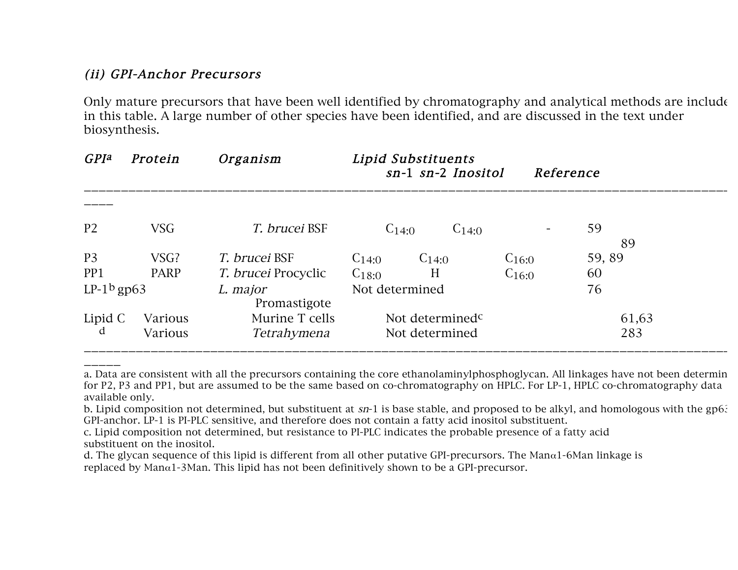### (ii) GPI-Anchor Precursors

\_\_\_\_\_

Only mature precursors that have been well identified by chromatography and analytical methods are include in this table. A large number of other species have been identified, and are discussed in the text under biosynthesis.

| <b>GPIa</b>    | Protein     | Organism                   | Lipid Substituents | sn-1 sn-2 Inositol          | Reference  |       |  |
|----------------|-------------|----------------------------|--------------------|-----------------------------|------------|-------|--|
|                |             |                            |                    |                             |            |       |  |
| P <sub>2</sub> | <b>VSG</b>  | T. brucei BSF              | $C_{14:0}$         | $C_{14:0}$                  |            | 59    |  |
|                |             |                            |                    |                             |            | 89    |  |
| P <sub>3</sub> | VSG?        | <i>T. brucei</i> BSF       | $C_{14:0}$         | $C_{14:0}$                  | $C_{16:0}$ | 59,89 |  |
| PP1            | <b>PARP</b> | <i>T. brucei</i> Procyclic | $C_{18:0}$         | H                           | $C_{16:0}$ | 60    |  |
| $LP-1^b$ gp63  |             | L. major                   | Not determined     |                             |            | 76    |  |
|                |             | Promastigote               |                    |                             |            |       |  |
| Lipid C        | Various     | Murine T cells             |                    | Not determined <sup>c</sup> |            | 61,63 |  |
|                | Various     | Tetrahymena                |                    | Not determined              |            | 283   |  |
|                |             |                            |                    |                             |            |       |  |

a. Data are consistent with all the precursors containing the core ethanolaminylphosphoglycan. All linkages have not been determin for P2, P3 and PP1, but are assumed to be the same based on co-chromatography on HPLC. For LP-1, HPLC co-chromatography data available only.

b. Lipid composition not determined, but substituent at  $sn-1$  is base stable, and proposed to be alkyl, and homologous with the gp63 GPI-anchor. LP-1 is PI-PLC sensitive, and therefore does not contain a fatty acid inositol substituent.

c. Lipid composition not determined, but resistance to PI-PLC indicates the probable presence of a fatty acid substituent on the inositol.

d. The glycan sequence of this lipid is different from all other putative GPI-precursors. The Manα1-6Man linkage is replaced by Manα1-3Man. This lipid has not been definitively shown to be a GPI-precursor.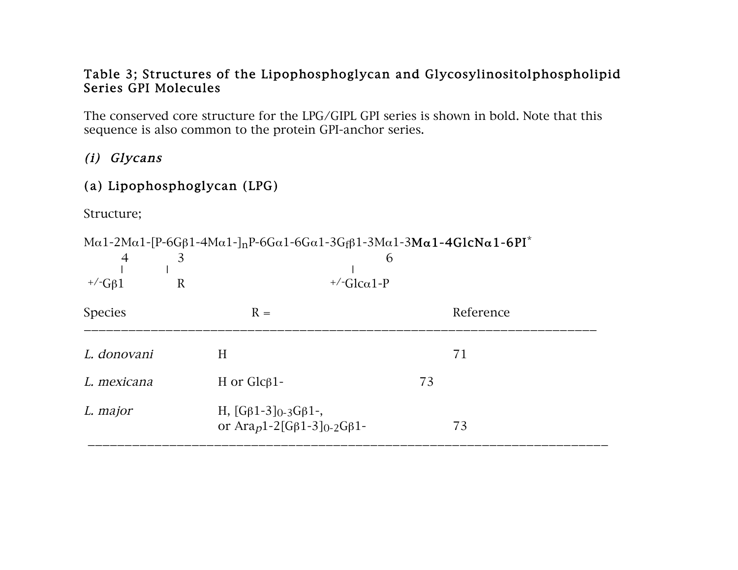#### Table 3; Structures of the Lipophosphoglycan and Glycosylinositolphospholipid Series GPI Molecules

The conserved core structure for the LPG/GIPL GPI series is shown in bold. Note that this sequence is also common to the protein GPI-anchor series.

### (i) Glycans

## (a) Lipophosphoglycan (LPG)

Structure;

 $M\alpha$ 1-2Mα1-[P-6Gβ1-4Mα1-]<sub>n</sub>P-6Gα1-6Gα1-3Gfβ1-3Mα1-3Mα1-4GlcNα1-6PI<sup>\*</sup> 4 3 6 ❘ ❘ ❘  $+/-G\beta1$  R  $+/-Glca1-P$  $Species$  R = Reference \_\_\_\_\_\_\_\_\_\_\_\_\_\_\_\_\_\_\_\_\_\_\_\_\_\_\_\_\_\_\_\_\_\_\_\_\_\_\_\_\_\_\_\_\_\_\_\_\_\_\_\_\_\_\_\_\_\_\_\_\_\_\_\_\_\_\_\_\_ L. donovani H 71 L. mexicana H or Glcβ1- 73 L. major H,  $[Gβ1-3]<sub>0-3</sub>Gβ1-,$ or Ara<sub>p</sub>1-2[Gβ1-3]<sub>0-2</sub>Gβ1- 73 \_\_\_\_\_\_\_\_\_\_\_\_\_\_\_\_\_\_\_\_\_\_\_\_\_\_\_\_\_\_\_\_\_\_\_\_\_\_\_\_\_\_\_\_\_\_\_\_\_\_\_\_\_\_\_\_\_\_\_\_\_\_\_\_\_\_\_\_\_\_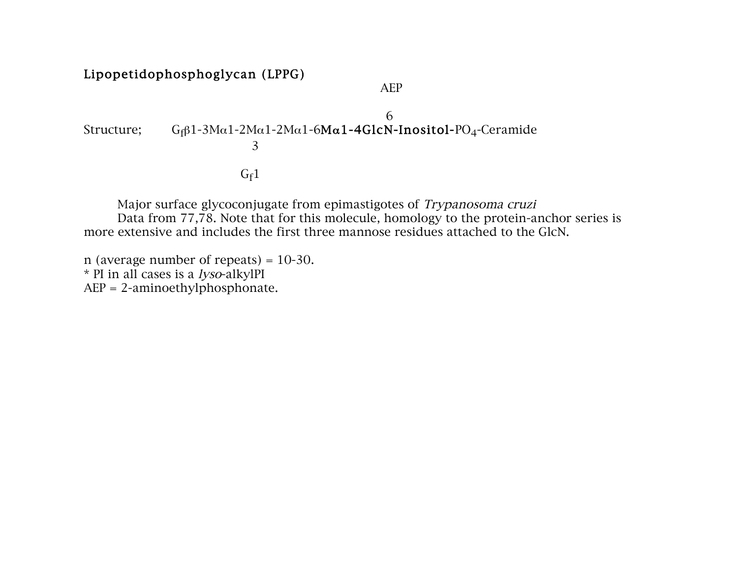### Lipopetidophosphoglycan (LPPG)

AEP

6 Structure;  $G_f\beta 1-3M\alpha 1-2M\alpha 1-2M\alpha 1-6M\alpha 1-4GlcN-Inositol-PO<sub>4</sub>-Ceramide$ 3  $G_f1$ 

Major surface glycoconjugate from epimastigotes of Trypanosoma cruzi Data from 77,78. Note that for this molecule, homology to the protein-anchor series is more extensive and includes the first three mannose residues attached to the GlcN.

n (average number of repeats) =  $10-30$ . \* PI in all cases is a lyso-alkylPI AEP = 2-aminoethylphosphonate.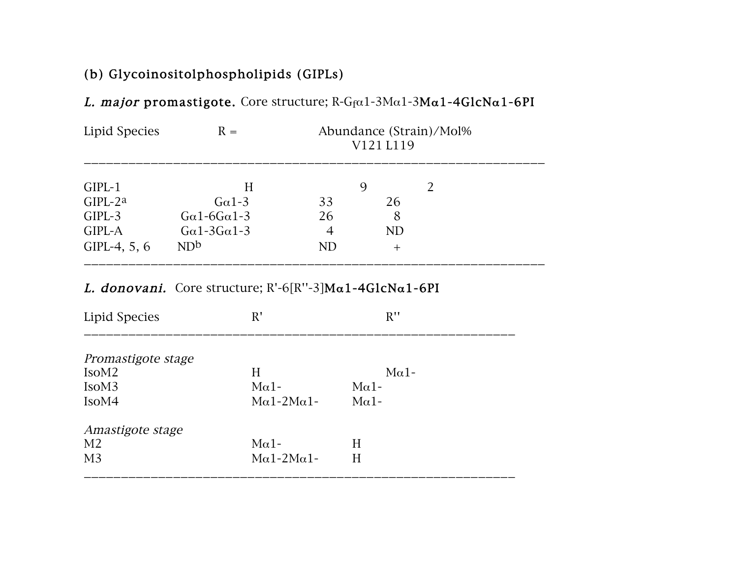## (b) Glycoinositolphospholipids (GIPLs)

| Lipid Species                                                  | $R =$                                                                 | Abundance (Strain)/Mol%<br>V121 L119 |                         |  |  |
|----------------------------------------------------------------|-----------------------------------------------------------------------|--------------------------------------|-------------------------|--|--|
| $GIPL-1$<br>$GIPL-2^a$<br>$GIPL-3$<br>GIPL-A<br>GIPL-4, $5, 6$ | H<br>$G\alpha$ 1-3<br>$Ga1-6Ga1-3$<br>$Ga1-3Ga1-3$<br>ND <sub>b</sub> | 33<br>26<br>4<br>ND                  | 26<br>8<br>ND<br>$^{+}$ |  |  |

### L. major promastigote. Core structure;  $R-G_f\alpha 1-3M\alpha 1-3M\alpha 1-4GlcNa1-6PI$

### L. donovani. Core structure;  $R'-6[R''-3]Ma1-4G1cNa1-6PI$

| Lipid Species                           | R'           | R''          |
|-----------------------------------------|--------------|--------------|
|                                         |              |              |
| Promastigote stage<br>IsoM <sub>2</sub> | H            | $M\alpha$ 1- |
| IsoM <sub>3</sub>                       | $M\alpha$ 1- | $M\alpha$ 1- |
|                                         |              |              |
| IsoM4                                   | $Ma1-2Ma1-$  | $M\alpha$ 1- |
| Amastigote stage                        |              |              |
| M <sub>2</sub>                          | $M\alpha$ 1- | H            |
| M <sub>3</sub>                          | $Ma1-2Ma1-$  | H            |
|                                         |              |              |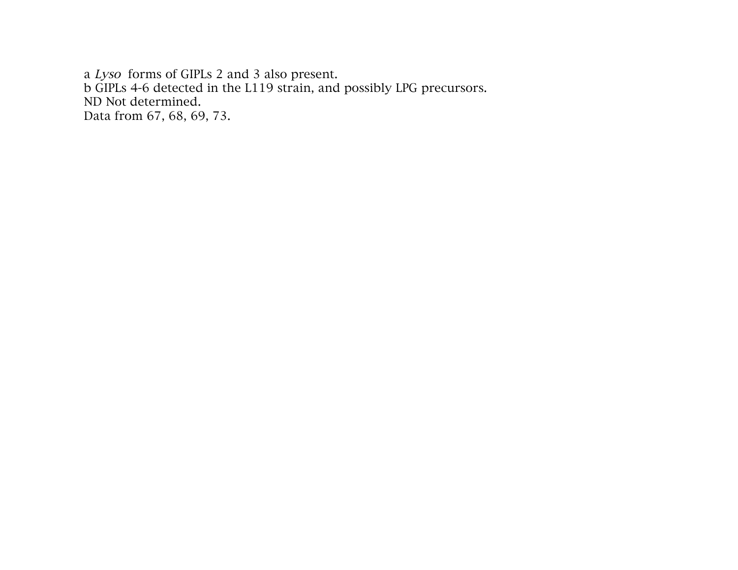a Lyso forms of GIPLs 2 and 3 also present. b GIPLs 4-6 detected in the L119 strain, and possibly LPG precursors. ND Not determined. Data from 67, 68, 69, 73.